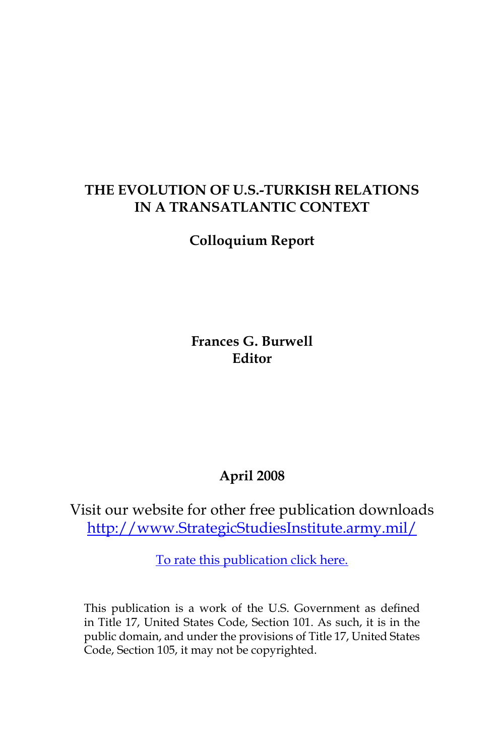## **THE EVOLUTION OF u.s.-tURKISH rELATIONS IN A TRANSATLANTIC CONTEXT**

**Colloquium Report**

**Frances G. Burwell Editor**

# **April 2008**

Visit our website for other free publication downloads [http://www.StrategicStudiesInstitute.army.mil/](http://www.StrategicStudiesInstitute.army.mil)

[To rate this publication click here.](http://www.strategicstudiesinstitute.army.mil/pubs/display.cfm?pubID=861)

This publication is a work of the U.S. Government as defined in Title 17, United States Code, Section 101. As such, it is in the public domain, and under the provisions of Title 17, United States Code, Section 105, it may not be copyrighted.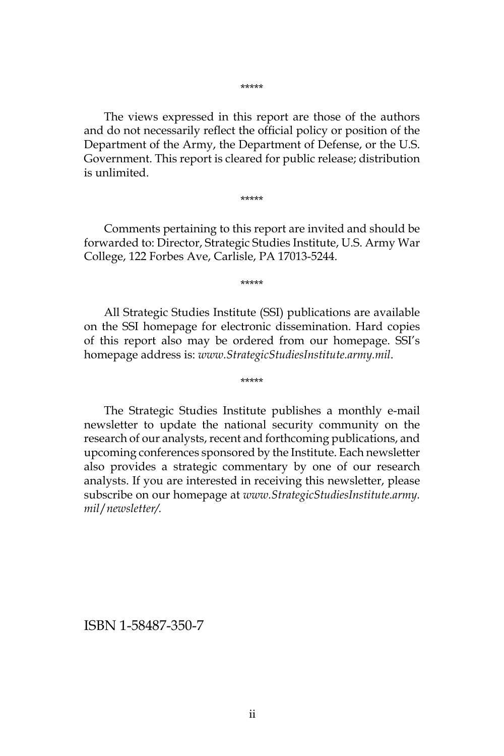\*\*\*\*\*

The views expressed in this report are those of the authors and do not necessarily reflect the official policy or position of the Department of the Army, the Department of Defense, or the U.S. Government. This report is cleared for public release; distribution is unlimited.

\*\*\*\*\*

Comments pertaining to this report are invited and should be forwarded to: Director, Strategic Studies Institute, U.S. Army War College, 122 Forbes Ave, Carlisle, PA 17013-5244.

\*\*\*\*\*

All Strategic Studies Institute (SSI) publications are available on the SSI homepage for electronic dissemination. Hard copies of this report also may be ordered from our homepage. SSI's homepage address is: *www.StrategicStudiesInstitute.army.mil*.

\*\*\*\*\*

The Strategic Studies Institute publishes a monthly e-mail newsletter to update the national security community on the research of our analysts, recent and forthcoming publications, and upcoming conferences sponsored by the Institute. Each newsletter also provides a strategic commentary by one of our research analysts. If you are interested in receiving this newsletter, please subscribe on our homepage at *www.StrategicStudiesInstitute.army. mil*/*newsletter/.*

ISBN 1-58487-350-7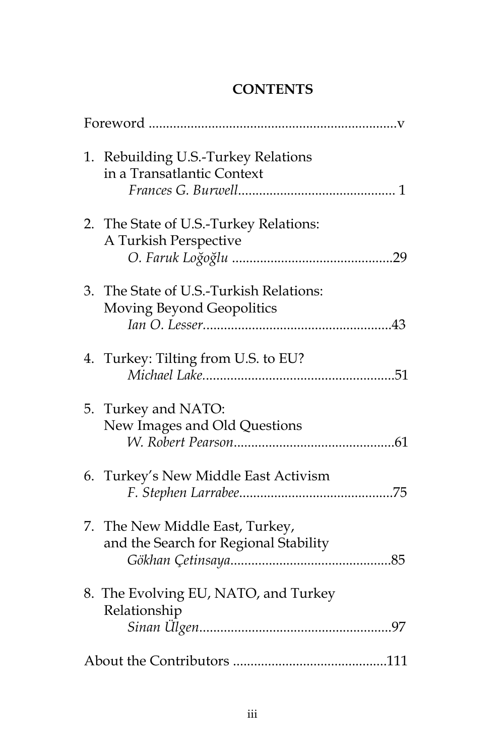# **CONTENTS**

|  | 1. Rebuilding U.S.-Turkey Relations<br>in a Transatlantic Context        |
|--|--------------------------------------------------------------------------|
|  | 2. The State of U.S.-Turkey Relations:<br>A Turkish Perspective          |
|  | 3. The State of U.S.-Turkish Relations:<br>Moving Beyond Geopolitics     |
|  | 4. Turkey: Tilting from U.S. to EU?                                      |
|  | 5. Turkey and NATO:<br>New Images and Old Questions                      |
|  | 6. Turkey's New Middle East Activism                                     |
|  | 7. The New Middle East, Turkey,<br>and the Search for Regional Stability |
|  | 8. The Evolving EU, NATO, and Turkey<br>Relationship                     |
|  |                                                                          |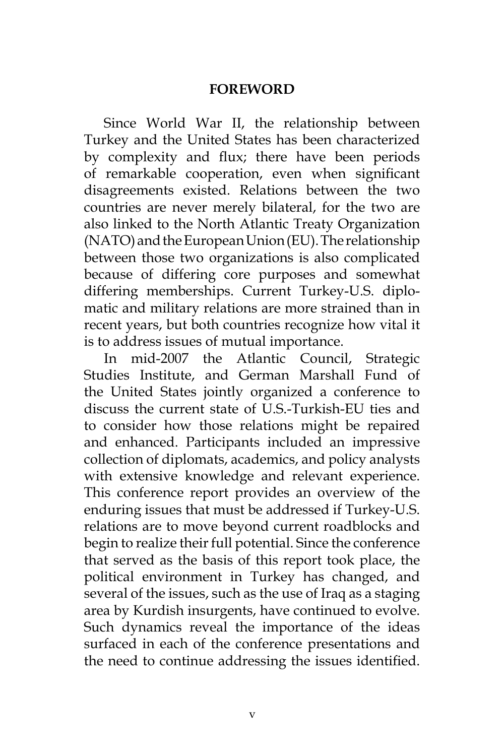#### **FOREWORD**

Since World War II, the relationship between Turkey and the United States has been characterized by complexity and flux; there have been periods of remarkable cooperation, even when significant disagreements existed. Relations between the two countries are never merely bilateral, for the two are also linked to the North Atlantic Treaty Organization (NATO) and the European Union (EU). The relationship between those two organizations is also complicated because of differing core purposes and somewhat differing memberships. Current Turkey-U.S. diplomatic and military relations are more strained than in recent years, but both countries recognize how vital it is to address issues of mutual importance.

In mid-2007 the Atlantic Council, Strategic Studies Institute, and German Marshall Fund of the United States jointly organized a conference to discuss the current state of U.S.-Turkish-EU ties and to consider how those relations might be repaired and enhanced. Participants included an impressive collection of diplomats, academics, and policy analysts with extensive knowledge and relevant experience. This conference report provides an overview of the enduring issues that must be addressed if Turkey-U.S. relations are to move beyond current roadblocks and begin to realize their full potential. Since the conference that served as the basis of this report took place, the political environment in Turkey has changed, and several of the issues, such as the use of Iraq as a staging area by Kurdish insurgents, have continued to evolve. Such dynamics reveal the importance of the ideas surfaced in each of the conference presentations and the need to continue addressing the issues identified.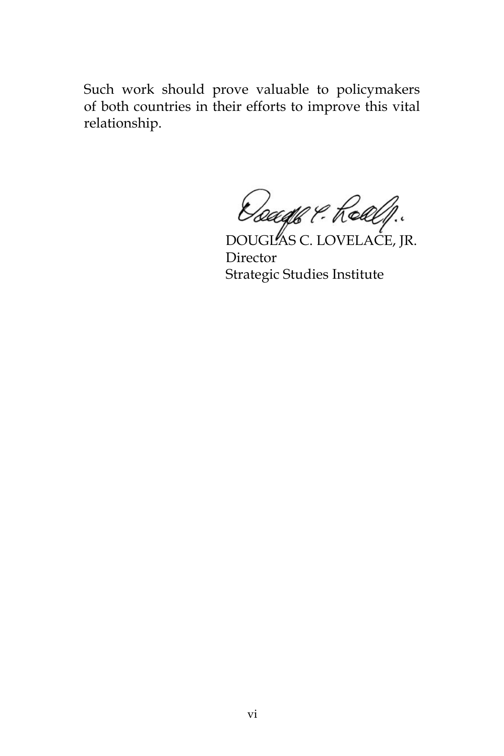Such work should prove valuable to policymakers of both countries in their efforts to improve this vital relationship.

DOUGLAS C. LOVELACE, JR. Director Strategic Studies Institute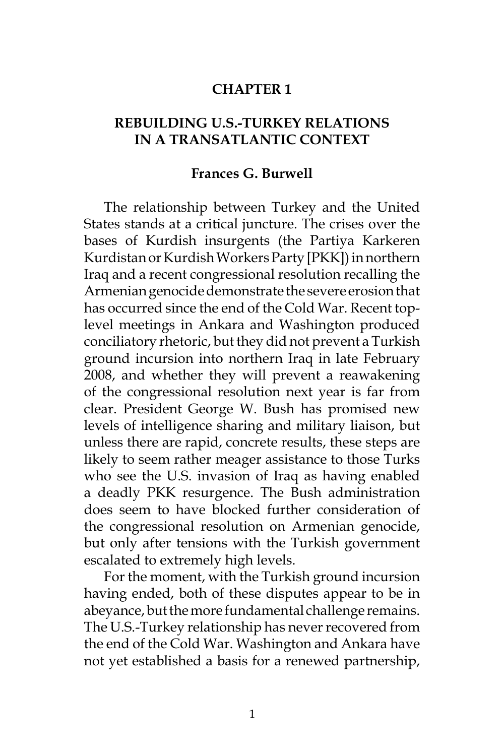#### **CHAPTER 1**

### **REBUILDING U.S.-TURKEY RELATIONS IN A TRANSATLANTIC CONTEXT**

#### **Frances G. Burwell**

The relationship between Turkey and the United States stands at a critical juncture. The crises over the bases of Kurdish insurgents (the Partiya Karkeren Kurdistan or Kurdish Workers Party [PKK]) in northern Iraq and a recent congressional resolution recalling the Armenian genocide demonstrate the severe erosion that has occurred since the end of the Cold War. Recent toplevel meetings in Ankara and Washington produced conciliatory rhetoric, but they did not prevent a Turkish ground incursion into northern Iraq in late February 2008, and whether they will prevent a reawakening of the congressional resolution next year is far from clear. President George W. Bush has promised new levels of intelligence sharing and military liaison, but unless there are rapid, concrete results, these steps are likely to seem rather meager assistance to those Turks who see the U.S. invasion of Iraq as having enabled a deadly PKK resurgence. The Bush administration does seem to have blocked further consideration of the congressional resolution on Armenian genocide, but only after tensions with the Turkish government escalated to extremely high levels.

For the moment, with the Turkish ground incursion having ended, both of these disputes appear to be in abeyance, but the more fundamental challenge remains. The U.S.-Turkey relationship has never recovered from the end of the Cold War. Washington and Ankara have not yet established a basis for a renewed partnership,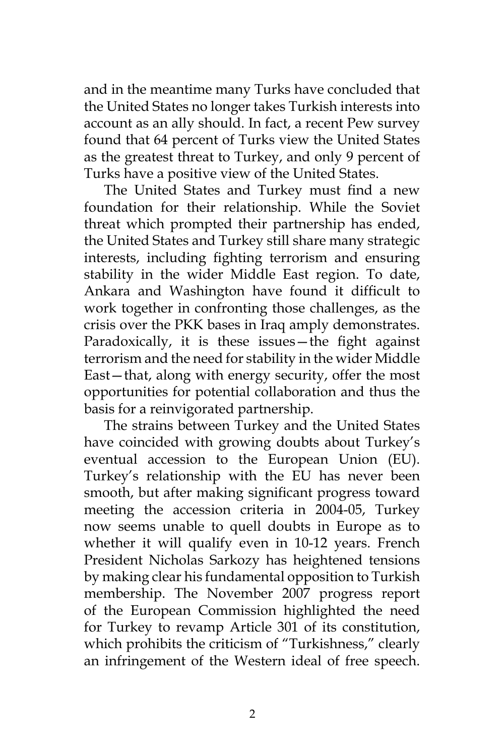and in the meantime many Turks have concluded that the United States no longer takes Turkish interests into account as an ally should. In fact, a recent Pew survey found that 64 percent of Turks view the United States as the greatest threat to Turkey, and only 9 percent of Turks have a positive view of the United States.

The United States and Turkey must find a new foundation for their relationship. While the Soviet threat which prompted their partnership has ended, the United States and Turkey still share many strategic interests, including fighting terrorism and ensuring stability in the wider Middle East region. To date, Ankara and Washington have found it difficult to work together in confronting those challenges, as the crisis over the PKK bases in Iraq amply demonstrates. Paradoxically, it is these issues—the fight against terrorism and the need for stability in the wider Middle East—that, along with energy security, offer the most opportunities for potential collaboration and thus the basis for a reinvigorated partnership.

The strains between Turkey and the United States have coincided with growing doubts about Turkey's eventual accession to the European Union (EU). Turkey's relationship with the EU has never been smooth, but after making significant progress toward meeting the accession criteria in 2004-05, Turkey now seems unable to quell doubts in Europe as to whether it will qualify even in 10-12 years. French President Nicholas Sarkozy has heightened tensions by making clear his fundamental opposition to Turkish membership. The November 2007 progress report of the European Commission highlighted the need for Turkey to revamp Article 301 of its constitution, which prohibits the criticism of "Turkishness," clearly an infringement of the Western ideal of free speech.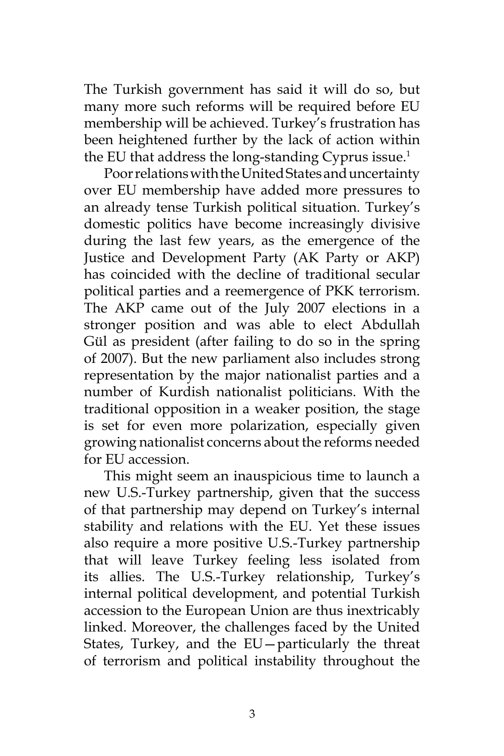The Turkish government has said it will do so, but many more such reforms will be required before EU membership will be achieved. Turkey's frustration has been heightened further by the lack of action within the EU that address the long-standing Cyprus issue.<sup>1</sup>

Poor relations with the United States and uncertainty over EU membership have added more pressures to an already tense Turkish political situation. Turkey's domestic politics have become increasingly divisive during the last few years, as the emergence of the Justice and Development Party (AK Party or AKP) has coincided with the decline of traditional secular political parties and a reemergence of PKK terrorism. The AKP came out of the July 2007 elections in a stronger position and was able to elect Abdullah Gül as president (after failing to do so in the spring of 2007). But the new parliament also includes strong representation by the major nationalist parties and a number of Kurdish nationalist politicians. With the traditional opposition in a weaker position, the stage is set for even more polarization, especially given growing nationalist concerns about the reforms needed for EU accession.

This might seem an inauspicious time to launch a new U.S.-Turkey partnership, given that the success of that partnership may depend on Turkey's internal stability and relations with the EU. Yet these issues also require a more positive U.S.-Turkey partnership that will leave Turkey feeling less isolated from its allies. The U.S.-Turkey relationship, Turkey's internal political development, and potential Turkish accession to the European Union are thus inextricably linked. Moreover, the challenges faced by the United States, Turkey, and the EU—particularly the threat of terrorism and political instability throughout the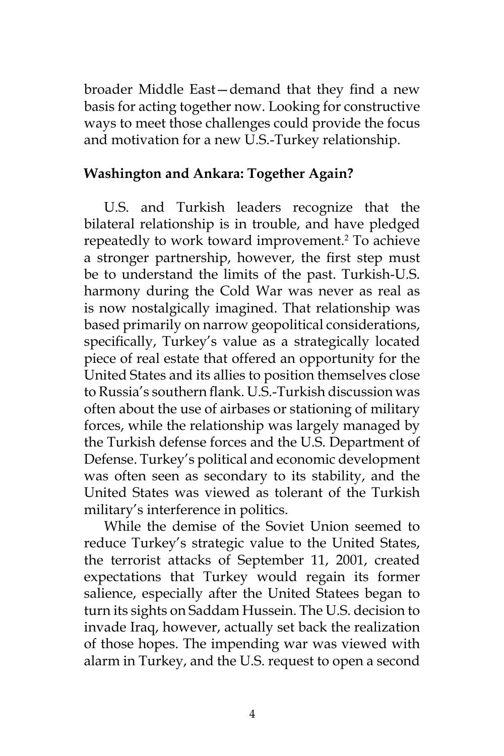broader Middle East—demand that they find a new basis for acting together now. Looking for constructive ways to meet those challenges could provide the focus and motivation for a new U.S.-Turkey relationship.

### **Washington and Ankara: Together Again?**

U.S. and Turkish leaders recognize that the bilateral relationship is in trouble, and have pledged repeatedly to work toward improvement.2 To achieve a stronger partnership, however, the first step must be to understand the limits of the past. Turkish-U.S. harmony during the Cold War was never as real as is now nostalgically imagined. That relationship was based primarily on narrow geopolitical considerations, specifically, Turkey's value as a strategically located piece of real estate that offered an opportunity for the United States and its allies to position themselves close to Russia's southern flank. U.S.-Turkish discussion was often about the use of airbases or stationing of military forces, while the relationship was largely managed by the Turkish defense forces and the U.S. Department of Defense. Turkey's political and economic development was often seen as secondary to its stability, and the United States was viewed as tolerant of the Turkish military's interference in politics.

While the demise of the Soviet Union seemed to reduce Turkey's strategic value to the United States, the terrorist attacks of September 11, 2001, created expectations that Turkey would regain its former salience, especially after the United Statees began to turn its sights on Saddam Hussein. The U.S. decision to invade Iraq, however, actually set back the realization of those hopes. The impending war was viewed with alarm in Turkey, and the U.S. request to open a second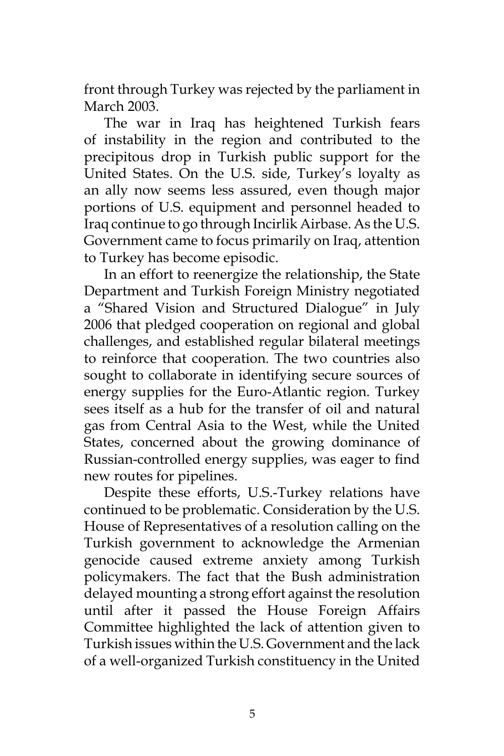front through Turkey was rejected by the parliament in March 2003.

The war in Iraq has heightened Turkish fears of instability in the region and contributed to the precipitous drop in Turkish public support for the United States. On the U.S. side, Turkey's loyalty as an ally now seems less assured, even though major portions of U.S. equipment and personnel headed to Iraq continue to go through Incirlik Airbase. As the U.S. Government came to focus primarily on Iraq, attention to Turkey has become episodic.

In an effort to reenergize the relationship, the State Department and Turkish Foreign Ministry negotiated a "Shared Vision and Structured Dialogue" in July 2006 that pledged cooperation on regional and global challenges, and established regular bilateral meetings to reinforce that cooperation. The two countries also sought to collaborate in identifying secure sources of energy supplies for the Euro-Atlantic region. Turkey sees itself as a hub for the transfer of oil and natural gas from Central Asia to the West, while the United States, concerned about the growing dominance of Russian-controlled energy supplies, was eager to find new routes for pipelines.

Despite these efforts, U.S.-Turkey relations have continued to be problematic. Consideration by the U.S. House of Representatives of a resolution calling on the Turkish government to acknowledge the Armenian genocide caused extreme anxiety among Turkish policymakers. The fact that the Bush administration delayed mounting a strong effort against the resolution until after it passed the House Foreign Affairs Committee highlighted the lack of attention given to Turkish issues within the U.S. Government and the lack of a well-organized Turkish constituency in the United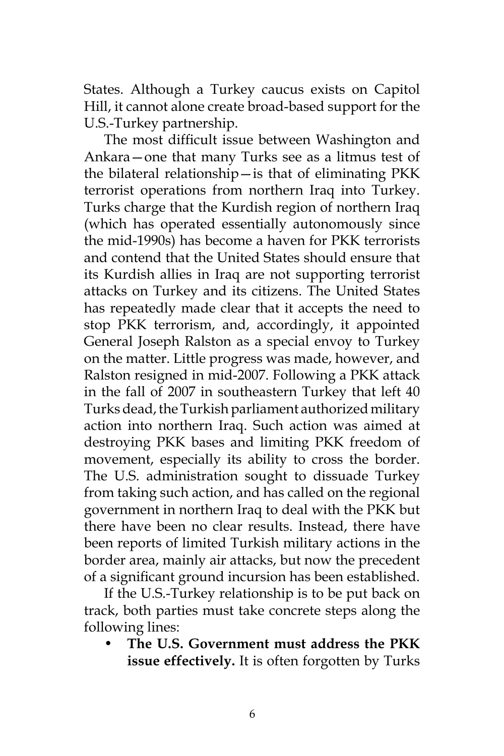States. Although a Turkey caucus exists on Capitol Hill, it cannot alone create broad-based support for the U.S.-Turkey partnership.

The most difficult issue between Washington and Ankara—one that many Turks see as a litmus test of the bilateral relationship—is that of eliminating PKK terrorist operations from northern Iraq into Turkey. Turks charge that the Kurdish region of northern Iraq (which has operated essentially autonomously since the mid-1990s) has become a haven for PKK terrorists and contend that the United States should ensure that its Kurdish allies in Iraq are not supporting terrorist attacks on Turkey and its citizens. The United States has repeatedly made clear that it accepts the need to stop PKK terrorism, and, accordingly, it appointed General Joseph Ralston as a special envoy to Turkey on the matter. Little progress was made, however, and Ralston resigned in mid-2007. Following a PKK attack in the fall of 2007 in southeastern Turkey that left 40 Turks dead, the Turkish parliament authorized military action into northern Iraq. Such action was aimed at destroying PKK bases and limiting PKK freedom of movement, especially its ability to cross the border. The U.S. administration sought to dissuade Turkey from taking such action, and has called on the regional government in northern Iraq to deal with the PKK but there have been no clear results. Instead, there have been reports of limited Turkish military actions in the border area, mainly air attacks, but now the precedent of a significant ground incursion has been established.

If the U.S.-Turkey relationship is to be put back on track, both parties must take concrete steps along the following lines:

• **The U.S. Government must address the PKK issue effectively.** It is often forgotten by Turks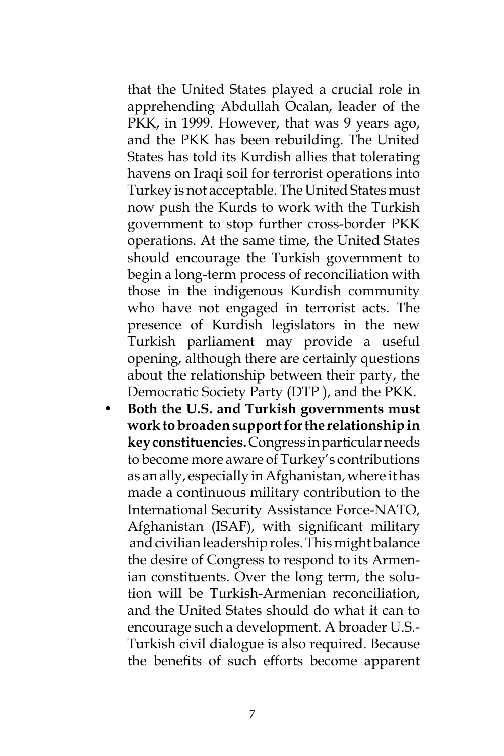that the United States played a crucial role in apprehending Abdullah Ocalan, leader of the PKK, in 1999. However, that was 9 years ago, and the PKK has been rebuilding. The United States has told its Kurdish allies that tolerating havens on Iraqi soil for terrorist operations into Turkey is not acceptable. The United States must now push the Kurds to work with the Turkish government to stop further cross-border PKK operations. At the same time, the United States should encourage the Turkish government to begin a long-term process of reconciliation with those in the indigenous Kurdish community who have not engaged in terrorist acts. The presence of Kurdish legislators in the new Turkish parliament may provide a useful opening, although there are certainly questions about the relationship between their party, the Democratic Society Party (DTP ), and the PKK.

• **Both the U.S. and Turkish governments must work to broaden support for the relationship in key constituencies.** Congress in particular needs to become more aware of Turkey's contributions as an ally, especially in Afghanistan, where it has made a continuous military contribution to the International Security Assistance Force-NATO, Afghanistan (ISAF), with significant military and civilian leadership roles. This might balance the desire of Congress to respond to its Armenian constituents. Over the long term, the solution will be Turkish-Armenian reconciliation, and the United States should do what it can to encourage such a development. A broader U.S.- Turkish civil dialogue is also required. Because the benefits of such efforts become apparent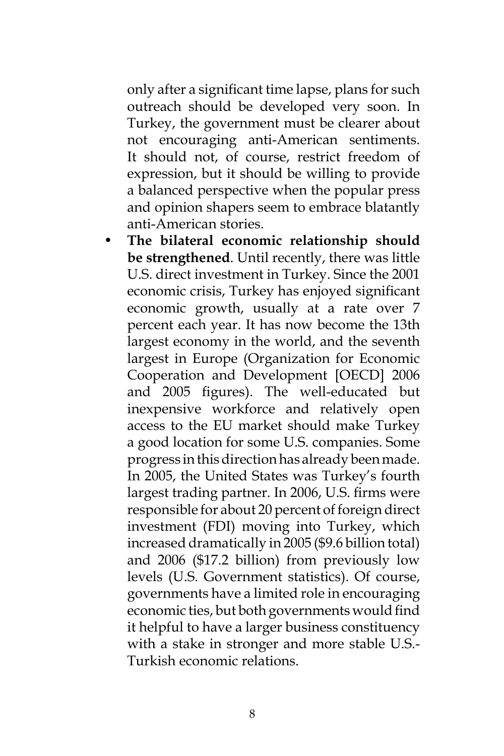only after a significant time lapse, plans for such outreach should be developed very soon. In Turkey, the government must be clearer about not encouraging anti-American sentiments. It should not, of course, restrict freedom of expression, but it should be willing to provide a balanced perspective when the popular press and opinion shapers seem to embrace blatantly anti-American stories.

• **The bilateral economic relationship should be strengthened**. Until recently, there was little U.S. direct investment in Turkey. Since the 2001 economic crisis, Turkey has enjoyed significant economic growth, usually at a rate over 7 percent each year. It has now become the 13th largest economy in the world, and the seventh largest in Europe (Organization for Economic Cooperation and Development [OECD] 2006 and 2005 figures). The well-educated but inexpensive workforce and relatively open access to the EU market should make Turkey a good location for some U.S. companies. Some progress in this direction has already been made. In 2005, the United States was Turkey's fourth largest trading partner. In 2006, U.S. firms were responsible for about 20 percent of foreign direct investment (FDI) moving into Turkey, which increased dramatically in 2005 (\$9.6 billion total) and 2006 (\$17.2 billion) from previously low levels (U.S. Government statistics). Of course, governments have a limited role in encouraging economic ties, but both governments would find it helpful to have a larger business constituency with a stake in stronger and more stable U.S.- Turkish economic relations.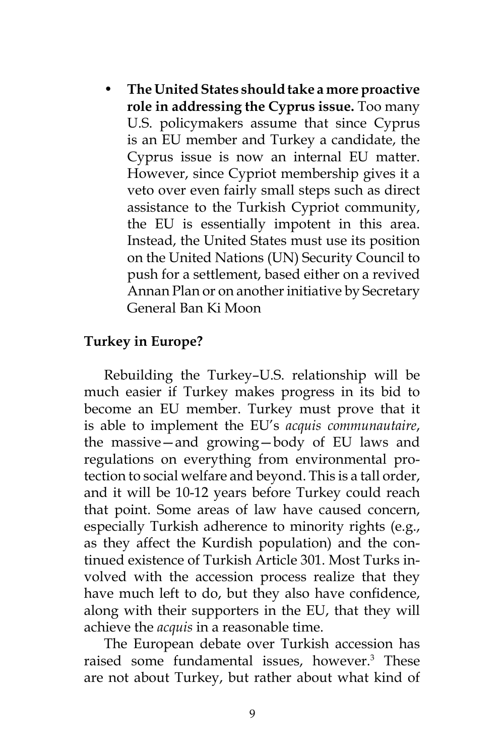• **The United States should take a more proactive role in addressing the Cyprus issue.** Too many U.S. policymakers assume that since Cyprus is an EU member and Turkey a candidate, the Cyprus issue is now an internal EU matter. However, since Cypriot membership gives it a veto over even fairly small steps such as direct assistance to the Turkish Cypriot community, the EU is essentially impotent in this area. Instead, the United States must use its position on the United Nations (UN) Security Council to push for a settlement, based either on a revived Annan Plan or on another initiative by Secretary General Ban Ki Moon

### **Turkey in Europe?**

Rebuilding the Turkey–U.S. relationship will be much easier if Turkey makes progress in its bid to become an EU member. Turkey must prove that it is able to implement the EU's *acquis communautaire*, the massive—and growing—body of EU laws and regulations on everything from environmental protection to social welfare and beyond. This is a tall order, and it will be 10-12 years before Turkey could reach that point. Some areas of law have caused concern, especially Turkish adherence to minority rights (e.g., as they affect the Kurdish population) and the continued existence of Turkish Article 301. Most Turks involved with the accession process realize that they have much left to do, but they also have confidence, along with their supporters in the EU, that they will achieve the *acquis* in a reasonable time.

The European debate over Turkish accession has raised some fundamental issues, however.<sup>3</sup> These are not about Turkey, but rather about what kind of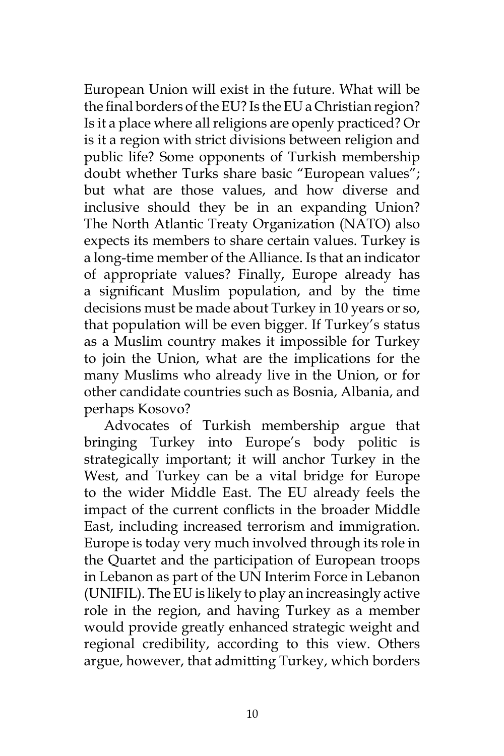European Union will exist in the future. What will be the final borders of the EU? Is the EU a Christian region? Is it a place where all religions are openly practiced? Or is it a region with strict divisions between religion and public life? Some opponents of Turkish membership doubt whether Turks share basic "European values"; but what are those values, and how diverse and inclusive should they be in an expanding Union? The North Atlantic Treaty Organization (NATO) also expects its members to share certain values. Turkey is a long-time member of the Alliance. Is that an indicator of appropriate values? Finally, Europe already has a significant Muslim population, and by the time decisions must be made about Turkey in 10 years or so, that population will be even bigger. If Turkey's status as a Muslim country makes it impossible for Turkey to join the Union, what are the implications for the many Muslims who already live in the Union, or for other candidate countries such as Bosnia, Albania, and perhaps Kosovo?

Advocates of Turkish membership argue that bringing Turkey into Europe's body politic is strategically important; it will anchor Turkey in the West, and Turkey can be a vital bridge for Europe to the wider Middle East. The EU already feels the impact of the current conflicts in the broader Middle East, including increased terrorism and immigration. Europe is today very much involved through its role in the Quartet and the participation of European troops in Lebanon as part of the UN Interim Force in Lebanon (UNIFIL). The EU is likely to play an increasingly active role in the region, and having Turkey as a member would provide greatly enhanced strategic weight and regional credibility, according to this view. Others argue, however, that admitting Turkey, which borders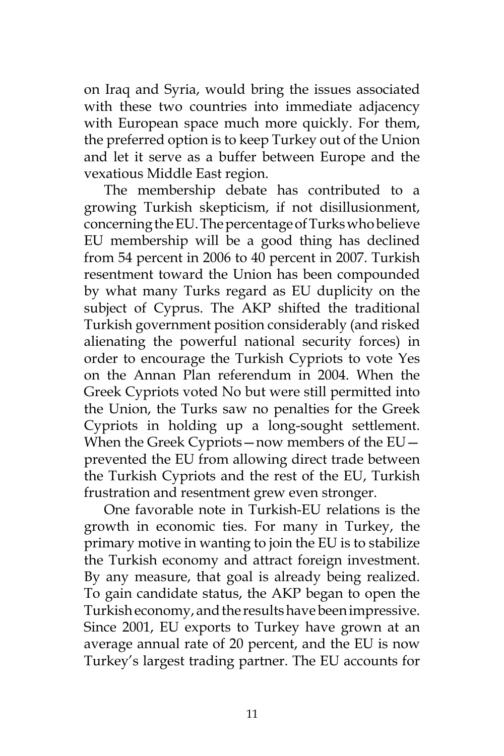on Iraq and Syria, would bring the issues associated with these two countries into immediate adjacency with European space much more quickly. For them, the preferred option is to keep Turkey out of the Union and let it serve as a buffer between Europe and the vexatious Middle East region.

The membership debate has contributed to a growing Turkish skepticism, if not disillusionment, concerning the EU. The percentage of Turks who believe EU membership will be a good thing has declined from 54 percent in 2006 to 40 percent in 2007. Turkish resentment toward the Union has been compounded by what many Turks regard as EU duplicity on the subject of Cyprus. The AKP shifted the traditional Turkish government position considerably (and risked alienating the powerful national security forces) in order to encourage the Turkish Cypriots to vote Yes on the Annan Plan referendum in 2004. When the Greek Cypriots voted No but were still permitted into the Union, the Turks saw no penalties for the Greek Cypriots in holding up a long-sought settlement. When the Greek Cypriots—now members of the EU prevented the EU from allowing direct trade between the Turkish Cypriots and the rest of the EU, Turkish frustration and resentment grew even stronger.

One favorable note in Turkish-EU relations is the growth in economic ties. For many in Turkey, the primary motive in wanting to join the EU is to stabilize the Turkish economy and attract foreign investment. By any measure, that goal is already being realized. To gain candidate status, the AKP began to open the Turkish economy, and the results have been impressive. Since 2001, EU exports to Turkey have grown at an average annual rate of 20 percent, and the EU is now Turkey's largest trading partner. The EU accounts for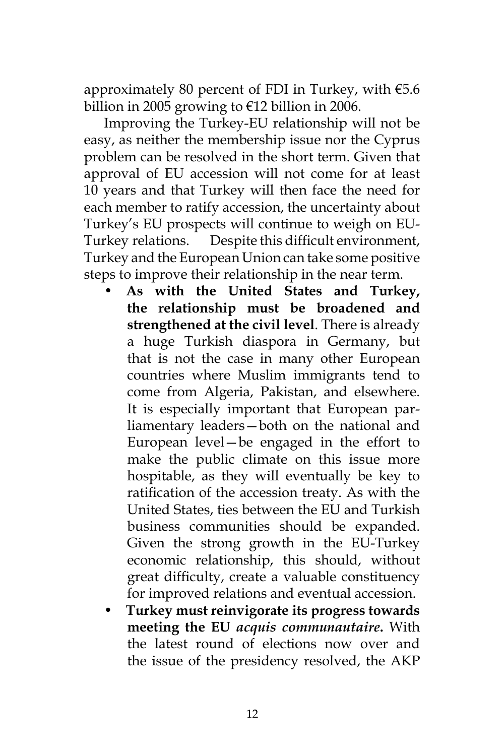approximately 80 percent of FDI in Turkey, with €5.6 billion in 2005 growing to €12 billion in 2006.

Improving the Turkey-EU relationship will not be easy, as neither the membership issue nor the Cyprus problem can be resolved in the short term. Given that approval of EU accession will not come for at least 10 years and that Turkey will then face the need for each member to ratify accession, the uncertainty about Turkey's EU prospects will continue to weigh on EU-Turkey relations. Despite this difficult environment, Turkey and the European Union can take some positive steps to improve their relationship in the near term.

- **As with the United States and Turkey, the relationship must be broadened and strengthened at the civil level**. There is already a huge Turkish diaspora in Germany, but that is not the case in many other European countries where Muslim immigrants tend to come from Algeria, Pakistan, and elsewhere. It is especially important that European parliamentary leaders—both on the national and European level—be engaged in the effort to make the public climate on this issue more hospitable, as they will eventually be key to ratification of the accession treaty. As with the United States, ties between the EU and Turkish business communities should be expanded. Given the strong growth in the EU-Turkey economic relationship, this should, without great difficulty, create a valuable constituency for improved relations and eventual accession.
- **Turkey must reinvigorate its progress towards meeting the EU** *acquis communautaire***.** With the latest round of elections now over and the issue of the presidency resolved, the AKP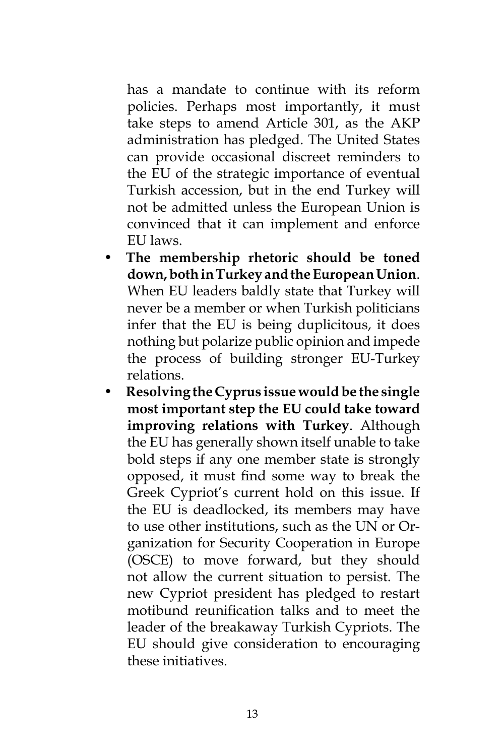has a mandate to continue with its reform policies. Perhaps most importantly, it must take steps to amend Article 301, as the AKP administration has pledged. The United States can provide occasional discreet reminders to the EU of the strategic importance of eventual Turkish accession, but in the end Turkey will not be admitted unless the European Union is convinced that it can implement and enforce EU laws.

- **The membership rhetoric should be toned down, both in Turkey and the European Union**. When EU leaders baldly state that Turkey will never be a member or when Turkish politicians infer that the EU is being duplicitous, it does nothing but polarize public opinion and impede the process of building stronger EU-Turkey relations.
- **Resolving the Cyprus issue would be the single most important step the EU could take toward improving relations with Turkey**. Although the EU has generally shown itself unable to take bold steps if any one member state is strongly opposed, it must find some way to break the Greek Cypriot's current hold on this issue. If the EU is deadlocked, its members may have to use other institutions, such as the UN or Organization for Security Cooperation in Europe (OSCE) to move forward, but they should not allow the current situation to persist. The new Cypriot president has pledged to restart motibund reunification talks and to meet the leader of the breakaway Turkish Cypriots. The EU should give consideration to encouraging these initiatives.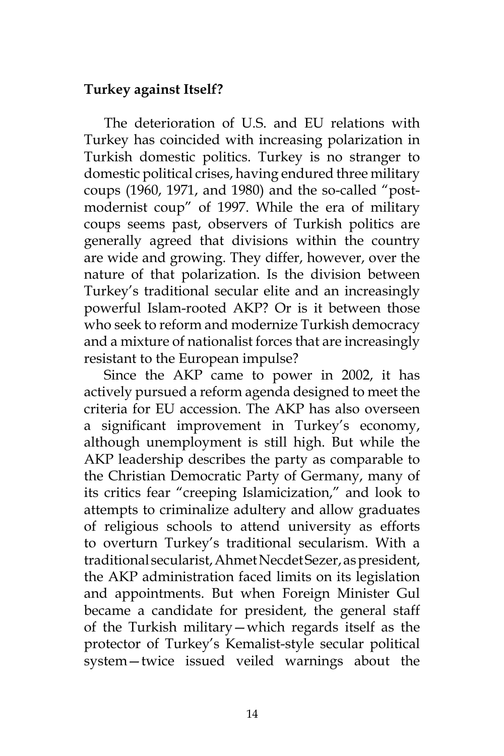### **Turkey against Itself?**

The deterioration of U.S. and EU relations with Turkey has coincided with increasing polarization in Turkish domestic politics. Turkey is no stranger to domestic political crises, having endured three military coups (1960, 1971, and 1980) and the so-called "postmodernist coup" of 1997. While the era of military coups seems past, observers of Turkish politics are generally agreed that divisions within the country are wide and growing. They differ, however, over the nature of that polarization. Is the division between Turkey's traditional secular elite and an increasingly powerful Islam-rooted AKP? Or is it between those who seek to reform and modernize Turkish democracy and a mixture of nationalist forces that are increasingly resistant to the European impulse?

Since the AKP came to power in 2002, it has actively pursued a reform agenda designed to meet the criteria for EU accession. The AKP has also overseen a significant improvement in Turkey's economy, although unemployment is still high. But while the AKP leadership describes the party as comparable to the Christian Democratic Party of Germany, many of its critics fear "creeping Islamicization," and look to attempts to criminalize adultery and allow graduates of religious schools to attend university as efforts to overturn Turkey's traditional secularism. With a traditional secularist, Ahmet Necdet Sezer, as president, the AKP administration faced limits on its legislation and appointments. But when Foreign Minister Gul became a candidate for president, the general staff of the Turkish military—which regards itself as the protector of Turkey's Kemalist-style secular political system—twice issued veiled warnings about the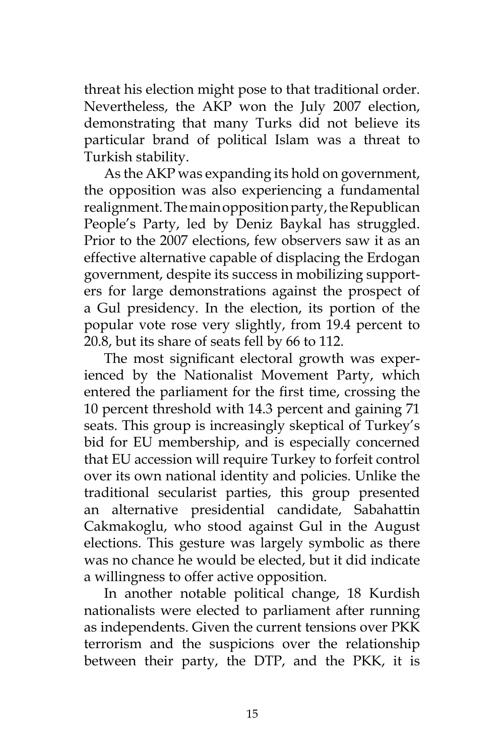threat his election might pose to that traditional order. Nevertheless, the AKP won the July 2007 election, demonstrating that many Turks did not believe its particular brand of political Islam was a threat to Turkish stability.

As the AKP was expanding its hold on government, the opposition was also experiencing a fundamental realignment. The main opposition party, the Republican People's Party, led by Deniz Baykal has struggled. Prior to the 2007 elections, few observers saw it as an effective alternative capable of displacing the Erdogan government, despite its success in mobilizing supporters for large demonstrations against the prospect of a Gul presidency. In the election, its portion of the popular vote rose very slightly, from 19.4 percent to 20.8, but its share of seats fell by 66 to 112.

The most significant electoral growth was experienced by the Nationalist Movement Party, which entered the parliament for the first time, crossing the 10 percent threshold with 14.3 percent and gaining 71 seats. This group is increasingly skeptical of Turkey's bid for EU membership, and is especially concerned that EU accession will require Turkey to forfeit control over its own national identity and policies. Unlike the traditional secularist parties, this group presented an alternative presidential candidate, Sabahattin Cakmakoglu, who stood against Gul in the August elections. This gesture was largely symbolic as there was no chance he would be elected, but it did indicate a willingness to offer active opposition.

In another notable political change, 18 Kurdish nationalists were elected to parliament after running as independents. Given the current tensions over PKK terrorism and the suspicions over the relationship between their party, the DTP, and the PKK, it is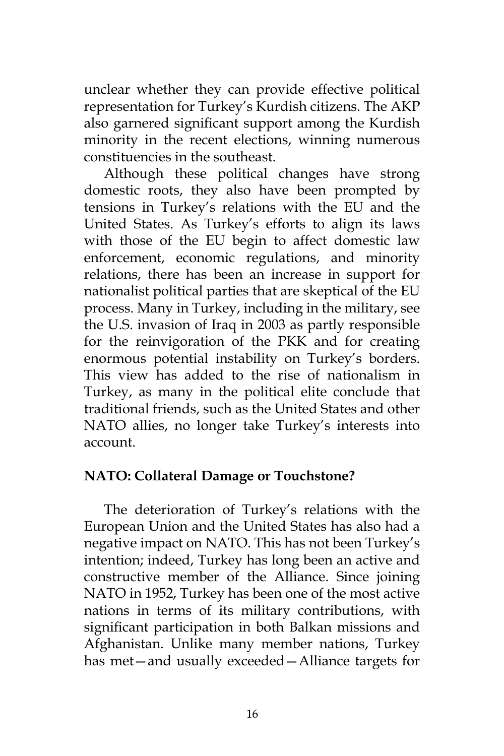unclear whether they can provide effective political representation for Turkey's Kurdish citizens. The AKP also garnered significant support among the Kurdish minority in the recent elections, winning numerous constituencies in the southeast.

Although these political changes have strong domestic roots, they also have been prompted by tensions in Turkey's relations with the EU and the United States. As Turkey's efforts to align its laws with those of the EU begin to affect domestic law enforcement, economic regulations, and minority relations, there has been an increase in support for nationalist political parties that are skeptical of the EU process. Many in Turkey, including in the military, see the U.S. invasion of Iraq in 2003 as partly responsible for the reinvigoration of the PKK and for creating enormous potential instability on Turkey's borders. This view has added to the rise of nationalism in Turkey, as many in the political elite conclude that traditional friends, such as the United States and other NATO allies, no longer take Turkey's interests into account.

#### **NATO: Collateral Damage or Touchstone?**

The deterioration of Turkey's relations with the European Union and the United States has also had a negative impact on NATO. This has not been Turkey's intention; indeed, Turkey has long been an active and constructive member of the Alliance. Since joining NATO in 1952, Turkey has been one of the most active nations in terms of its military contributions, with significant participation in both Balkan missions and Afghanistan. Unlike many member nations, Turkey has met—and usually exceeded—Alliance targets for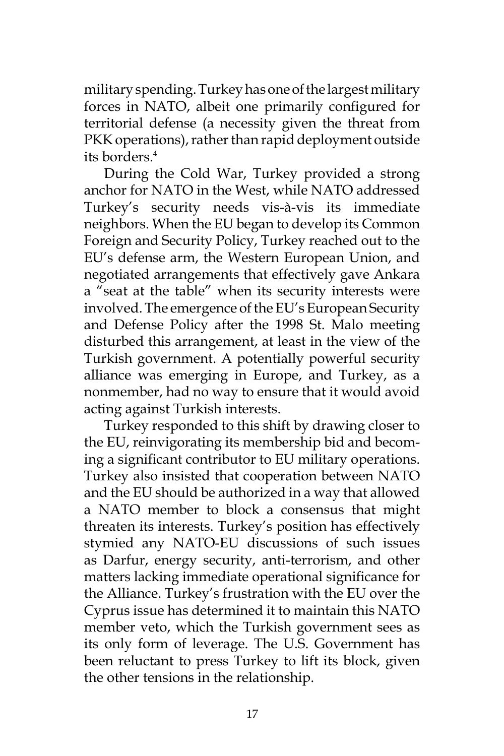military spending. Turkey has one of the largest military forces in NATO, albeit one primarily configured for territorial defense (a necessity given the threat from PKK operations), rather than rapid deployment outside its borders.4

During the Cold War, Turkey provided a strong anchor for NATO in the West, while NATO addressed Turkey's security needs vis-à-vis its immediate neighbors. When the EU began to develop its Common Foreign and Security Policy, Turkey reached out to the EU's defense arm, the Western European Union, and negotiated arrangements that effectively gave Ankara a "seat at the table" when its security interests were involved. The emergence of the EU's European Security and Defense Policy after the 1998 St. Malo meeting disturbed this arrangement, at least in the view of the Turkish government. A potentially powerful security alliance was emerging in Europe, and Turkey, as a nonmember, had no way to ensure that it would avoid acting against Turkish interests.

Turkey responded to this shift by drawing closer to the EU, reinvigorating its membership bid and becoming a significant contributor to EU military operations. Turkey also insisted that cooperation between NATO and the EU should be authorized in a way that allowed a NATO member to block a consensus that might threaten its interests. Turkey's position has effectively stymied any NATO-EU discussions of such issues as Darfur, energy security, anti-terrorism, and other matters lacking immediate operational significance for the Alliance. Turkey's frustration with the EU over the Cyprus issue has determined it to maintain this NATO member veto, which the Turkish government sees as its only form of leverage. The U.S. Government has been reluctant to press Turkey to lift its block, given the other tensions in the relationship.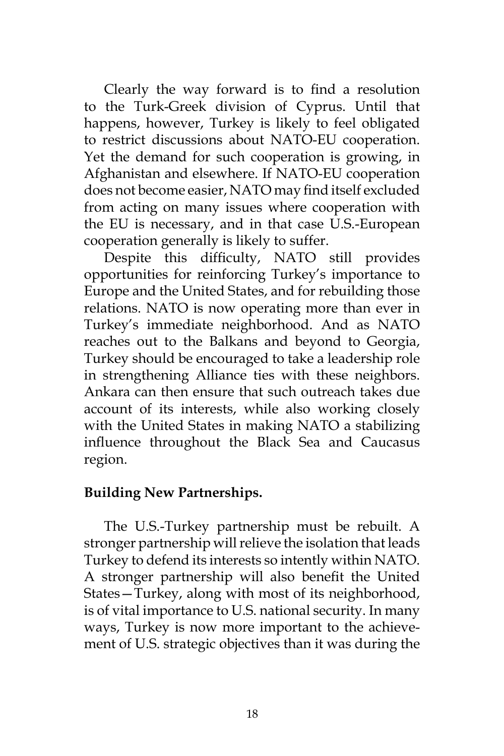Clearly the way forward is to find a resolution to the Turk-Greek division of Cyprus. Until that happens, however, Turkey is likely to feel obligated to restrict discussions about NATO-EU cooperation. Yet the demand for such cooperation is growing, in Afghanistan and elsewhere. If NATO-EU cooperation does not become easier, NATO may find itself excluded from acting on many issues where cooperation with the EU is necessary, and in that case U.S.-European cooperation generally is likely to suffer.

Despite this difficulty, NATO still provides opportunities for reinforcing Turkey's importance to Europe and the United States, and for rebuilding those relations. NATO is now operating more than ever in Turkey's immediate neighborhood. And as NATO reaches out to the Balkans and beyond to Georgia, Turkey should be encouraged to take a leadership role in strengthening Alliance ties with these neighbors. Ankara can then ensure that such outreach takes due account of its interests, while also working closely with the United States in making NATO a stabilizing influence throughout the Black Sea and Caucasus region.

### **Building New Partnerships.**

The U.S.-Turkey partnership must be rebuilt. A stronger partnership will relieve the isolation that leads Turkey to defend its interests so intently within NATO. A stronger partnership will also benefit the United States—Turkey, along with most of its neighborhood, is of vital importance to U.S. national security. In many ways, Turkey is now more important to the achievement of U.S. strategic objectives than it was during the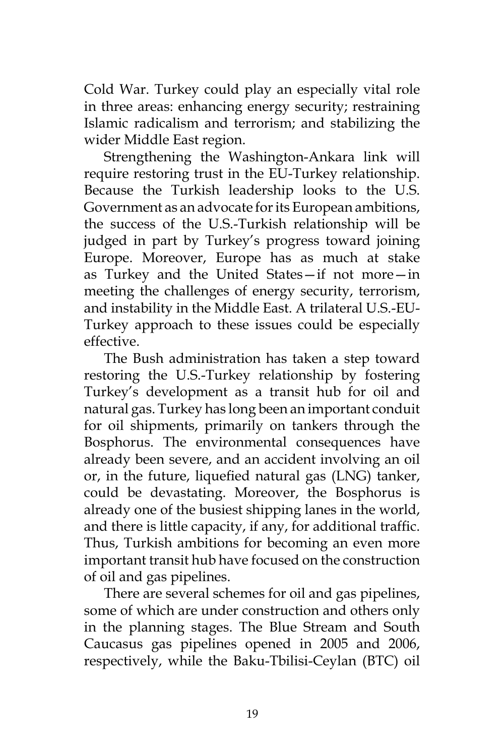Cold War. Turkey could play an especially vital role in three areas: enhancing energy security; restraining Islamic radicalism and terrorism; and stabilizing the wider Middle East region.

Strengthening the Washington-Ankara link will require restoring trust in the EU-Turkey relationship. Because the Turkish leadership looks to the U.S. Government as an advocate for its European ambitions, the success of the U.S.-Turkish relationship will be judged in part by Turkey's progress toward joining Europe. Moreover, Europe has as much at stake as Turkey and the United States—if not more—in meeting the challenges of energy security, terrorism, and instability in the Middle East. A trilateral U.S.-EU-Turkey approach to these issues could be especially effective.

The Bush administration has taken a step toward restoring the U.S.-Turkey relationship by fostering Turkey's development as a transit hub for oil and natural gas. Turkey has long been an important conduit for oil shipments, primarily on tankers through the Bosphorus. The environmental consequences have already been severe, and an accident involving an oil or, in the future, liquefied natural gas (LNG) tanker, could be devastating. Moreover, the Bosphorus is already one of the busiest shipping lanes in the world, and there is little capacity, if any, for additional traffic. Thus, Turkish ambitions for becoming an even more important transit hub have focused on the construction of oil and gas pipelines.

There are several schemes for oil and gas pipelines, some of which are under construction and others only in the planning stages. The Blue Stream and South Caucasus gas pipelines opened in 2005 and 2006, respectively, while the Baku-Tbilisi-Ceylan (BTC) oil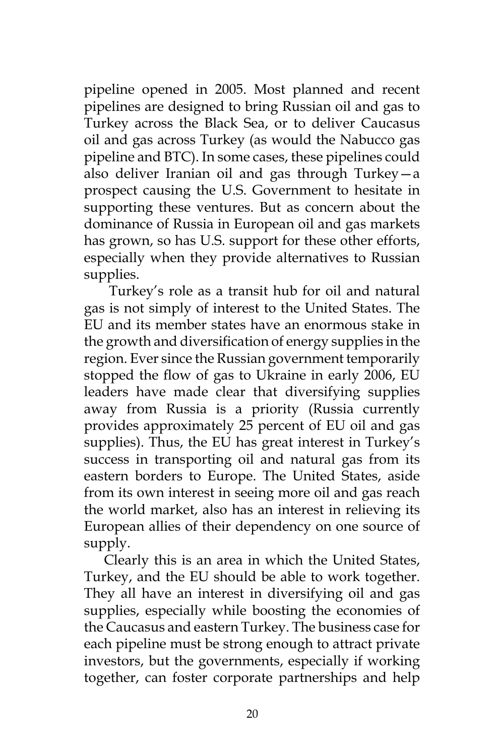pipeline opened in 2005. Most planned and recent pipelines are designed to bring Russian oil and gas to Turkey across the Black Sea, or to deliver Caucasus oil and gas across Turkey (as would the Nabucco gas pipeline and BTC). In some cases, these pipelines could also deliver Iranian oil and gas through Turkey—a prospect causing the U.S. Government to hesitate in supporting these ventures. But as concern about the dominance of Russia in European oil and gas markets has grown, so has U.S. support for these other efforts, especially when they provide alternatives to Russian supplies.

 Turkey's role as a transit hub for oil and natural gas is not simply of interest to the United States. The EU and its member states have an enormous stake in the growth and diversification of energy supplies in the region. Ever since the Russian government temporarily stopped the flow of gas to Ukraine in early 2006, EU leaders have made clear that diversifying supplies away from Russia is a priority (Russia currently provides approximately 25 percent of EU oil and gas supplies). Thus, the EU has great interest in Turkey's success in transporting oil and natural gas from its eastern borders to Europe. The United States, aside from its own interest in seeing more oil and gas reach the world market, also has an interest in relieving its European allies of their dependency on one source of supply.

Clearly this is an area in which the United States, Turkey, and the EU should be able to work together. They all have an interest in diversifying oil and gas supplies, especially while boosting the economies of the Caucasus and eastern Turkey. The business case for each pipeline must be strong enough to attract private investors, but the governments, especially if working together, can foster corporate partnerships and help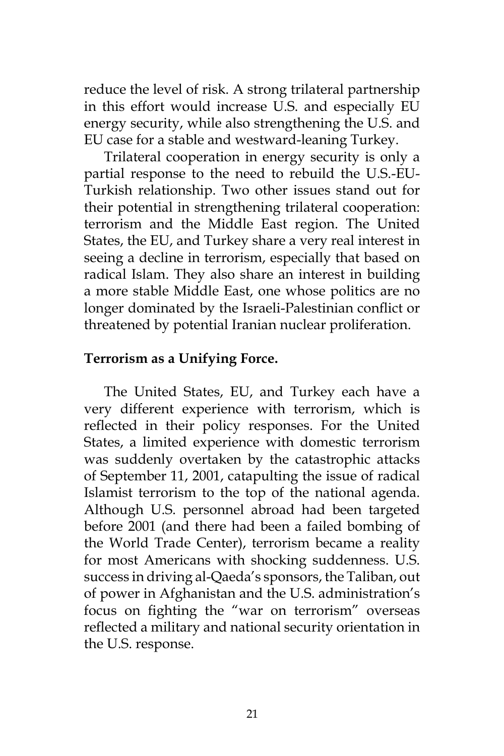reduce the level of risk. A strong trilateral partnership in this effort would increase U.S. and especially EU energy security, while also strengthening the U.S. and EU case for a stable and westward-leaning Turkey.

Trilateral cooperation in energy security is only a partial response to the need to rebuild the U.S.-EU-Turkish relationship. Two other issues stand out for their potential in strengthening trilateral cooperation: terrorism and the Middle East region. The United States, the EU, and Turkey share a very real interest in seeing a decline in terrorism, especially that based on radical Islam. They also share an interest in building a more stable Middle East, one whose politics are no longer dominated by the Israeli-Palestinian conflict or threatened by potential Iranian nuclear proliferation.

### **Terrorism as a Unifying Force.**

The United States, EU, and Turkey each have a very different experience with terrorism, which is reflected in their policy responses. For the United States, a limited experience with domestic terrorism was suddenly overtaken by the catastrophic attacks of September 11, 2001, catapulting the issue of radical Islamist terrorism to the top of the national agenda. Although U.S. personnel abroad had been targeted before 2001 (and there had been a failed bombing of the World Trade Center), terrorism became a reality for most Americans with shocking suddenness. U.S. success in driving al-Qaeda's sponsors, the Taliban, out of power in Afghanistan and the U.S. administration's focus on fighting the "war on terrorism" overseas reflected a military and national security orientation in the U.S. response.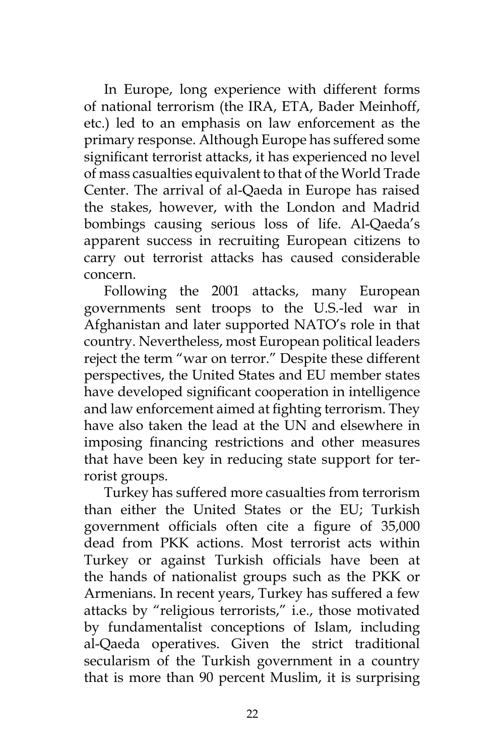In Europe, long experience with different forms of national terrorism (the IRA, ETA, Bader Meinhoff, etc.) led to an emphasis on law enforcement as the primary response. Although Europe has suffered some significant terrorist attacks, it has experienced no level of mass casualties equivalent to that of the World Trade Center. The arrival of al-Qaeda in Europe has raised the stakes, however, with the London and Madrid bombings causing serious loss of life. Al-Qaeda's apparent success in recruiting European citizens to carry out terrorist attacks has caused considerable concern.

Following the 2001 attacks, many European governments sent troops to the U.S.-led war in Afghanistan and later supported NATO's role in that country. Nevertheless, most European political leaders reject the term "war on terror." Despite these different perspectives, the United States and EU member states have developed significant cooperation in intelligence and law enforcement aimed at fighting terrorism. They have also taken the lead at the UN and elsewhere in imposing financing restrictions and other measures that have been key in reducing state support for terrorist groups.

Turkey has suffered more casualties from terrorism than either the United States or the EU; Turkish government officials often cite a figure of 35,000 dead from PKK actions. Most terrorist acts within Turkey or against Turkish officials have been at the hands of nationalist groups such as the PKK or Armenians. In recent years, Turkey has suffered a few attacks by "religious terrorists," i.e., those motivated by fundamentalist conceptions of Islam, including al-Qaeda operatives. Given the strict traditional secularism of the Turkish government in a country that is more than 90 percent Muslim, it is surprising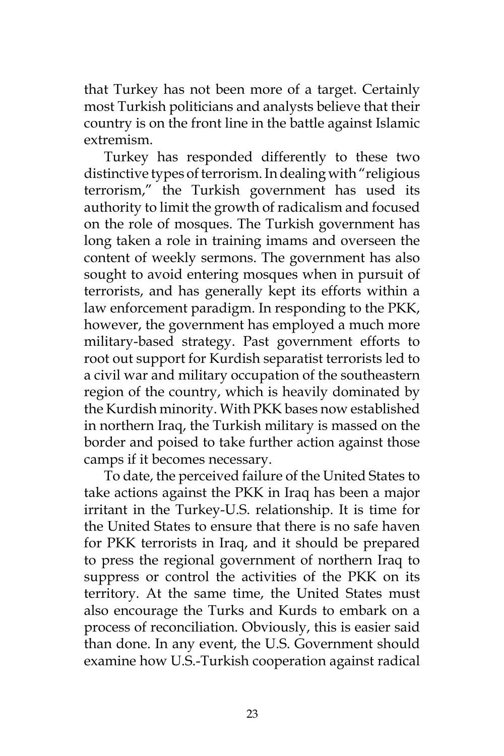that Turkey has not been more of a target. Certainly most Turkish politicians and analysts believe that their country is on the front line in the battle against Islamic extremism.

Turkey has responded differently to these two distinctive types of terrorism. In dealing with "religious terrorism," the Turkish government has used its authority to limit the growth of radicalism and focused on the role of mosques. The Turkish government has long taken a role in training imams and overseen the content of weekly sermons. The government has also sought to avoid entering mosques when in pursuit of terrorists, and has generally kept its efforts within a law enforcement paradigm. In responding to the PKK, however, the government has employed a much more military-based strategy. Past government efforts to root out support for Kurdish separatist terrorists led to a civil war and military occupation of the southeastern region of the country, which is heavily dominated by the Kurdish minority. With PKK bases now established in northern Iraq, the Turkish military is massed on the border and poised to take further action against those camps if it becomes necessary.

To date, the perceived failure of the United States to take actions against the PKK in Iraq has been a major irritant in the Turkey-U.S. relationship. It is time for the United States to ensure that there is no safe haven for PKK terrorists in Iraq, and it should be prepared to press the regional government of northern Iraq to suppress or control the activities of the PKK on its territory. At the same time, the United States must also encourage the Turks and Kurds to embark on a process of reconciliation. Obviously, this is easier said than done. In any event, the U.S. Government should examine how U.S.-Turkish cooperation against radical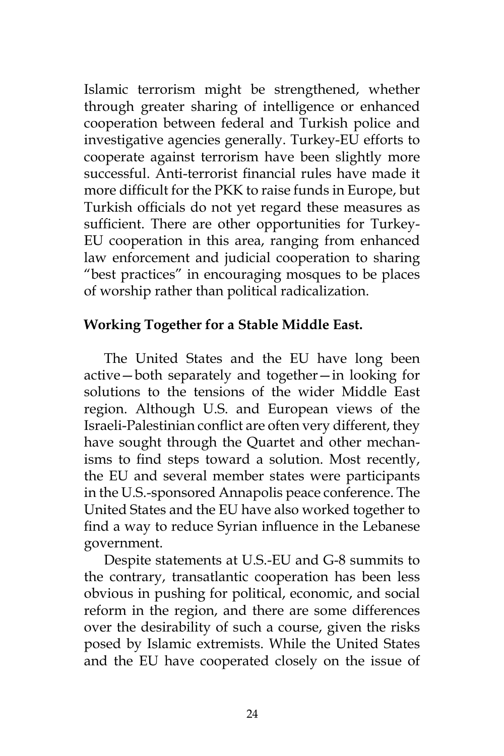Islamic terrorism might be strengthened, whether through greater sharing of intelligence or enhanced cooperation between federal and Turkish police and investigative agencies generally. Turkey-EU efforts to cooperate against terrorism have been slightly more successful. Anti-terrorist financial rules have made it more difficult for the PKK to raise funds in Europe, but Turkish officials do not yet regard these measures as sufficient. There are other opportunities for Turkey-EU cooperation in this area, ranging from enhanced law enforcement and judicial cooperation to sharing "best practices" in encouraging mosques to be places of worship rather than political radicalization.

### **Working Together for a Stable Middle East.**

The United States and the EU have long been active—both separately and together—in looking for solutions to the tensions of the wider Middle East region. Although U.S. and European views of the Israeli-Palestinian conflict are often very different, they have sought through the Quartet and other mechanisms to find steps toward a solution. Most recently, the EU and several member states were participants in the U.S.-sponsored Annapolis peace conference. The United States and the EU have also worked together to find a way to reduce Syrian influence in the Lebanese government.

Despite statements at U.S.-EU and G-8 summits to the contrary, transatlantic cooperation has been less obvious in pushing for political, economic, and social reform in the region, and there are some differences over the desirability of such a course, given the risks posed by Islamic extremists. While the United States and the EU have cooperated closely on the issue of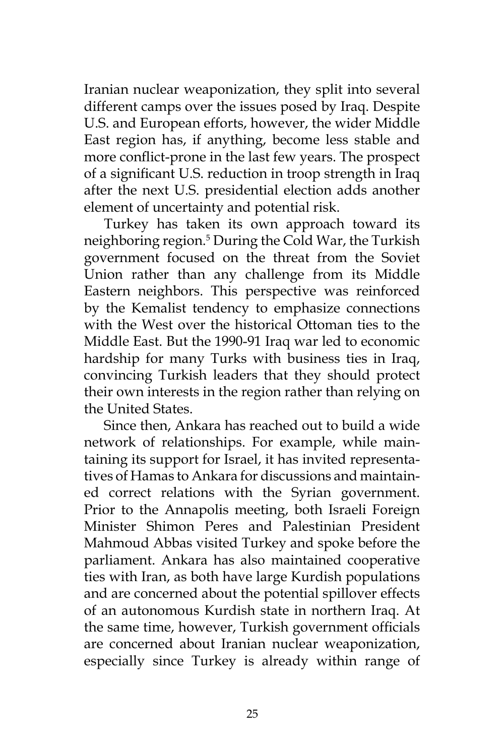Iranian nuclear weaponization, they split into several different camps over the issues posed by Iraq. Despite U.S. and European efforts, however, the wider Middle East region has, if anything, become less stable and more conflict-prone in the last few years. The prospect of a significant U.S. reduction in troop strength in Iraq after the next U.S. presidential election adds another element of uncertainty and potential risk.

Turkey has taken its own approach toward its neighboring region.5 During the Cold War, the Turkish government focused on the threat from the Soviet Union rather than any challenge from its Middle Eastern neighbors. This perspective was reinforced by the Kemalist tendency to emphasize connections with the West over the historical Ottoman ties to the Middle East. But the 1990-91 Iraq war led to economic hardship for many Turks with business ties in Iraq, convincing Turkish leaders that they should protect their own interests in the region rather than relying on the United States.

Since then, Ankara has reached out to build a wide network of relationships. For example, while maintaining its support for Israel, it has invited representatives of Hamas to Ankara for discussions and maintained correct relations with the Syrian government. Prior to the Annapolis meeting, both Israeli Foreign Minister Shimon Peres and Palestinian President Mahmoud Abbas visited Turkey and spoke before the parliament. Ankara has also maintained cooperative ties with Iran, as both have large Kurdish populations and are concerned about the potential spillover effects of an autonomous Kurdish state in northern Iraq. At the same time, however, Turkish government officials are concerned about Iranian nuclear weaponization, especially since Turkey is already within range of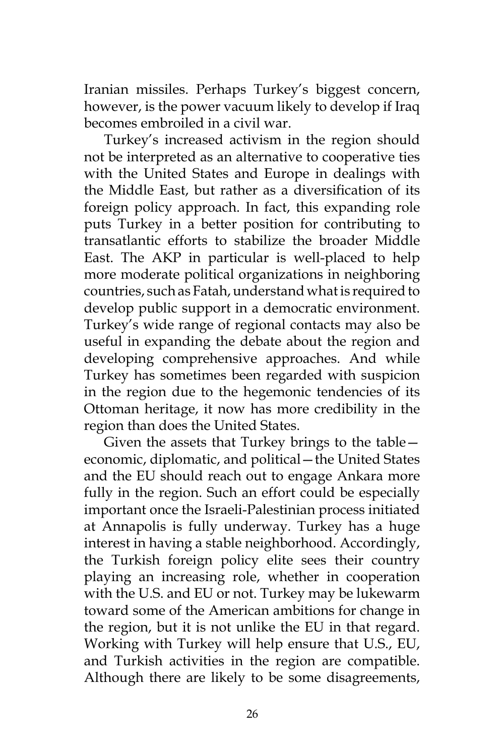Iranian missiles. Perhaps Turkey's biggest concern, however, is the power vacuum likely to develop if Iraq becomes embroiled in a civil war.

Turkey's increased activism in the region should not be interpreted as an alternative to cooperative ties with the United States and Europe in dealings with the Middle East, but rather as a diversification of its foreign policy approach. In fact, this expanding role puts Turkey in a better position for contributing to transatlantic efforts to stabilize the broader Middle East. The AKP in particular is well-placed to help more moderate political organizations in neighboring countries, such as Fatah, understand what is required to develop public support in a democratic environment. Turkey's wide range of regional contacts may also be useful in expanding the debate about the region and developing comprehensive approaches. And while Turkey has sometimes been regarded with suspicion in the region due to the hegemonic tendencies of its Ottoman heritage, it now has more credibility in the region than does the United States.

Given the assets that Turkey brings to the table economic, diplomatic, and political—the United States and the EU should reach out to engage Ankara more fully in the region. Such an effort could be especially important once the Israeli-Palestinian process initiated at Annapolis is fully underway. Turkey has a huge interest in having a stable neighborhood. Accordingly, the Turkish foreign policy elite sees their country playing an increasing role, whether in cooperation with the U.S. and EU or not. Turkey may be lukewarm toward some of the American ambitions for change in the region, but it is not unlike the EU in that regard. Working with Turkey will help ensure that U.S., EU, and Turkish activities in the region are compatible. Although there are likely to be some disagreements,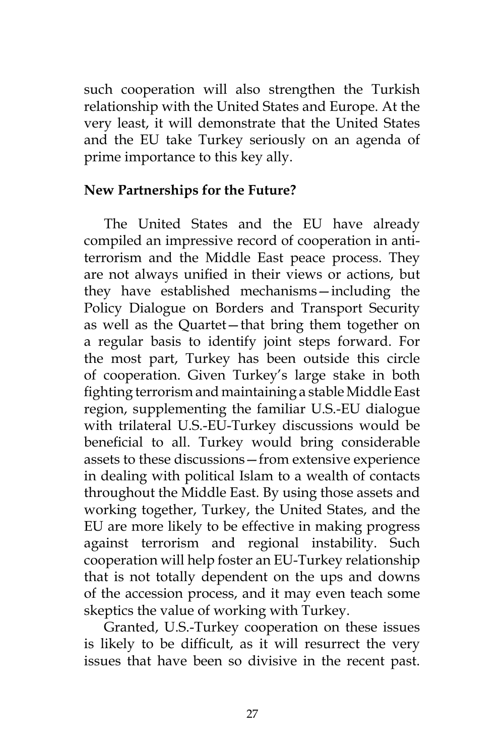such cooperation will also strengthen the Turkish relationship with the United States and Europe. At the very least, it will demonstrate that the United States and the EU take Turkey seriously on an agenda of prime importance to this key ally.

### **New Partnerships for the Future?**

The United States and the EU have already compiled an impressive record of cooperation in antiterrorism and the Middle East peace process. They are not always unified in their views or actions, but they have established mechanisms—including the Policy Dialogue on Borders and Transport Security as well as the Quartet—that bring them together on a regular basis to identify joint steps forward. For the most part, Turkey has been outside this circle of cooperation. Given Turkey's large stake in both fighting terrorism and maintaining a stable Middle East region, supplementing the familiar U.S.-EU dialogue with trilateral U.S.-EU-Turkey discussions would be beneficial to all. Turkey would bring considerable assets to these discussions—from extensive experience in dealing with political Islam to a wealth of contacts throughout the Middle East. By using those assets and working together, Turkey, the United States, and the EU are more likely to be effective in making progress against terrorism and regional instability. Such cooperation will help foster an EU-Turkey relationship that is not totally dependent on the ups and downs of the accession process, and it may even teach some skeptics the value of working with Turkey.

Granted, U.S.-Turkey cooperation on these issues is likely to be difficult, as it will resurrect the very issues that have been so divisive in the recent past.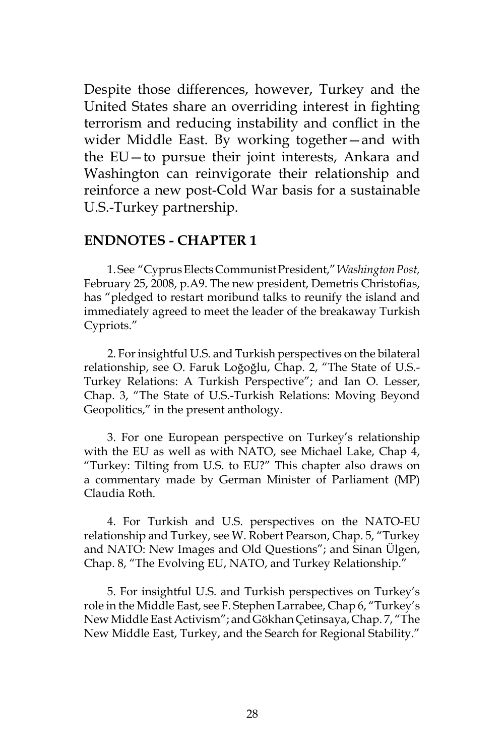Despite those differences, however, Turkey and the United States share an overriding interest in fighting terrorism and reducing instability and conflict in the wider Middle East. By working together—and with the EU—to pursue their joint interests, Ankara and Washington can reinvigorate their relationship and reinforce a new post-Cold War basis for a sustainable U.S.-Turkey partnership.

#### **ENDNOTES - CHAPTER 1**

1. See "Cyprus Elects Communist President," *Washington Post,* February 25, 2008, p.A9. The new president, Demetris Christofias, has "pledged to restart moribund talks to reunify the island and immediately agreed to meet the leader of the breakaway Turkish Cypriots."

2. For insightful U.S. and Turkish perspectives on the bilateral relationship, see O. Faruk Loğoğlu, Chap. 2, "The State of U.S.- Turkey Relations: A Turkish Perspective"; and Ian O. Lesser, Chap. 3, "The State of U.S.-Turkish Relations: Moving Beyond Geopolitics," in the present anthology.

3. For one European perspective on Turkey's relationship with the EU as well as with NATO, see Michael Lake, Chap 4, "Turkey: Tilting from U.S. to EU?" This chapter also draws on a commentary made by German Minister of Parliament (MP) Claudia Roth.

4. For Turkish and U.S. perspectives on the NATO-EU relationship and Turkey, see W. Robert Pearson, Chap. 5, "Turkey and NATO: New Images and Old Questions"; and Sinan Ülgen, Chap. 8, "The Evolving EU, NATO, and Turkey Relationship."

5. For insightful U.S. and Turkish perspectives on Turkey's role in the Middle East, see F. Stephen Larrabee, Chap 6, "Turkey's New Middle East Activism"; and Gökhan Çetinsaya, Chap. 7, "The New Middle East, Turkey, and the Search for Regional Stability."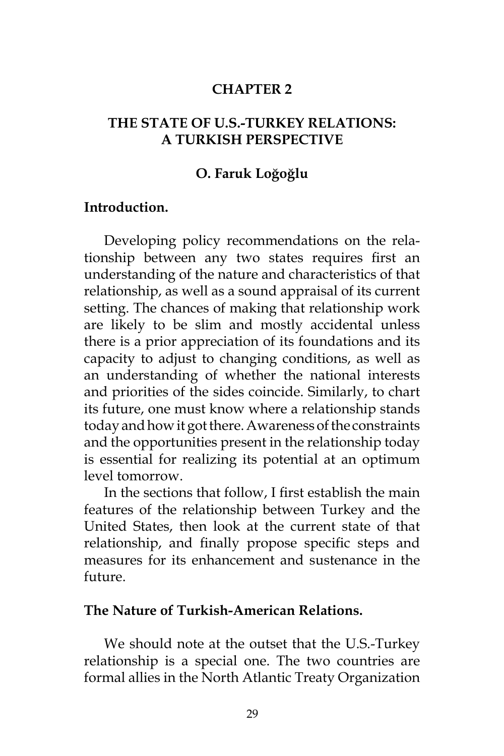#### **CHAPTER 2**

### **THE STATE OF U.S.-TURKEY RELATIONS: A TURKISH PERSPECTIVE**

#### **O. Faruk Loğoğlu**

#### **Introduction.**

Developing policy recommendations on the relationship between any two states requires first an understanding of the nature and characteristics of that relationship, as well as a sound appraisal of its current setting. The chances of making that relationship work are likely to be slim and mostly accidental unless there is a prior appreciation of its foundations and its capacity to adjust to changing conditions, as well as an understanding of whether the national interests and priorities of the sides coincide. Similarly, to chart its future, one must know where a relationship stands today and how it got there. Awareness of the constraints and the opportunities present in the relationship today is essential for realizing its potential at an optimum level tomorrow.

In the sections that follow, I first establish the main features of the relationship between Turkey and the United States, then look at the current state of that relationship, and finally propose specific steps and measures for its enhancement and sustenance in the future.

#### **The Nature of Turkish-American Relations.**

We should note at the outset that the U.S.-Turkey relationship is a special one. The two countries are formal allies in the North Atlantic Treaty Organization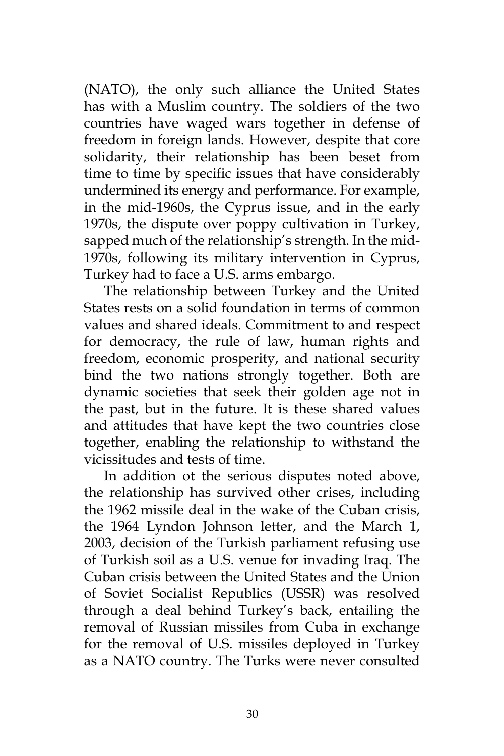(NATO), the only such alliance the United States has with a Muslim country. The soldiers of the two countries have waged wars together in defense of freedom in foreign lands. However, despite that core solidarity, their relationship has been beset from time to time by specific issues that have considerably undermined its energy and performance. For example, in the mid-1960s, the Cyprus issue, and in the early 1970s, the dispute over poppy cultivation in Turkey, sapped much of the relationship's strength. In the mid-1970s, following its military intervention in Cyprus, Turkey had to face a U.S. arms embargo.

The relationship between Turkey and the United States rests on a solid foundation in terms of common values and shared ideals. Commitment to and respect for democracy, the rule of law, human rights and freedom, economic prosperity, and national security bind the two nations strongly together. Both are dynamic societies that seek their golden age not in the past, but in the future. It is these shared values and attitudes that have kept the two countries close together, enabling the relationship to withstand the vicissitudes and tests of time.

In addition ot the serious disputes noted above, the relationship has survived other crises, including the 1962 missile deal in the wake of the Cuban crisis, the 1964 Lyndon Johnson letter, and the March 1, 2003, decision of the Turkish parliament refusing use of Turkish soil as a U.S. venue for invading Iraq. The Cuban crisis between the United States and the Union of Soviet Socialist Republics (USSR) was resolved through a deal behind Turkey's back, entailing the removal of Russian missiles from Cuba in exchange for the removal of U.S. missiles deployed in Turkey as a NATO country. The Turks were never consulted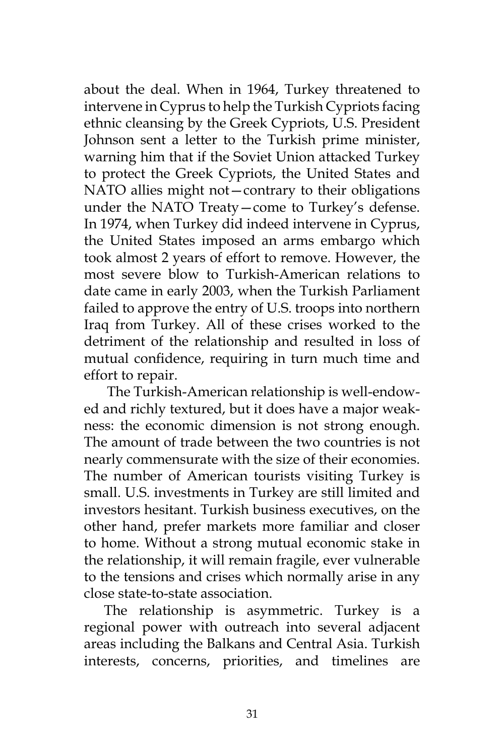about the deal. When in 1964, Turkey threatened to intervene in Cyprus to help the Turkish Cypriots facing ethnic cleansing by the Greek Cypriots, U.S. President Johnson sent a letter to the Turkish prime minister, warning him that if the Soviet Union attacked Turkey to protect the Greek Cypriots, the United States and NATO allies might not—contrary to their obligations under the NATO Treaty—come to Turkey's defense. In 1974, when Turkey did indeed intervene in Cyprus, the United States imposed an arms embargo which took almost 2 years of effort to remove. However, the most severe blow to Turkish-American relations to date came in early 2003, when the Turkish Parliament failed to approve the entry of U.S. troops into northern Iraq from Turkey. All of these crises worked to the detriment of the relationship and resulted in loss of mutual confidence, requiring in turn much time and effort to repair.

 The Turkish-American relationship is well-endowed and richly textured, but it does have a major weakness: the economic dimension is not strong enough. The amount of trade between the two countries is not nearly commensurate with the size of their economies. The number of American tourists visiting Turkey is small. U.S. investments in Turkey are still limited and investors hesitant. Turkish business executives, on the other hand, prefer markets more familiar and closer to home. Without a strong mutual economic stake in the relationship, it will remain fragile, ever vulnerable to the tensions and crises which normally arise in any close state-to-state association.

The relationship is asymmetric. Turkey is a regional power with outreach into several adjacent areas including the Balkans and Central Asia. Turkish interests, concerns, priorities, and timelines are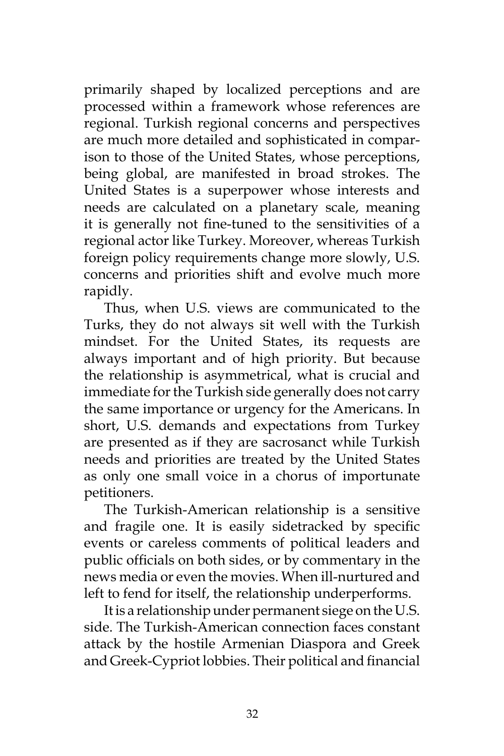primarily shaped by localized perceptions and are processed within a framework whose references are regional. Turkish regional concerns and perspectives are much more detailed and sophisticated in comparison to those of the United States, whose perceptions, being global, are manifested in broad strokes. The United States is a superpower whose interests and needs are calculated on a planetary scale, meaning it is generally not fine-tuned to the sensitivities of a regional actor like Turkey. Moreover, whereas Turkish foreign policy requirements change more slowly, U.S. concerns and priorities shift and evolve much more rapidly.

Thus, when U.S. views are communicated to the Turks, they do not always sit well with the Turkish mindset. For the United States, its requests are always important and of high priority. But because the relationship is asymmetrical, what is crucial and immediate for the Turkish side generally does not carry the same importance or urgency for the Americans. In short, U.S. demands and expectations from Turkey are presented as if they are sacrosanct while Turkish needs and priorities are treated by the United States as only one small voice in a chorus of importunate petitioners.

The Turkish-American relationship is a sensitive and fragile one. It is easily sidetracked by specific events or careless comments of political leaders and public officials on both sides, or by commentary in the news media or even the movies. When ill-nurtured and left to fend for itself, the relationship underperforms.

It is a relationship under permanent siege on the U.S. side. The Turkish-American connection faces constant attack by the hostile Armenian Diaspora and Greek and Greek-Cypriot lobbies. Their political and financial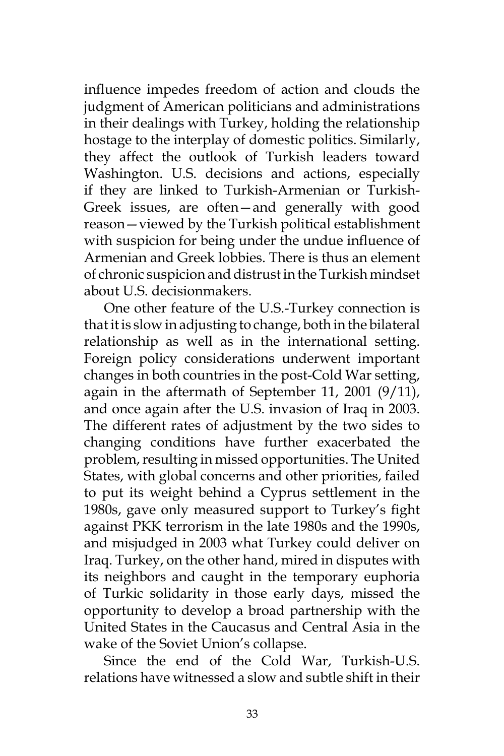influence impedes freedom of action and clouds the judgment of American politicians and administrations in their dealings with Turkey, holding the relationship hostage to the interplay of domestic politics. Similarly, they affect the outlook of Turkish leaders toward Washington. U.S. decisions and actions, especially if they are linked to Turkish-Armenian or Turkish-Greek issues, are often—and generally with good reason—viewed by the Turkish political establishment with suspicion for being under the undue influence of Armenian and Greek lobbies. There is thus an element of chronic suspicion and distrust in the Turkish mindset about U.S. decisionmakers.

One other feature of the U.S.-Turkey connection is that it is slow in adjusting to change, both in the bilateral relationship as well as in the international setting. Foreign policy considerations underwent important changes in both countries in the post-Cold War setting, again in the aftermath of September 11, 2001 (9/11), and once again after the U.S. invasion of Iraq in 2003. The different rates of adjustment by the two sides to changing conditions have further exacerbated the problem, resulting in missed opportunities. The United States, with global concerns and other priorities, failed to put its weight behind a Cyprus settlement in the 1980s, gave only measured support to Turkey's fight against PKK terrorism in the late 1980s and the 1990s, and misjudged in 2003 what Turkey could deliver on Iraq. Turkey, on the other hand, mired in disputes with its neighbors and caught in the temporary euphoria of Turkic solidarity in those early days, missed the opportunity to develop a broad partnership with the United States in the Caucasus and Central Asia in the wake of the Soviet Union's collapse.

Since the end of the Cold War, Turkish-U.S. relations have witnessed a slow and subtle shift in their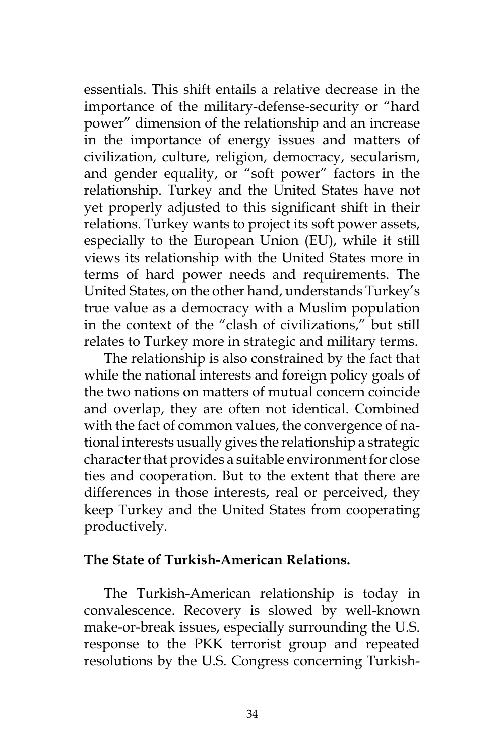essentials. This shift entails a relative decrease in the importance of the military-defense-security or "hard power" dimension of the relationship and an increase in the importance of energy issues and matters of civilization, culture, religion, democracy, secularism, and gender equality, or "soft power" factors in the relationship. Turkey and the United States have not yet properly adjusted to this significant shift in their relations. Turkey wants to project its soft power assets, especially to the European Union (EU), while it still views its relationship with the United States more in terms of hard power needs and requirements. The United States, on the other hand, understands Turkey's true value as a democracy with a Muslim population in the context of the "clash of civilizations," but still relates to Turkey more in strategic and military terms.

The relationship is also constrained by the fact that while the national interests and foreign policy goals of the two nations on matters of mutual concern coincide and overlap, they are often not identical. Combined with the fact of common values, the convergence of national interests usually gives the relationship a strategic character that provides a suitable environment for close ties and cooperation. But to the extent that there are differences in those interests, real or perceived, they keep Turkey and the United States from cooperating productively.

### **The State of Turkish-American Relations.**

The Turkish-American relationship is today in convalescence. Recovery is slowed by well-known make-or-break issues, especially surrounding the U.S. response to the PKK terrorist group and repeated resolutions by the U.S. Congress concerning Turkish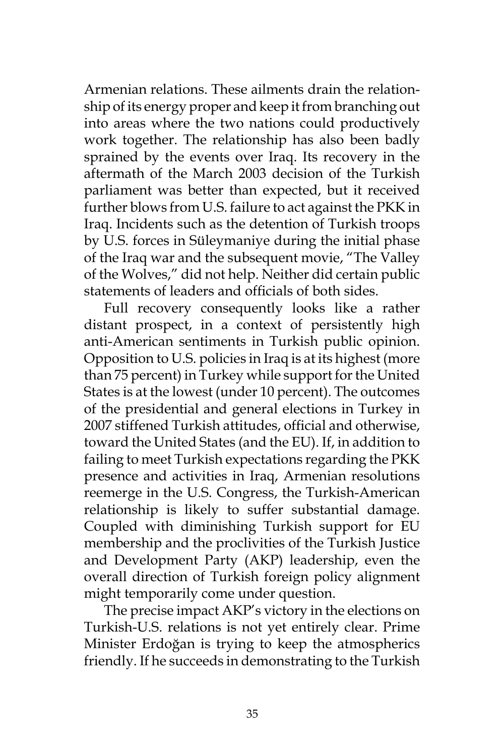Armenian relations. These ailments drain the relationship of its energy proper and keep it from branching out into areas where the two nations could productively work together. The relationship has also been badly sprained by the events over Iraq. Its recovery in the aftermath of the March 2003 decision of the Turkish parliament was better than expected, but it received further blows from U.S. failure to act against the PKK in Iraq. Incidents such as the detention of Turkish troops by U.S. forces in Süleymaniye during the initial phase of the Iraq war and the subsequent movie, "The Valley of the Wolves," did not help. Neither did certain public statements of leaders and officials of both sides.

Full recovery consequently looks like a rather distant prospect, in a context of persistently high anti-American sentiments in Turkish public opinion. Opposition to U.S. policies in Iraq is at its highest (more than 75 percent) in Turkey while support for the United States is at the lowest (under 10 percent). The outcomes of the presidential and general elections in Turkey in 2007 stiffened Turkish attitudes, official and otherwise, toward the United States (and the EU). If, in addition to failing to meet Turkish expectations regarding the PKK presence and activities in Iraq, Armenian resolutions reemerge in the U.S. Congress, the Turkish-American relationship is likely to suffer substantial damage. Coupled with diminishing Turkish support for EU membership and the proclivities of the Turkish Justice and Development Party (AKP) leadership, even the overall direction of Turkish foreign policy alignment might temporarily come under question.

The precise impact AKP's victory in the elections on Turkish-U.S. relations is not yet entirely clear. Prime Minister Erdoğan is trying to keep the atmospherics friendly. If he succeeds in demonstrating to the Turkish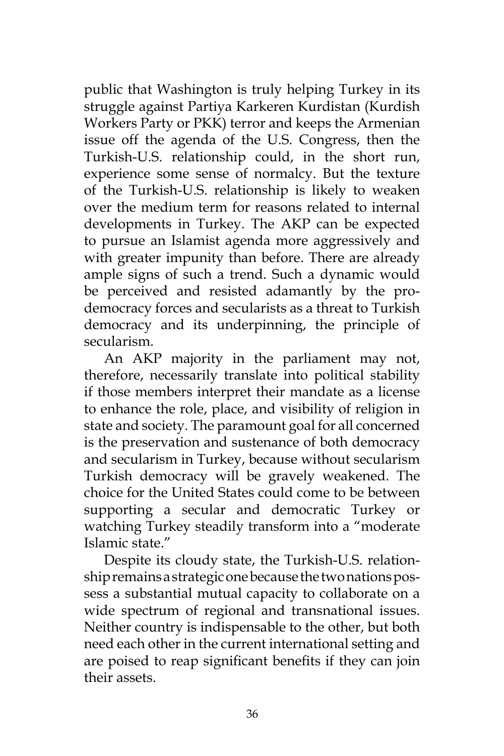public that Washington is truly helping Turkey in its struggle against Partiya Karkeren Kurdistan (Kurdish Workers Party or PKK) terror and keeps the Armenian issue off the agenda of the U.S. Congress, then the Turkish-U.S. relationship could, in the short run, experience some sense of normalcy. But the texture of the Turkish-U.S. relationship is likely to weaken over the medium term for reasons related to internal developments in Turkey. The AKP can be expected to pursue an Islamist agenda more aggressively and with greater impunity than before. There are already ample signs of such a trend. Such a dynamic would be perceived and resisted adamantly by the prodemocracy forces and secularists as a threat to Turkish democracy and its underpinning, the principle of secularism.

An AKP majority in the parliament may not, therefore, necessarily translate into political stability if those members interpret their mandate as a license to enhance the role, place, and visibility of religion in state and society. The paramount goal for all concerned is the preservation and sustenance of both democracy and secularism in Turkey, because without secularism Turkish democracy will be gravely weakened. The choice for the United States could come to be between supporting a secular and democratic Turkey or watching Turkey steadily transform into a "moderate Islamic state."

Despite its cloudy state, the Turkish-U.S. relationship remains a strategic one because the two nations possess a substantial mutual capacity to collaborate on a wide spectrum of regional and transnational issues. Neither country is indispensable to the other, but both need each other in the current international setting and are poised to reap significant benefits if they can join their assets.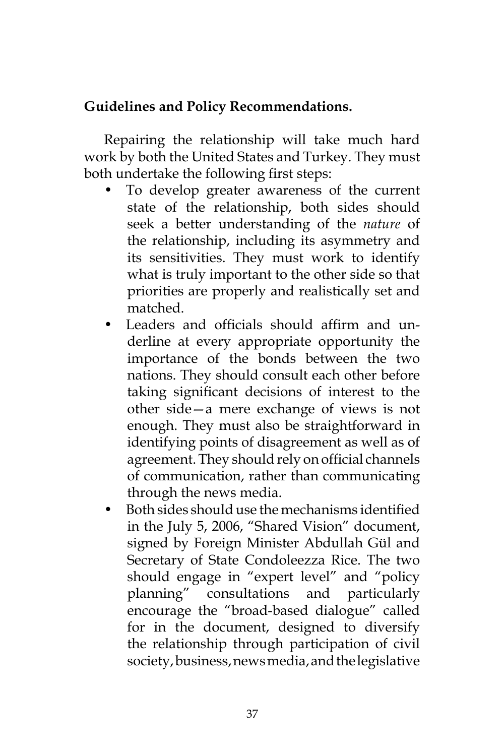## **Guidelines and Policy Recommendations.**

Repairing the relationship will take much hard work by both the United States and Turkey. They must both undertake the following first steps:

- To develop greater awareness of the current state of the relationship, both sides should seek a better understanding of the *nature* of the relationship, including its asymmetry and its sensitivities. They must work to identify what is truly important to the other side so that priorities are properly and realistically set and matched.
- Leaders and officials should affirm and underline at every appropriate opportunity the importance of the bonds between the two nations. They should consult each other before taking significant decisions of interest to the other side—a mere exchange of views is not enough. They must also be straightforward in identifying points of disagreement as well as of agreement. They should rely on official channels of communication, rather than communicating through the news media.
- Both sides should use the mechanisms identified in the July 5, 2006, "Shared Vision" document, signed by Foreign Minister Abdullah Gül and Secretary of State Condoleezza Rice. The two should engage in "expert level" and "policy planning" consultations and particularly encourage the "broad-based dialogue" called for in the document, designed to diversify the relationship through participation of civil society, business, news media, and the legislative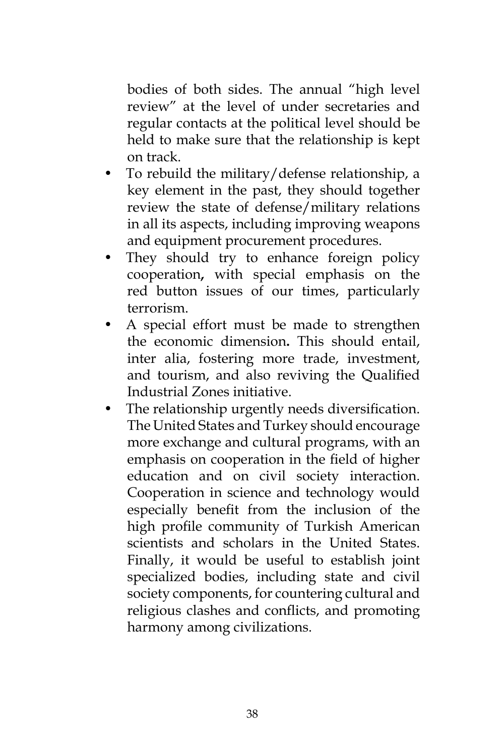bodies of both sides. The annual "high level review" at the level of under secretaries and regular contacts at the political level should be held to make sure that the relationship is kept on track.

- To rebuild the military/defense relationship, a key element in the past, they should together review the state of defense/military relations in all its aspects, including improving weapons and equipment procurement procedures.
- They should try to enhance foreign policy cooperation**,** with special emphasis on the red button issues of our times, particularly terrorism.
- A special effort must be made to strengthen the economic dimension**.** This should entail, inter alia, fostering more trade, investment, and tourism, and also reviving the Qualified Industrial Zones initiative.
- The relationship urgently needs diversification. The United States and Turkey should encourage more exchange and cultural programs, with an emphasis on cooperation in the field of higher education and on civil society interaction. Cooperation in science and technology would especially benefit from the inclusion of the high profile community of Turkish American scientists and scholars in the United States. Finally, it would be useful to establish joint specialized bodies, including state and civil society components, for countering cultural and religious clashes and conflicts, and promoting harmony among civilizations.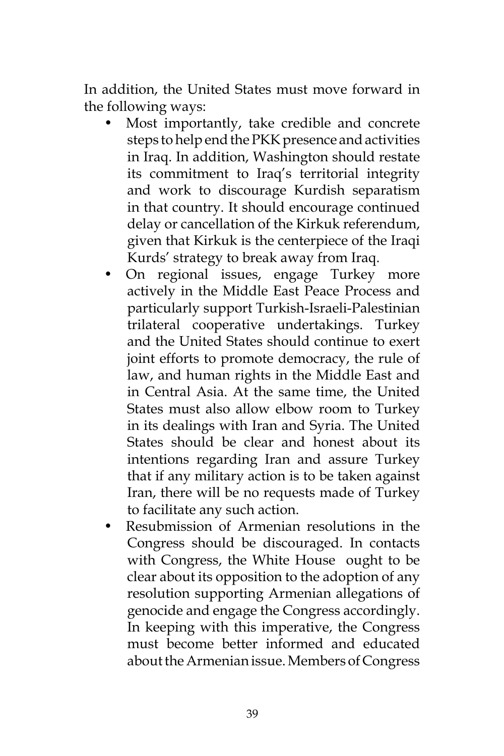In addition, the United States must move forward in the following ways:

- Most importantly, take credible and concrete steps to help end the PKK presence and activities in Iraq. In addition, Washington should restate its commitment to Iraq's territorial integrity and work to discourage Kurdish separatism in that country. It should encourage continued delay or cancellation of the Kirkuk referendum, given that Kirkuk is the centerpiece of the Iraqi Kurds' strategy to break away from Iraq.
- On regional issues, engage Turkey more actively in the Middle East Peace Process and particularly support Turkish-Israeli-Palestinian trilateral cooperative undertakings. Turkey and the United States should continue to exert joint efforts to promote democracy, the rule of law, and human rights in the Middle East and in Central Asia. At the same time, the United States must also allow elbow room to Turkey in its dealings with Iran and Syria. The United States should be clear and honest about its intentions regarding Iran and assure Turkey that if any military action is to be taken against Iran, there will be no requests made of Turkey to facilitate any such action.
- Resubmission of Armenian resolutions in the Congress should be discouraged. In contacts with Congress, the White House ought to be clear about its opposition to the adoption of any resolution supporting Armenian allegations of genocide and engage the Congress accordingly. In keeping with this imperative, the Congress must become better informed and educated about the Armenian issue. Members of Congress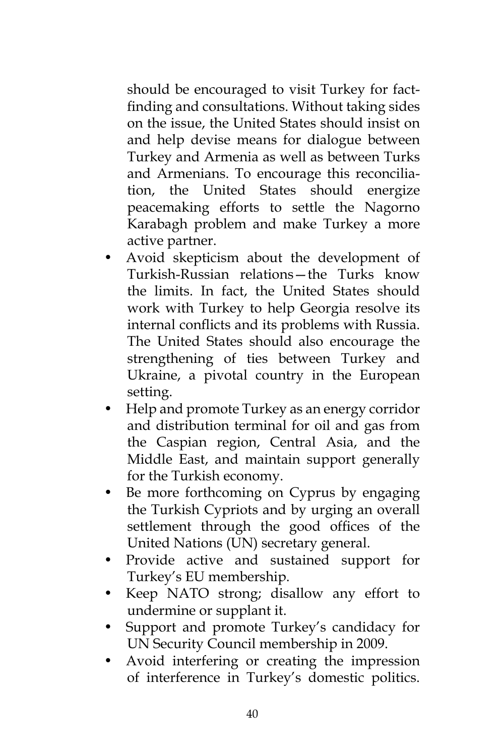should be encouraged to visit Turkey for factfinding and consultations. Without taking sides on the issue, the United States should insist on and help devise means for dialogue between Turkey and Armenia as well as between Turks and Armenians. To encourage this reconciliation, the United States should energize peacemaking efforts to settle the Nagorno Karabagh problem and make Turkey a more active partner.

- Avoid skepticism about the development of Turkish-Russian relations—the Turks know the limits. In fact, the United States should work with Turkey to help Georgia resolve its internal conflicts and its problems with Russia. The United States should also encourage the strengthening of ties between Turkey and Ukraine, a pivotal country in the European setting.
- Help and promote Turkey as an energy corridor and distribution terminal for oil and gas from the Caspian region, Central Asia, and the Middle East, and maintain support generally for the Turkish economy.
- Be more forthcoming on Cyprus by engaging the Turkish Cypriots and by urging an overall settlement through the good offices of the United Nations (UN) secretary general.
- Provide active and sustained support for Turkey's EU membership.
- Keep NATO strong; disallow any effort to undermine or supplant it.
- Support and promote Turkey's candidacy for UN Security Council membership in 2009.
- Avoid interfering or creating the impression of interference in Turkey's domestic politics.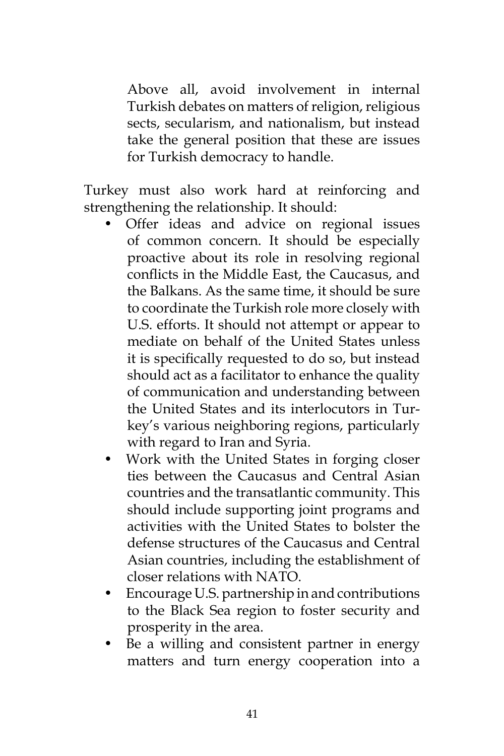Above all, avoid involvement in internal Turkish debates on matters of religion, religious sects, secularism, and nationalism, but instead take the general position that these are issues for Turkish democracy to handle.

Turkey must also work hard at reinforcing and strengthening the relationship. It should:

- Offer ideas and advice on regional issues of common concern. It should be especially proactive about its role in resolving regional conflicts in the Middle East, the Caucasus, and the Balkans. As the same time, it should be sure to coordinate the Turkish role more closely with U.S. efforts. It should not attempt or appear to mediate on behalf of the United States unless it is specifically requested to do so, but instead should act as a facilitator to enhance the quality of communication and understanding between the United States and its interlocutors in Turkey's various neighboring regions, particularly with regard to Iran and Syria.
- Work with the United States in forging closer ties between the Caucasus and Central Asian countries and the transatlantic community. This should include supporting joint programs and activities with the United States to bolster the defense structures of the Caucasus and Central Asian countries, including the establishment of closer relations with NATO.
- Encourage U.S. partnership in and contributions to the Black Sea region to foster security and prosperity in the area.
- Be a willing and consistent partner in energy matters and turn energy cooperation into a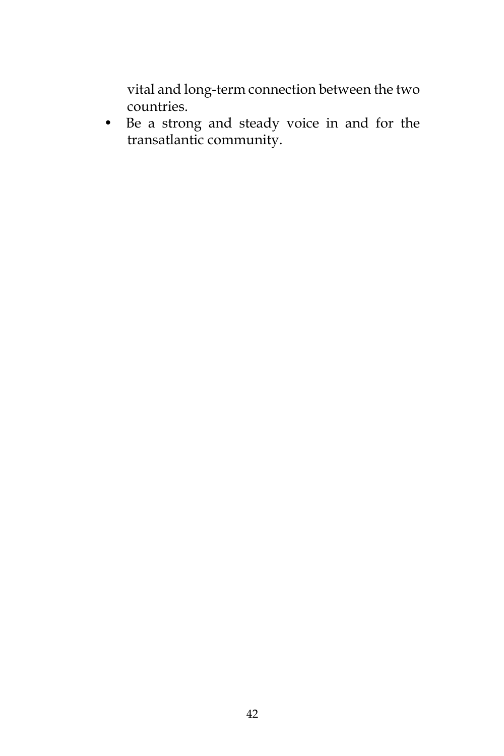vital and long-term connection between the two countries.

• Be a strong and steady voice in and for the transatlantic community.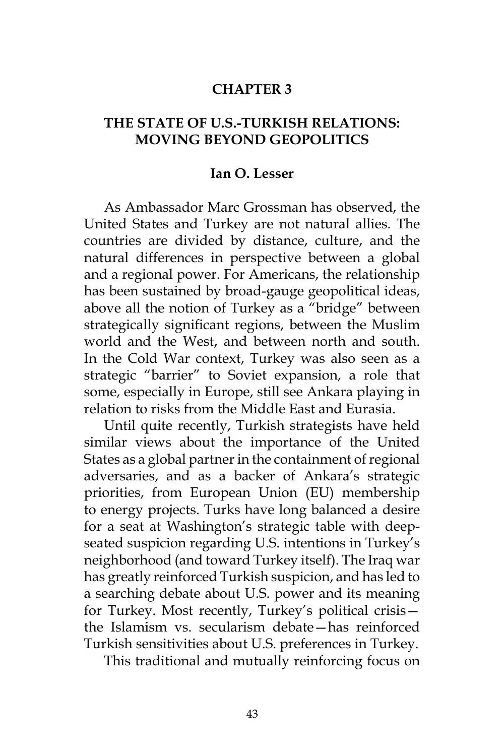### **CHAPTER 3**

### **THE STATE OF U.S.-TURKISH RELATIONS: MOVING BEYOND GEOPOLITICS**

#### **Ian O. Lesser**

As Ambassador Marc Grossman has observed, the United States and Turkey are not natural allies. The countries are divided by distance, culture, and the natural differences in perspective between a global and a regional power. For Americans, the relationship has been sustained by broad-gauge geopolitical ideas, above all the notion of Turkey as a "bridge" between strategically significant regions, between the Muslim world and the West, and between north and south. In the Cold War context, Turkey was also seen as a strategic "barrier" to Soviet expansion, a role that some, especially in Europe, still see Ankara playing in relation to risks from the Middle East and Eurasia.

Until quite recently, Turkish strategists have held similar views about the importance of the United States as a global partner in the containment of regional adversaries, and as a backer of Ankara's strategic priorities, from European Union (EU) membership to energy projects. Turks have long balanced a desire for a seat at Washington's strategic table with deepseated suspicion regarding U.S. intentions in Turkey's neighborhood (and toward Turkey itself). The Iraq war has greatly reinforced Turkish suspicion, and has led to a searching debate about U.S. power and its meaning for Turkey. Most recently, Turkey's political crisis the Islamism vs. secularism debate—has reinforced Turkish sensitivities about U.S. preferences in Turkey.

This traditional and mutually reinforcing focus on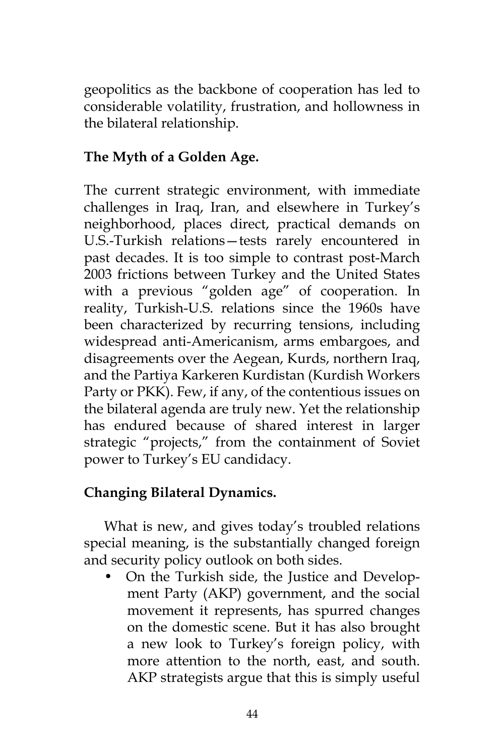geopolitics as the backbone of cooperation has led to considerable volatility, frustration, and hollowness in the bilateral relationship.

# **The Myth of a Golden Age.**

The current strategic environment, with immediate challenges in Iraq, Iran, and elsewhere in Turkey's neighborhood, places direct, practical demands on U.S.-Turkish relations—tests rarely encountered in past decades. It is too simple to contrast post-March 2003 frictions between Turkey and the United States with a previous "golden age" of cooperation. In reality, Turkish-U.S. relations since the 1960s have been characterized by recurring tensions, including widespread anti-Americanism, arms embargoes, and disagreements over the Aegean, Kurds, northern Iraq, and the Partiya Karkeren Kurdistan (Kurdish Workers Party or PKK). Few, if any, of the contentious issues on the bilateral agenda are truly new. Yet the relationship has endured because of shared interest in larger strategic "projects," from the containment of Soviet power to Turkey's EU candidacy.

# **Changing Bilateral Dynamics.**

What is new, and gives today's troubled relations special meaning, is the substantially changed foreign and security policy outlook on both sides.

• On the Turkish side, the Justice and Development Party (AKP) government, and the social movement it represents, has spurred changes on the domestic scene. But it has also brought a new look to Turkey's foreign policy, with more attention to the north, east, and south. AKP strategists argue that this is simply useful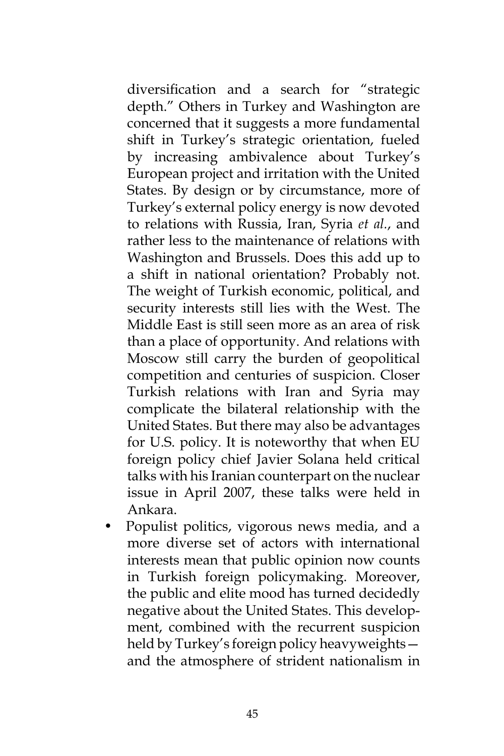diversification and a search for "strategic depth." Others in Turkey and Washington are concerned that it suggests a more fundamental shift in Turkey's strategic orientation, fueled by increasing ambivalence about Turkey's European project and irritation with the United States. By design or by circumstance, more of Turkey's external policy energy is now devoted to relations with Russia, Iran, Syria *et al.*, and rather less to the maintenance of relations with Washington and Brussels. Does this add up to a shift in national orientation? Probably not. The weight of Turkish economic, political, and security interests still lies with the West. The Middle East is still seen more as an area of risk than a place of opportunity. And relations with Moscow still carry the burden of geopolitical competition and centuries of suspicion. Closer Turkish relations with Iran and Syria may complicate the bilateral relationship with the United States. But there may also be advantages for U.S. policy. It is noteworthy that when EU foreign policy chief Javier Solana held critical talks with his Iranian counterpart on the nuclear issue in April 2007, these talks were held in Ankara.

• Populist politics, vigorous news media, and a more diverse set of actors with international interests mean that public opinion now counts in Turkish foreign policymaking. Moreover, the public and elite mood has turned decidedly negative about the United States. This development, combined with the recurrent suspicion held by Turkey's foreign policy heavyweights and the atmosphere of strident nationalism in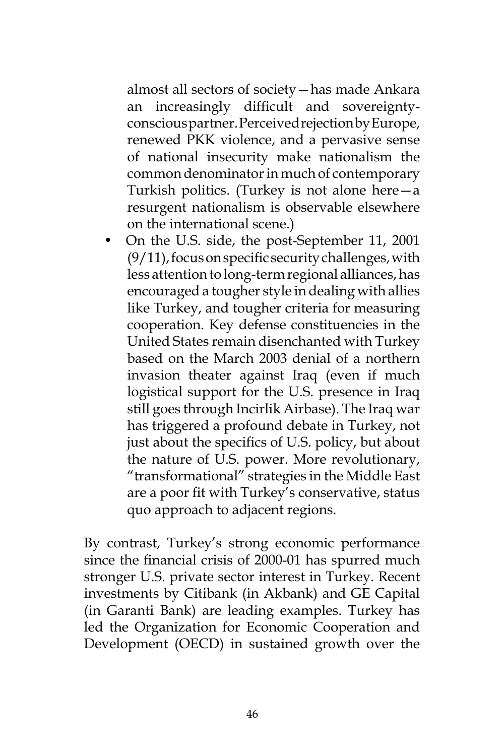almost all sectors of society—has made Ankara an increasingly difficult and sovereigntyconscious partner. Perceived rejection by Europe, renewed PKK violence, and a pervasive sense of national insecurity make nationalism the common denominator in much of contemporary Turkish politics. (Turkey is not alone here—a resurgent nationalism is observable elsewhere on the international scene.)

• On the U.S. side, the post-September 11, 2001 (9/11), focus on specific security challenges, with less attention to long-term regional alliances, has encouraged a tougher style in dealing with allies like Turkey, and tougher criteria for measuring cooperation. Key defense constituencies in the United States remain disenchanted with Turkey based on the March 2003 denial of a northern invasion theater against Iraq (even if much logistical support for the U.S. presence in Iraq still goes through Incirlik Airbase). The Iraq war has triggered a profound debate in Turkey, not just about the specifics of U.S. policy, but about the nature of U.S. power. More revolutionary, "transformational" strategies in the Middle East are a poor fit with Turkey's conservative, status quo approach to adjacent regions.

By contrast, Turkey's strong economic performance since the financial crisis of 2000-01 has spurred much stronger U.S. private sector interest in Turkey. Recent investments by Citibank (in Akbank) and GE Capital (in Garanti Bank) are leading examples. Turkey has led the Organization for Economic Cooperation and Development (OECD) in sustained growth over the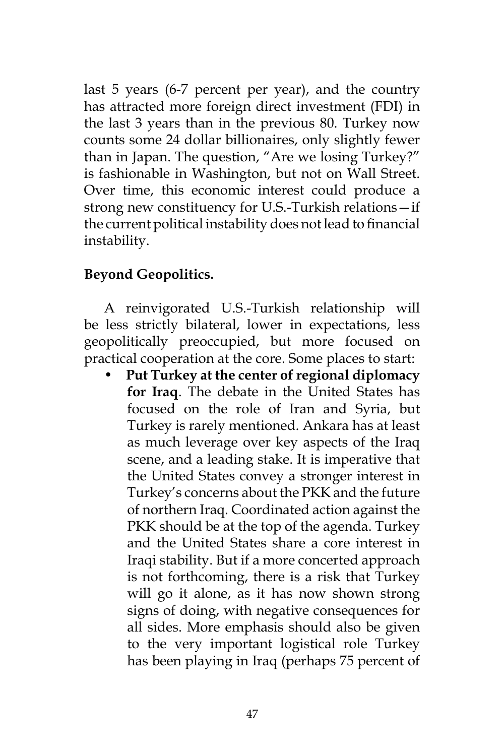last 5 years (6-7 percent per year), and the country has attracted more foreign direct investment (FDI) in the last 3 years than in the previous 80. Turkey now counts some 24 dollar billionaires, only slightly fewer than in Japan. The question, "Are we losing Turkey?" is fashionable in Washington, but not on Wall Street. Over time, this economic interest could produce a strong new constituency for U.S.-Turkish relations—if the current political instability does not lead to financial instability.

## **Beyond Geopolitics.**

A reinvigorated U.S.-Turkish relationship will be less strictly bilateral, lower in expectations, less geopolitically preoccupied, but more focused on practical cooperation at the core. Some places to start:

• **Put Turkey at the center of regional diplomacy for Iraq**. The debate in the United States has focused on the role of Iran and Syria, but Turkey is rarely mentioned. Ankara has at least as much leverage over key aspects of the Iraq scene, and a leading stake. It is imperative that the United States convey a stronger interest in Turkey's concerns about the PKK and the future of northern Iraq. Coordinated action against the PKK should be at the top of the agenda. Turkey and the United States share a core interest in Iraqi stability. But if a more concerted approach is not forthcoming, there is a risk that Turkey will go it alone, as it has now shown strong signs of doing, with negative consequences for all sides. More emphasis should also be given to the very important logistical role Turkey has been playing in Iraq (perhaps 75 percent of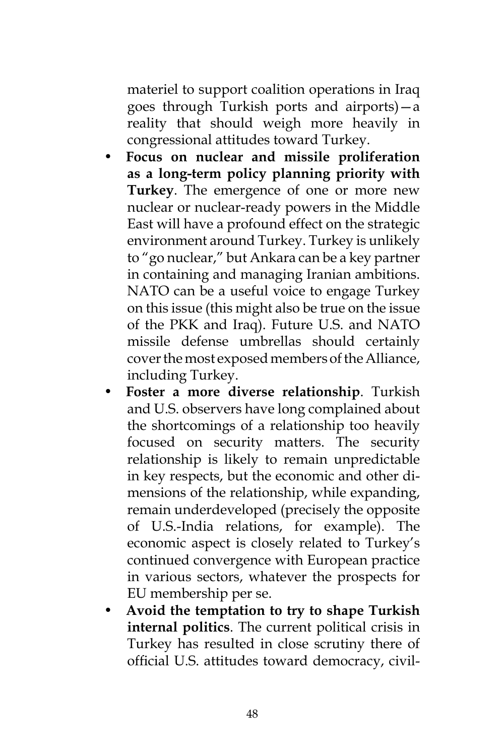materiel to support coalition operations in Iraq goes through Turkish ports and airports)—a reality that should weigh more heavily in congressional attitudes toward Turkey.

- **Focus on nuclear and missile proliferation as a long-term policy planning priority with Turkey**. The emergence of one or more new nuclear or nuclear-ready powers in the Middle East will have a profound effect on the strategic environment around Turkey. Turkey is unlikely to "go nuclear," but Ankara can be a key partner in containing and managing Iranian ambitions. NATO can be a useful voice to engage Turkey on this issue (this might also be true on the issue of the PKK and Iraq). Future U.S. and NATO missile defense umbrellas should certainly cover the most exposed members of the Alliance, including Turkey.
- **Foster a more diverse relationship**. Turkish and U.S. observers have long complained about the shortcomings of a relationship too heavily focused on security matters. The security relationship is likely to remain unpredictable in key respects, but the economic and other dimensions of the relationship, while expanding, remain underdeveloped (precisely the opposite of U.S.-India relations, for example). The economic aspect is closely related to Turkey's continued convergence with European practice in various sectors, whatever the prospects for EU membership per se.
- **Avoid the temptation to try to shape Turkish internal politics**. The current political crisis in Turkey has resulted in close scrutiny there of official U.S. attitudes toward democracy, civil-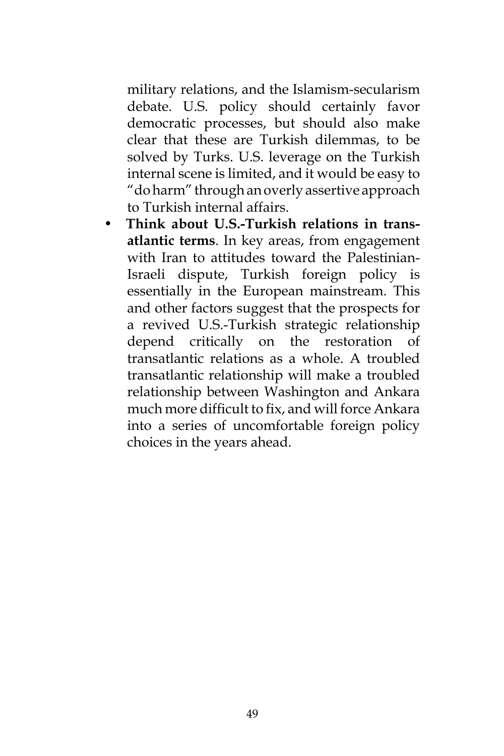military relations, and the Islamism-secularism debate. U.S. policy should certainly favor democratic processes, but should also make clear that these are Turkish dilemmas, to be solved by Turks. U.S. leverage on the Turkish internal scene is limited, and it would be easy to "do harm" through an overly assertive approach to Turkish internal affairs.

• **Think about U.S.-Turkish relations in transatlantic terms**. In key areas, from engagement with Iran to attitudes toward the Palestinian-Israeli dispute, Turkish foreign policy is essentially in the European mainstream. This and other factors suggest that the prospects for a revived U.S.-Turkish strategic relationship depend critically on the restoration of transatlantic relations as a whole. A troubled transatlantic relationship will make a troubled relationship between Washington and Ankara much more difficult to fix, and will force Ankara into a series of uncomfortable foreign policy choices in the years ahead.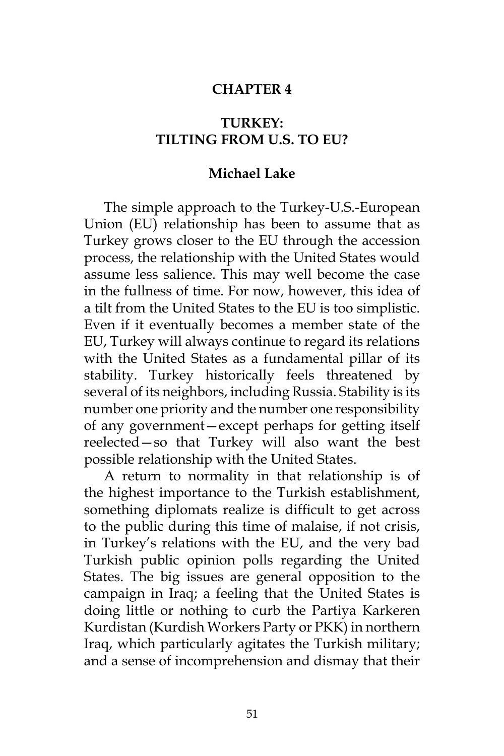### **CHAPTER 4**

## **TURKEY: TILTING FROM U.S. TO EU?**

#### **Michael Lake**

The simple approach to the Turkey-U.S.-European Union (EU) relationship has been to assume that as Turkey grows closer to the EU through the accession process, the relationship with the United States would assume less salience. This may well become the case in the fullness of time. For now, however, this idea of a tilt from the United States to the EU is too simplistic. Even if it eventually becomes a member state of the EU, Turkey will always continue to regard its relations with the United States as a fundamental pillar of its stability. Turkey historically feels threatened by several of its neighbors, including Russia. Stability is its number one priority and the number one responsibility of any government—except perhaps for getting itself reelected—so that Turkey will also want the best possible relationship with the United States.

A return to normality in that relationship is of the highest importance to the Turkish establishment, something diplomats realize is difficult to get across to the public during this time of malaise, if not crisis, in Turkey's relations with the EU, and the very bad Turkish public opinion polls regarding the United States. The big issues are general opposition to the campaign in Iraq; a feeling that the United States is doing little or nothing to curb the Partiya Karkeren Kurdistan (Kurdish Workers Party or PKK) in northern Iraq, which particularly agitates the Turkish military; and a sense of incomprehension and dismay that their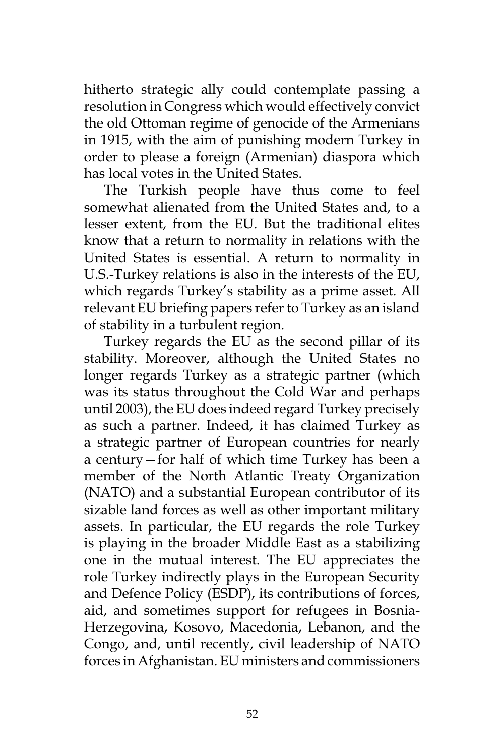hitherto strategic ally could contemplate passing a resolution in Congress which would effectively convict the old Ottoman regime of genocide of the Armenians in 1915, with the aim of punishing modern Turkey in order to please a foreign (Armenian) diaspora which has local votes in the United States.

The Turkish people have thus come to feel somewhat alienated from the United States and, to a lesser extent, from the EU. But the traditional elites know that a return to normality in relations with the United States is essential. A return to normality in U.S.-Turkey relations is also in the interests of the EU, which regards Turkey's stability as a prime asset. All relevant EU briefing papers refer to Turkey as an island of stability in a turbulent region.

Turkey regards the EU as the second pillar of its stability. Moreover, although the United States no longer regards Turkey as a strategic partner (which was its status throughout the Cold War and perhaps until 2003), the EU does indeed regard Turkey precisely as such a partner. Indeed, it has claimed Turkey as a strategic partner of European countries for nearly a century—for half of which time Turkey has been a member of the North Atlantic Treaty Organization (NATO) and a substantial European contributor of its sizable land forces as well as other important military assets. In particular, the EU regards the role Turkey is playing in the broader Middle East as a stabilizing one in the mutual interest. The EU appreciates the role Turkey indirectly plays in the European Security and Defence Policy (ESDP), its contributions of forces, aid, and sometimes support for refugees in Bosnia-Herzegovina, Kosovo, Macedonia, Lebanon, and the Congo, and, until recently, civil leadership of NATO forces in Afghanistan. EU ministers and commissioners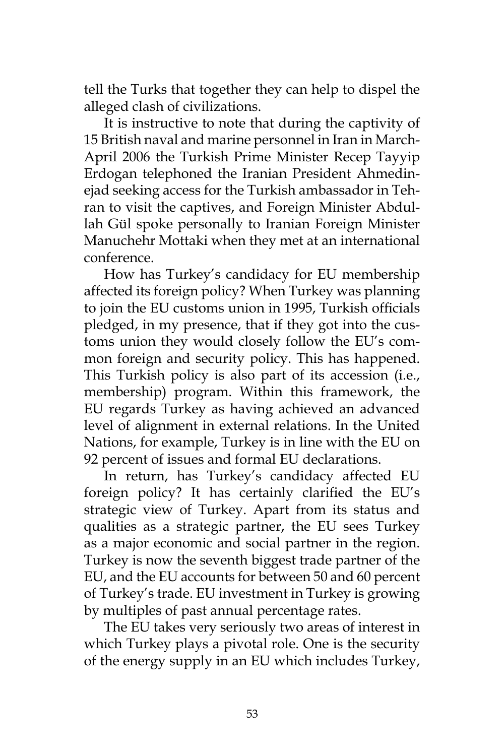tell the Turks that together they can help to dispel the alleged clash of civilizations.

It is instructive to note that during the captivity of 15 British naval and marine personnel in Iran in March-April 2006 the Turkish Prime Minister Recep Tayyip Erdogan telephoned the Iranian President Ahmedinejad seeking access for the Turkish ambassador in Tehran to visit the captives, and Foreign Minister Abdullah Gül spoke personally to Iranian Foreign Minister Manuchehr Mottaki when they met at an international conference.

How has Turkey's candidacy for EU membership affected its foreign policy? When Turkey was planning to join the EU customs union in 1995, Turkish officials pledged, in my presence, that if they got into the customs union they would closely follow the EU's common foreign and security policy. This has happened. This Turkish policy is also part of its accession (i.e., membership) program. Within this framework, the EU regards Turkey as having achieved an advanced level of alignment in external relations. In the United Nations, for example, Turkey is in line with the EU on 92 percent of issues and formal EU declarations.

In return, has Turkey's candidacy affected EU foreign policy? It has certainly clarified the EU's strategic view of Turkey. Apart from its status and qualities as a strategic partner, the EU sees Turkey as a major economic and social partner in the region. Turkey is now the seventh biggest trade partner of the EU, and the EU accounts for between 50 and 60 percent of Turkey's trade. EU investment in Turkey is growing by multiples of past annual percentage rates.

The EU takes very seriously two areas of interest in which Turkey plays a pivotal role. One is the security of the energy supply in an EU which includes Turkey,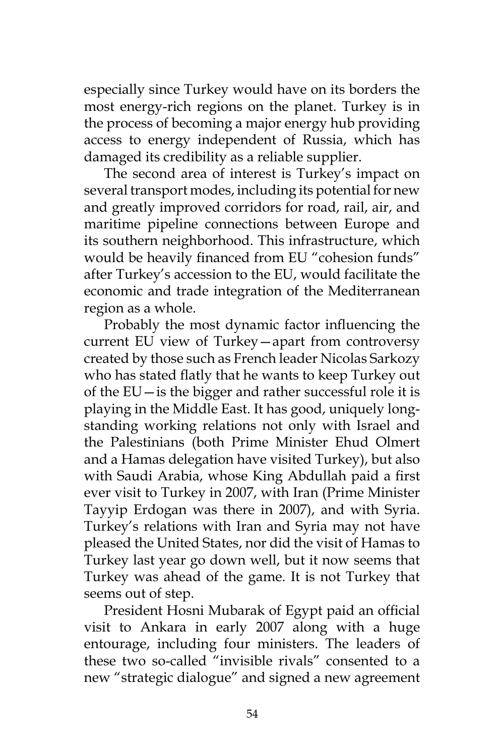especially since Turkey would have on its borders the most energy-rich regions on the planet. Turkey is in the process of becoming a major energy hub providing access to energy independent of Russia, which has damaged its credibility as a reliable supplier.

The second area of interest is Turkey's impact on several transport modes, including its potential for new and greatly improved corridors for road, rail, air, and maritime pipeline connections between Europe and its southern neighborhood. This infrastructure, which would be heavily financed from EU "cohesion funds" after Turkey's accession to the EU, would facilitate the economic and trade integration of the Mediterranean region as a whole.

Probably the most dynamic factor influencing the current EU view of Turkey—apart from controversy created by those such as French leader Nicolas Sarkozy who has stated flatly that he wants to keep Turkey out of the EU—is the bigger and rather successful role it is playing in the Middle East. It has good, uniquely longstanding working relations not only with Israel and the Palestinians (both Prime Minister Ehud Olmert and a Hamas delegation have visited Turkey), but also with Saudi Arabia, whose King Abdullah paid a first ever visit to Turkey in 2007, with Iran (Prime Minister Tayyip Erdogan was there in 2007), and with Syria. Turkey's relations with Iran and Syria may not have pleased the United States, nor did the visit of Hamas to Turkey last year go down well, but it now seems that Turkey was ahead of the game. It is not Turkey that seems out of step.

President Hosni Mubarak of Egypt paid an official visit to Ankara in early 2007 along with a huge entourage, including four ministers. The leaders of these two so-called "invisible rivals" consented to a new "strategic dialogue" and signed a new agreement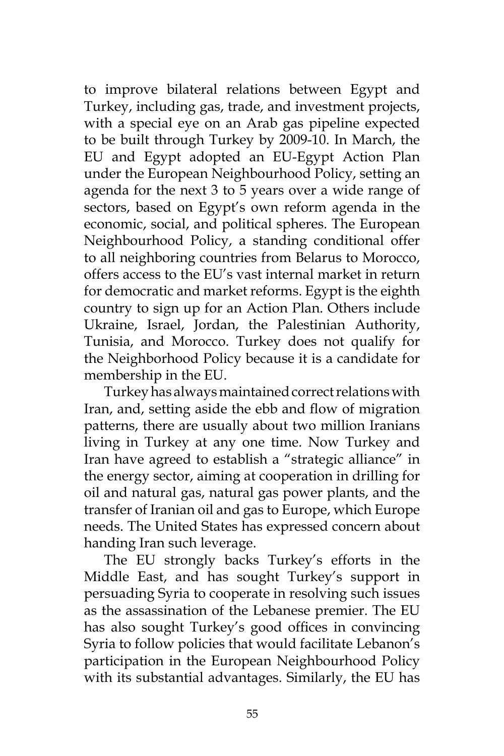to improve bilateral relations between Egypt and Turkey, including gas, trade, and investment projects, with a special eye on an Arab gas pipeline expected to be built through Turkey by 2009-10. In March, the EU and Egypt adopted an EU-Egypt Action Plan under the European Neighbourhood Policy, setting an agenda for the next 3 to 5 years over a wide range of sectors, based on Egypt's own reform agenda in the economic, social, and political spheres. The European Neighbourhood Policy, a standing conditional offer to all neighboring countries from Belarus to Morocco, offers access to the EU's vast internal market in return for democratic and market reforms. Egypt is the eighth country to sign up for an Action Plan. Others include Ukraine, Israel, Jordan, the Palestinian Authority, Tunisia, and Morocco. Turkey does not qualify for the Neighborhood Policy because it is a candidate for membership in the EU.

Turkey has always maintained correct relations with Iran, and, setting aside the ebb and flow of migration patterns, there are usually about two million Iranians living in Turkey at any one time. Now Turkey and Iran have agreed to establish a "strategic alliance" in the energy sector, aiming at cooperation in drilling for oil and natural gas, natural gas power plants, and the transfer of Iranian oil and gas to Europe, which Europe needs. The United States has expressed concern about handing Iran such leverage.

The EU strongly backs Turkey's efforts in the Middle East, and has sought Turkey's support in persuading Syria to cooperate in resolving such issues as the assassination of the Lebanese premier. The EU has also sought Turkey's good offices in convincing Syria to follow policies that would facilitate Lebanon's participation in the European Neighbourhood Policy with its substantial advantages. Similarly, the EU has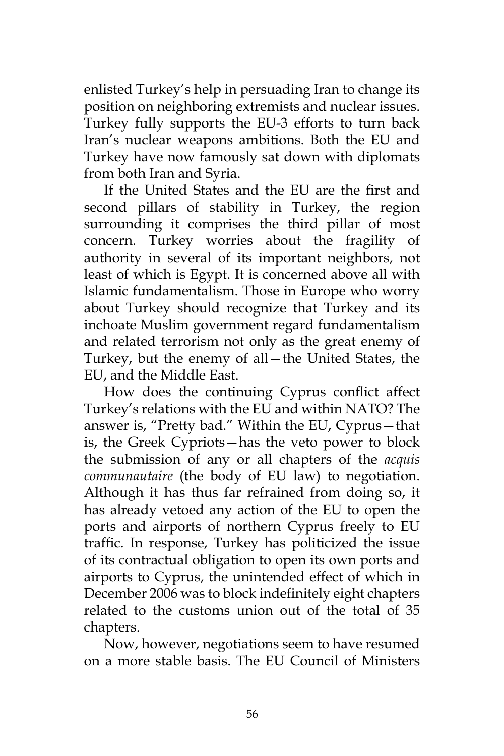enlisted Turkey's help in persuading Iran to change its position on neighboring extremists and nuclear issues. Turkey fully supports the EU-3 efforts to turn back Iran's nuclear weapons ambitions. Both the EU and Turkey have now famously sat down with diplomats from both Iran and Syria.

If the United States and the EU are the first and second pillars of stability in Turkey, the region surrounding it comprises the third pillar of most concern. Turkey worries about the fragility of authority in several of its important neighbors, not least of which is Egypt. It is concerned above all with Islamic fundamentalism. Those in Europe who worry about Turkey should recognize that Turkey and its inchoate Muslim government regard fundamentalism and related terrorism not only as the great enemy of Turkey, but the enemy of all—the United States, the EU, and the Middle East.

How does the continuing Cyprus conflict affect Turkey's relations with the EU and within NATO? The answer is, "Pretty bad." Within the EU, Cyprus—that is, the Greek Cypriots—has the veto power to block the submission of any or all chapters of the *acquis communautaire* (the body of EU law) to negotiation. Although it has thus far refrained from doing so, it has already vetoed any action of the EU to open the ports and airports of northern Cyprus freely to EU traffic. In response, Turkey has politicized the issue of its contractual obligation to open its own ports and airports to Cyprus, the unintended effect of which in December 2006 was to block indefinitely eight chapters related to the customs union out of the total of 35 chapters.

Now, however, negotiations seem to have resumed on a more stable basis. The EU Council of Ministers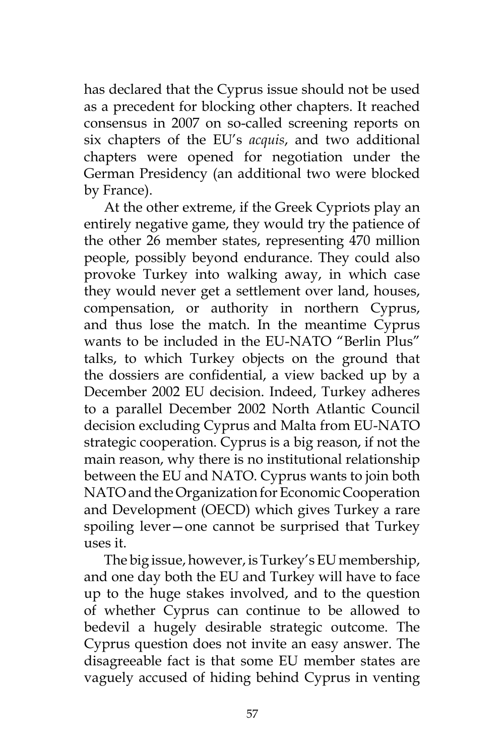has declared that the Cyprus issue should not be used as a precedent for blocking other chapters. It reached consensus in 2007 on so-called screening reports on six chapters of the EU's *acquis*, and two additional chapters were opened for negotiation under the German Presidency (an additional two were blocked by France).

At the other extreme, if the Greek Cypriots play an entirely negative game, they would try the patience of the other 26 member states, representing 470 million people, possibly beyond endurance. They could also provoke Turkey into walking away, in which case they would never get a settlement over land, houses, compensation, or authority in northern Cyprus, and thus lose the match. In the meantime Cyprus wants to be included in the EU-NATO "Berlin Plus" talks, to which Turkey objects on the ground that the dossiers are confidential, a view backed up by a December 2002 EU decision. Indeed, Turkey adheres to a parallel December 2002 North Atlantic Council decision excluding Cyprus and Malta from EU-NATO strategic cooperation. Cyprus is a big reason, if not the main reason, why there is no institutional relationship between the EU and NATO. Cyprus wants to join both NATO and the Organization for Economic Cooperation and Development (OECD) which gives Turkey a rare spoiling lever—one cannot be surprised that Turkey uses it.

The big issue, however, is Turkey's EU membership, and one day both the EU and Turkey will have to face up to the huge stakes involved, and to the question of whether Cyprus can continue to be allowed to bedevil a hugely desirable strategic outcome. The Cyprus question does not invite an easy answer. The disagreeable fact is that some EU member states are vaguely accused of hiding behind Cyprus in venting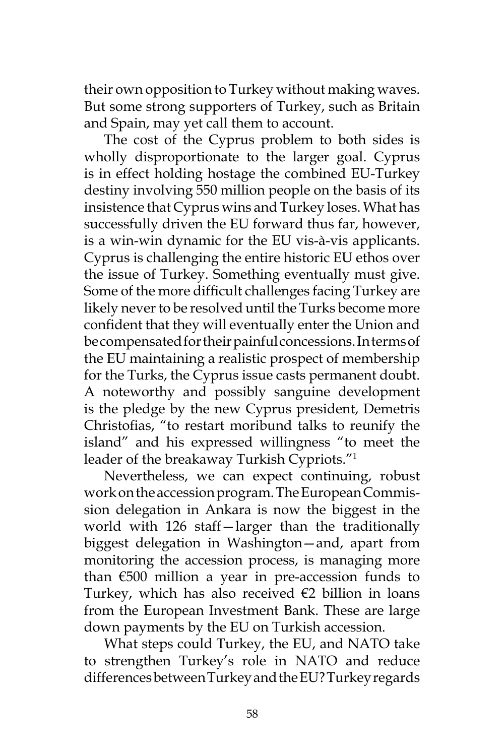their own opposition to Turkey without making waves. But some strong supporters of Turkey, such as Britain and Spain, may yet call them to account.

The cost of the Cyprus problem to both sides is wholly disproportionate to the larger goal. Cyprus is in effect holding hostage the combined EU-Turkey destiny involving 550 million people on the basis of its insistence that Cyprus wins and Turkey loses. What has successfully driven the EU forward thus far, however, is a win-win dynamic for the EU vis-à-vis applicants. Cyprus is challenging the entire historic EU ethos over the issue of Turkey. Something eventually must give. Some of the more difficult challenges facing Turkey are likely never to be resolved until the Turks become more confident that they will eventually enter the Union and be compensated for their painful concessions. In terms of the EU maintaining a realistic prospect of membership for the Turks, the Cyprus issue casts permanent doubt. A noteworthy and possibly sanguine development is the pledge by the new Cyprus president, Demetris Christofias, "to restart moribund talks to reunify the island" and his expressed willingness "to meet the leader of the breakaway Turkish Cypriots."1

Nevertheless, we can expect continuing, robust work on the accession program. The European Commission delegation in Ankara is now the biggest in the world with 126 staff—larger than the traditionally biggest delegation in Washington—and, apart from monitoring the accession process, is managing more than €500 million a year in pre-accession funds to Turkey, which has also received  $€2$  billion in loans from the European Investment Bank. These are large down payments by the EU on Turkish accession.

What steps could Turkey, the EU, and NATO take to strengthen Turkey's role in NATO and reduce differences between Turkey and the EU? Turkey regards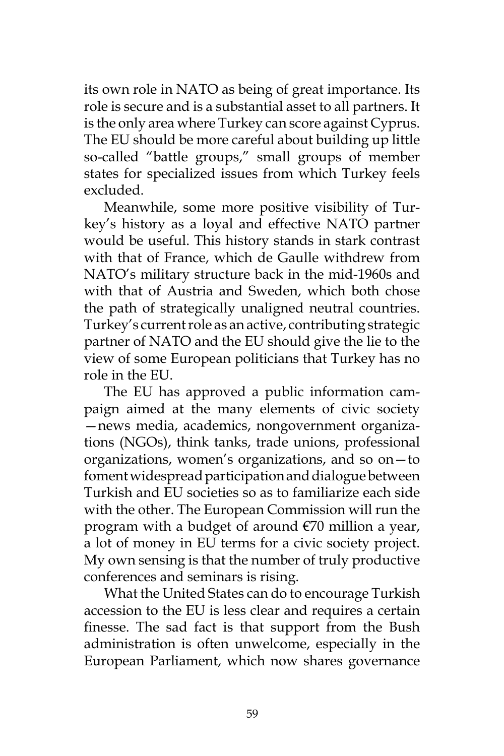its own role in NATO as being of great importance. Its role is secure and is a substantial asset to all partners. It is the only area where Turkey can score against Cyprus. The EU should be more careful about building up little so-called "battle groups," small groups of member states for specialized issues from which Turkey feels excluded.

Meanwhile, some more positive visibility of Turkey's history as a loyal and effective NATO partner would be useful. This history stands in stark contrast with that of France, which de Gaulle withdrew from NATO's military structure back in the mid-1960s and with that of Austria and Sweden, which both chose the path of strategically unaligned neutral countries. Turkey's current role as an active, contributing strategic partner of NATO and the EU should give the lie to the view of some European politicians that Turkey has no role in the EU.

The EU has approved a public information campaign aimed at the many elements of civic society —news media, academics, nongovernment organizations (NGOs), think tanks, trade unions, professional organizations, women's organizations, and so on—to foment widespread participation and dialogue between Turkish and EU societies so as to familiarize each side with the other. The European Commission will run the program with a budget of around €70 million a year, a lot of money in EU terms for a civic society project. My own sensing is that the number of truly productive conferences and seminars is rising.

What the United States can do to encourage Turkish accession to the EU is less clear and requires a certain finesse. The sad fact is that support from the Bush administration is often unwelcome, especially in the European Parliament, which now shares governance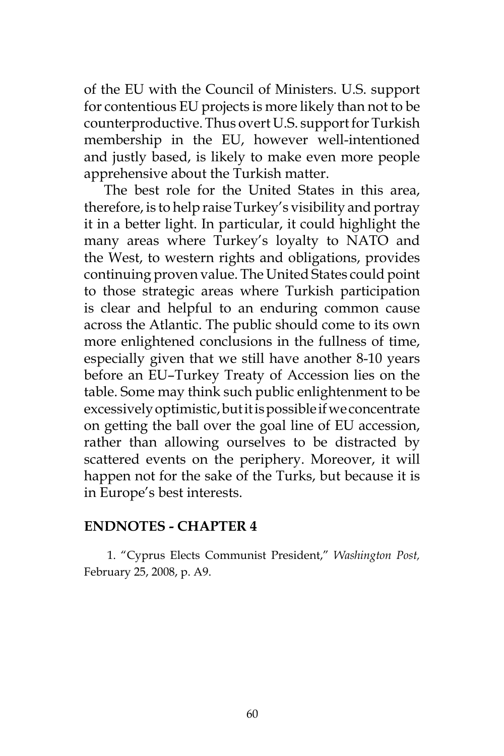of the EU with the Council of Ministers. U.S. support for contentious EU projects is more likely than not to be counterproductive. Thus overt U.S. support for Turkish membership in the EU, however well-intentioned and justly based, is likely to make even more people apprehensive about the Turkish matter.

The best role for the United States in this area, therefore, is to help raise Turkey's visibility and portray it in a better light. In particular, it could highlight the many areas where Turkey's loyalty to NATO and the West, to western rights and obligations, provides continuing proven value. The United States could point to those strategic areas where Turkish participation is clear and helpful to an enduring common cause across the Atlantic. The public should come to its own more enlightened conclusions in the fullness of time, especially given that we still have another 8-10 years before an EU–Turkey Treaty of Accession lies on the table. Some may think such public enlightenment to be excessively optimistic, but it is possible if we concentrate on getting the ball over the goal line of EU accession, rather than allowing ourselves to be distracted by scattered events on the periphery. Moreover, it will happen not for the sake of the Turks, but because it is in Europe's best interests.

### **ENDNOTES - CHAPTER 4**

1. "Cyprus Elects Communist President," *Washington Post,* February 25, 2008, p. A9.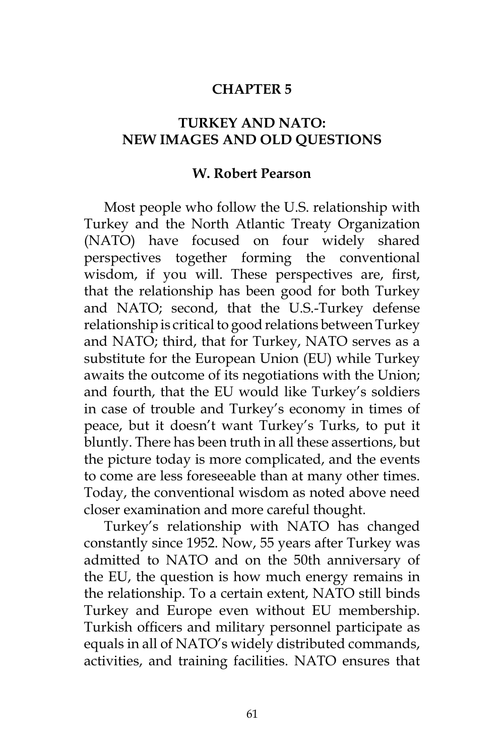### **CHAPTER 5**

## **TURKEY AND NATO: NEW IMAGES AND OLD QUESTIONS**

#### **W. Robert Pearson**

Most people who follow the U.S. relationship with Turkey and the North Atlantic Treaty Organization (NATO) have focused on four widely shared perspectives together forming the conventional wisdom, if you will. These perspectives are, first, that the relationship has been good for both Turkey and NATO; second, that the U.S.-Turkey defense relationship is critical to good relations between Turkey and NATO; third, that for Turkey, NATO serves as a substitute for the European Union (EU) while Turkey awaits the outcome of its negotiations with the Union; and fourth, that the EU would like Turkey's soldiers in case of trouble and Turkey's economy in times of peace, but it doesn't want Turkey's Turks, to put it bluntly. There has been truth in all these assertions, but the picture today is more complicated, and the events to come are less foreseeable than at many other times. Today, the conventional wisdom as noted above need closer examination and more careful thought.

Turkey's relationship with NATO has changed constantly since 1952. Now, 55 years after Turkey was admitted to NATO and on the 50th anniversary of the EU, the question is how much energy remains in the relationship. To a certain extent, NATO still binds Turkey and Europe even without EU membership. Turkish officers and military personnel participate as equals in all of NATO's widely distributed commands, activities, and training facilities. NATO ensures that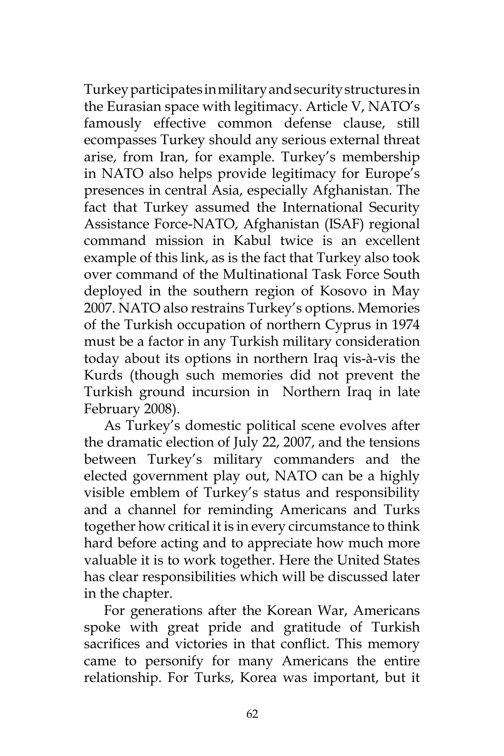Turkey participates in military and security structures in the Eurasian space with legitimacy. Article V, NATO's famously effective common defense clause, still ecompasses Turkey should any serious external threat arise, from Iran, for example. Turkey's membership in NATO also helps provide legitimacy for Europe's presences in central Asia, especially Afghanistan. The fact that Turkey assumed the International Security Assistance Force-NATO, Afghanistan (ISAF) regional command mission in Kabul twice is an excellent example of this link, as is the fact that Turkey also took over command of the Multinational Task Force South deployed in the southern region of Kosovo in May 2007. NATO also restrains Turkey's options. Memories of the Turkish occupation of northern Cyprus in 1974 must be a factor in any Turkish military consideration today about its options in northern Iraq vis-à-vis the Kurds (though such memories did not prevent the Turkish ground incursion in Northern Iraq in late February 2008).

As Turkey's domestic political scene evolves after the dramatic election of July 22, 2007, and the tensions between Turkey's military commanders and the elected government play out, NATO can be a highly visible emblem of Turkey's status and responsibility and a channel for reminding Americans and Turks together how critical it is in every circumstance to think hard before acting and to appreciate how much more valuable it is to work together. Here the United States has clear responsibilities which will be discussed later in the chapter.

For generations after the Korean War, Americans spoke with great pride and gratitude of Turkish sacrifices and victories in that conflict. This memory came to personify for many Americans the entire relationship. For Turks, Korea was important, but it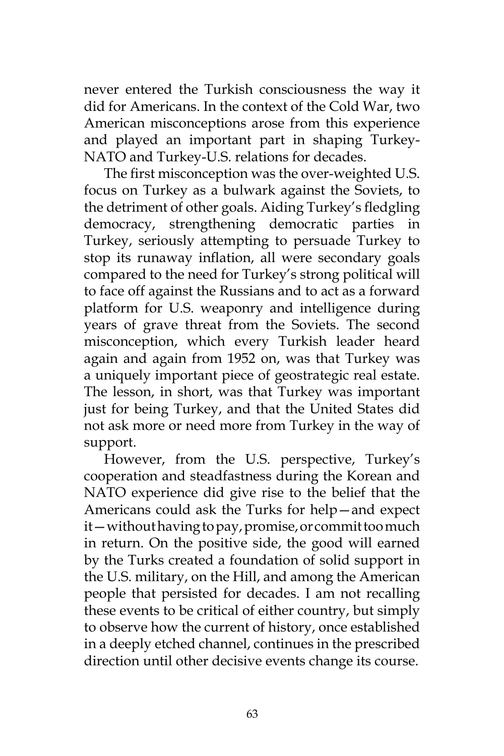never entered the Turkish consciousness the way it did for Americans. In the context of the Cold War, two American misconceptions arose from this experience and played an important part in shaping Turkey-NATO and Turkey-U.S. relations for decades.

The first misconception was the over-weighted U.S. focus on Turkey as a bulwark against the Soviets, to the detriment of other goals. Aiding Turkey's fledgling democracy, strengthening democratic parties in Turkey, seriously attempting to persuade Turkey to stop its runaway inflation, all were secondary goals compared to the need for Turkey's strong political will to face off against the Russians and to act as a forward platform for U.S. weaponry and intelligence during years of grave threat from the Soviets. The second misconception, which every Turkish leader heard again and again from 1952 on, was that Turkey was a uniquely important piece of geostrategic real estate. The lesson, in short, was that Turkey was important just for being Turkey, and that the United States did not ask more or need more from Turkey in the way of support.

However, from the U.S. perspective, Turkey's cooperation and steadfastness during the Korean and NATO experience did give rise to the belief that the Americans could ask the Turks for help—and expect it—without having to pay, promise, or commit too much in return. On the positive side, the good will earned by the Turks created a foundation of solid support in the U.S. military, on the Hill, and among the American people that persisted for decades. I am not recalling these events to be critical of either country, but simply to observe how the current of history, once established in a deeply etched channel, continues in the prescribed direction until other decisive events change its course.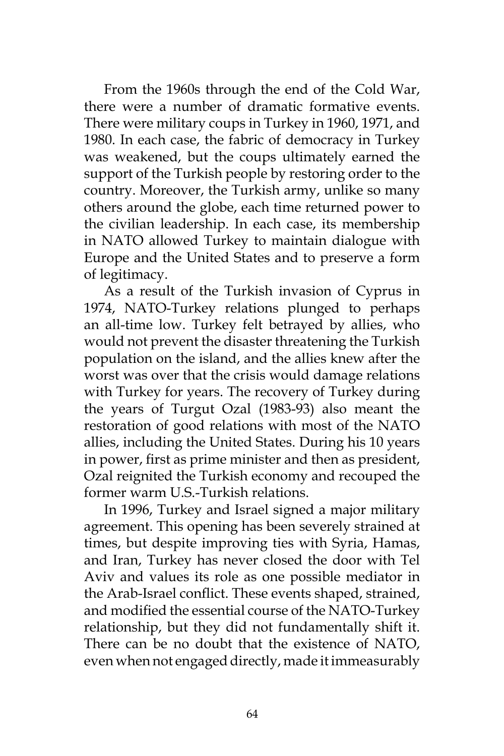From the 1960s through the end of the Cold War, there were a number of dramatic formative events. There were military coups in Turkey in 1960, 1971, and 1980. In each case, the fabric of democracy in Turkey was weakened, but the coups ultimately earned the support of the Turkish people by restoring order to the country. Moreover, the Turkish army, unlike so many others around the globe, each time returned power to the civilian leadership. In each case, its membership in NATO allowed Turkey to maintain dialogue with Europe and the United States and to preserve a form of legitimacy.

As a result of the Turkish invasion of Cyprus in 1974, NATO-Turkey relations plunged to perhaps an all-time low. Turkey felt betrayed by allies, who would not prevent the disaster threatening the Turkish population on the island, and the allies knew after the worst was over that the crisis would damage relations with Turkey for years. The recovery of Turkey during the years of Turgut Ozal (1983-93) also meant the restoration of good relations with most of the NATO allies, including the United States. During his 10 years in power, first as prime minister and then as president, Ozal reignited the Turkish economy and recouped the former warm U.S.-Turkish relations.

In 1996, Turkey and Israel signed a major military agreement. This opening has been severely strained at times, but despite improving ties with Syria, Hamas, and Iran, Turkey has never closed the door with Tel Aviv and values its role as one possible mediator in the Arab-Israel conflict. These events shaped, strained, and modified the essential course of the NATO-Turkey relationship, but they did not fundamentally shift it. There can be no doubt that the existence of NATO, even when not engaged directly, made it immeasurably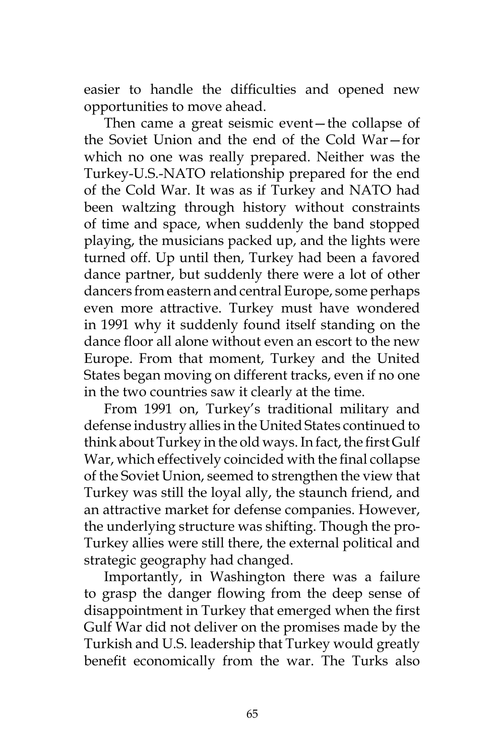easier to handle the difficulties and opened new opportunities to move ahead.

Then came a great seismic event—the collapse of the Soviet Union and the end of the Cold War—for which no one was really prepared. Neither was the Turkey-U.S.-NATO relationship prepared for the end of the Cold War. It was as if Turkey and NATO had been waltzing through history without constraints of time and space, when suddenly the band stopped playing, the musicians packed up, and the lights were turned off. Up until then, Turkey had been a favored dance partner, but suddenly there were a lot of other dancers from eastern and central Europe, some perhaps even more attractive. Turkey must have wondered in 1991 why it suddenly found itself standing on the dance floor all alone without even an escort to the new Europe. From that moment, Turkey and the United States began moving on different tracks, even if no one in the two countries saw it clearly at the time.

From 1991 on, Turkey's traditional military and defense industry allies in the United States continued to think about Turkey in the old ways. In fact, the first Gulf War, which effectively coincided with the final collapse of the Soviet Union, seemed to strengthen the view that Turkey was still the loyal ally, the staunch friend, and an attractive market for defense companies. However, the underlying structure was shifting. Though the pro-Turkey allies were still there, the external political and strategic geography had changed.

Importantly, in Washington there was a failure to grasp the danger flowing from the deep sense of disappointment in Turkey that emerged when the first Gulf War did not deliver on the promises made by the Turkish and U.S. leadership that Turkey would greatly benefit economically from the war. The Turks also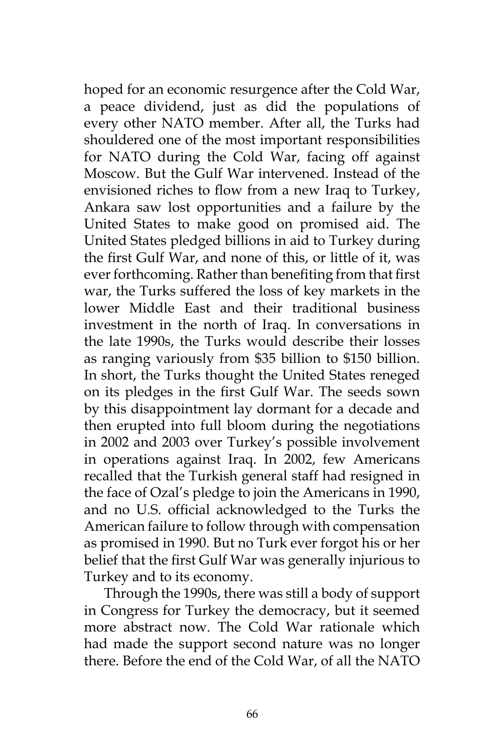hoped for an economic resurgence after the Cold War, a peace dividend, just as did the populations of every other NATO member. After all, the Turks had shouldered one of the most important responsibilities for NATO during the Cold War, facing off against Moscow. But the Gulf War intervened. Instead of the envisioned riches to flow from a new Iraq to Turkey, Ankara saw lost opportunities and a failure by the United States to make good on promised aid. The United States pledged billions in aid to Turkey during the first Gulf War, and none of this, or little of it, was ever forthcoming. Rather than benefiting from that first war, the Turks suffered the loss of key markets in the lower Middle East and their traditional business investment in the north of Iraq. In conversations in the late 1990s, the Turks would describe their losses as ranging variously from \$35 billion to \$150 billion. In short, the Turks thought the United States reneged on its pledges in the first Gulf War. The seeds sown by this disappointment lay dormant for a decade and then erupted into full bloom during the negotiations in 2002 and 2003 over Turkey's possible involvement in operations against Iraq. In 2002, few Americans recalled that the Turkish general staff had resigned in the face of Ozal's pledge to join the Americans in 1990, and no U.S. official acknowledged to the Turks the American failure to follow through with compensation as promised in 1990. But no Turk ever forgot his or her belief that the first Gulf War was generally injurious to Turkey and to its economy.

Through the 1990s, there was still a body of support in Congress for Turkey the democracy, but it seemed more abstract now. The Cold War rationale which had made the support second nature was no longer there. Before the end of the Cold War, of all the NATO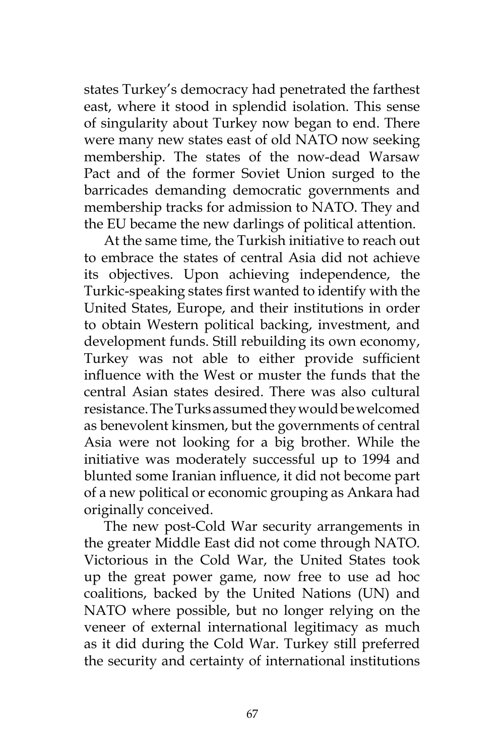states Turkey's democracy had penetrated the farthest east, where it stood in splendid isolation. This sense of singularity about Turkey now began to end. There were many new states east of old NATO now seeking membership. The states of the now-dead Warsaw Pact and of the former Soviet Union surged to the barricades demanding democratic governments and membership tracks for admission to NATO. They and the EU became the new darlings of political attention.

At the same time, the Turkish initiative to reach out to embrace the states of central Asia did not achieve its objectives. Upon achieving independence, the Turkic-speaking states first wanted to identify with the United States, Europe, and their institutions in order to obtain Western political backing, investment, and development funds. Still rebuilding its own economy, Turkey was not able to either provide sufficient influence with the West or muster the funds that the central Asian states desired. There was also cultural resistance. The Turks assumed they would be welcomed as benevolent kinsmen, but the governments of central Asia were not looking for a big brother. While the initiative was moderately successful up to 1994 and blunted some Iranian influence, it did not become part of a new political or economic grouping as Ankara had originally conceived.

The new post-Cold War security arrangements in the greater Middle East did not come through NATO. Victorious in the Cold War, the United States took up the great power game, now free to use ad hoc coalitions, backed by the United Nations (UN) and NATO where possible, but no longer relying on the veneer of external international legitimacy as much as it did during the Cold War. Turkey still preferred the security and certainty of international institutions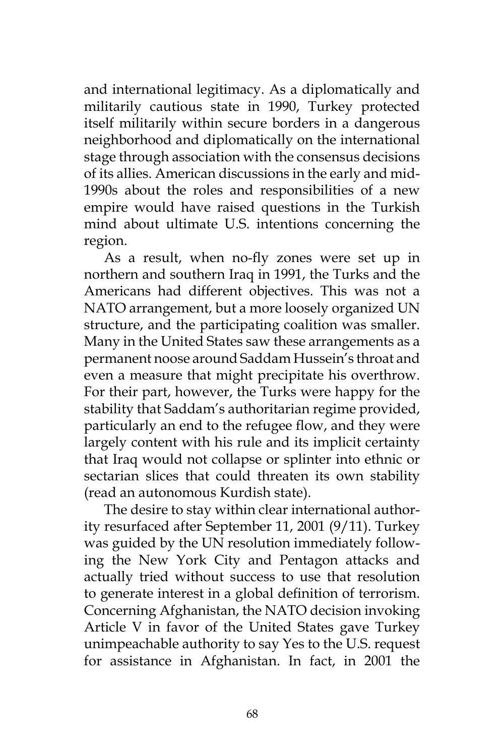and international legitimacy. As a diplomatically and militarily cautious state in 1990, Turkey protected itself militarily within secure borders in a dangerous neighborhood and diplomatically on the international stage through association with the consensus decisions of its allies. American discussions in the early and mid-1990s about the roles and responsibilities of a new empire would have raised questions in the Turkish mind about ultimate U.S. intentions concerning the region.

As a result, when no-fly zones were set up in northern and southern Iraq in 1991, the Turks and the Americans had different objectives. This was not a NATO arrangement, but a more loosely organized UN structure, and the participating coalition was smaller. Many in the United States saw these arrangements as a permanent noose around Saddam Hussein's throat and even a measure that might precipitate his overthrow. For their part, however, the Turks were happy for the stability that Saddam's authoritarian regime provided, particularly an end to the refugee flow, and they were largely content with his rule and its implicit certainty that Iraq would not collapse or splinter into ethnic or sectarian slices that could threaten its own stability (read an autonomous Kurdish state).

The desire to stay within clear international authority resurfaced after September 11, 2001 (9/11). Turkey was guided by the UN resolution immediately following the New York City and Pentagon attacks and actually tried without success to use that resolution to generate interest in a global definition of terrorism. Concerning Afghanistan, the NATO decision invoking Article V in favor of the United States gave Turkey unimpeachable authority to say Yes to the U.S. request for assistance in Afghanistan. In fact, in 2001 the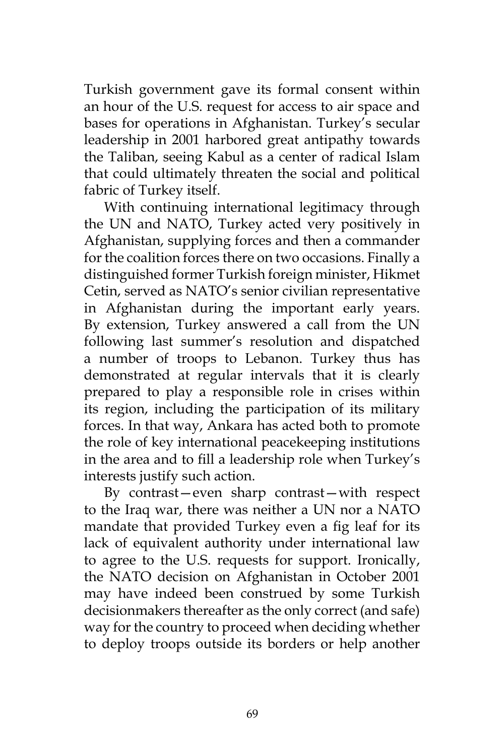Turkish government gave its formal consent within an hour of the U.S. request for access to air space and bases for operations in Afghanistan. Turkey's secular leadership in 2001 harbored great antipathy towards the Taliban, seeing Kabul as a center of radical Islam that could ultimately threaten the social and political fabric of Turkey itself.

With continuing international legitimacy through the UN and NATO, Turkey acted very positively in Afghanistan, supplying forces and then a commander for the coalition forces there on two occasions. Finally a distinguished former Turkish foreign minister, Hikmet Cetin, served as NATO's senior civilian representative in Afghanistan during the important early years. By extension, Turkey answered a call from the UN following last summer's resolution and dispatched a number of troops to Lebanon. Turkey thus has demonstrated at regular intervals that it is clearly prepared to play a responsible role in crises within its region, including the participation of its military forces. In that way, Ankara has acted both to promote the role of key international peacekeeping institutions in the area and to fill a leadership role when Turkey's interests justify such action.

By contrast—even sharp contrast—with respect to the Iraq war, there was neither a UN nor a NATO mandate that provided Turkey even a fig leaf for its lack of equivalent authority under international law to agree to the U.S. requests for support. Ironically, the NATO decision on Afghanistan in October 2001 may have indeed been construed by some Turkish decisionmakers thereafter as the only correct (and safe) way for the country to proceed when deciding whether to deploy troops outside its borders or help another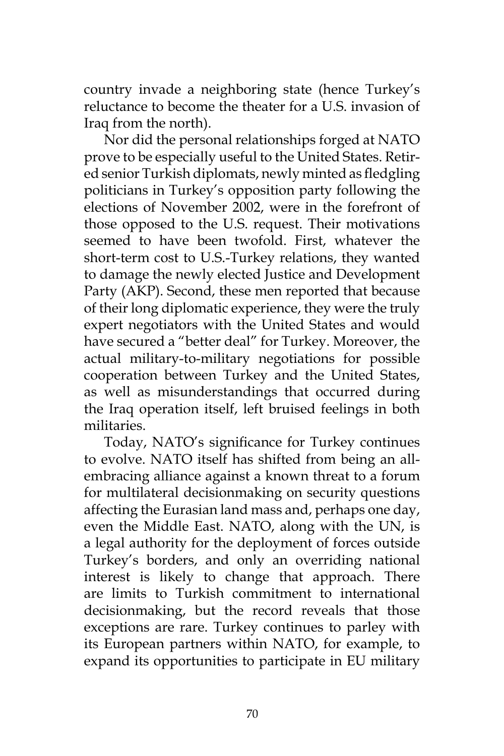country invade a neighboring state (hence Turkey's reluctance to become the theater for a U.S. invasion of Iraq from the north).

Nor did the personal relationships forged at NATO prove to be especially useful to the United States. Retired senior Turkish diplomats, newly minted as fledgling politicians in Turkey's opposition party following the elections of November 2002, were in the forefront of those opposed to the U.S. request. Their motivations seemed to have been twofold. First, whatever the short-term cost to U.S.-Turkey relations, they wanted to damage the newly elected Justice and Development Party (AKP). Second, these men reported that because of their long diplomatic experience, they were the truly expert negotiators with the United States and would have secured a "better deal" for Turkey. Moreover, the actual military-to-military negotiations for possible cooperation between Turkey and the United States, as well as misunderstandings that occurred during the Iraq operation itself, left bruised feelings in both militaries.

Today, NATO's significance for Turkey continues to evolve. NATO itself has shifted from being an allembracing alliance against a known threat to a forum for multilateral decisionmaking on security questions affecting the Eurasian land mass and, perhaps one day, even the Middle East. NATO, along with the UN, is a legal authority for the deployment of forces outside Turkey's borders, and only an overriding national interest is likely to change that approach. There are limits to Turkish commitment to international decisionmaking, but the record reveals that those exceptions are rare. Turkey continues to parley with its European partners within NATO, for example, to expand its opportunities to participate in EU military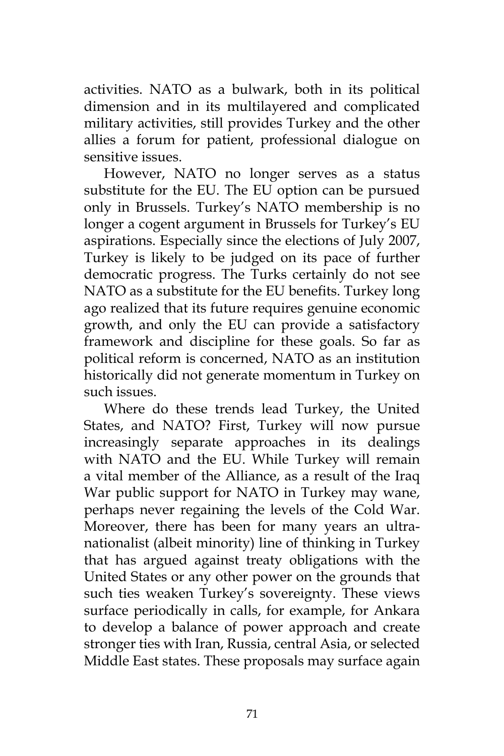activities. NATO as a bulwark, both in its political dimension and in its multilayered and complicated military activities, still provides Turkey and the other allies a forum for patient, professional dialogue on sensitive issues.

However, NATO no longer serves as a status substitute for the EU. The EU option can be pursued only in Brussels. Turkey's NATO membership is no longer a cogent argument in Brussels for Turkey's EU aspirations. Especially since the elections of July 2007, Turkey is likely to be judged on its pace of further democratic progress. The Turks certainly do not see NATO as a substitute for the EU benefits. Turkey long ago realized that its future requires genuine economic growth, and only the EU can provide a satisfactory framework and discipline for these goals. So far as political reform is concerned, NATO as an institution historically did not generate momentum in Turkey on such issues.

Where do these trends lead Turkey, the United States, and NATO? First, Turkey will now pursue increasingly separate approaches in its dealings with NATO and the EU. While Turkey will remain a vital member of the Alliance, as a result of the Iraq War public support for NATO in Turkey may wane, perhaps never regaining the levels of the Cold War. Moreover, there has been for many years an ultranationalist (albeit minority) line of thinking in Turkey that has argued against treaty obligations with the United States or any other power on the grounds that such ties weaken Turkey's sovereignty. These views surface periodically in calls, for example, for Ankara to develop a balance of power approach and create stronger ties with Iran, Russia, central Asia, or selected Middle East states. These proposals may surface again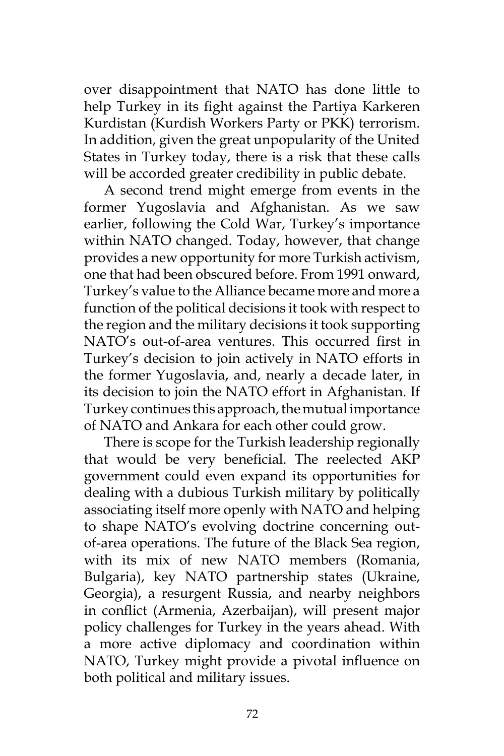over disappointment that NATO has done little to help Turkey in its fight against the Partiya Karkeren Kurdistan (Kurdish Workers Party or PKK) terrorism. In addition, given the great unpopularity of the United States in Turkey today, there is a risk that these calls will be accorded greater credibility in public debate.

A second trend might emerge from events in the former Yugoslavia and Afghanistan. As we saw earlier, following the Cold War, Turkey's importance within NATO changed. Today, however, that change provides a new opportunity for more Turkish activism, one that had been obscured before. From 1991 onward, Turkey's value to the Alliance became more and more a function of the political decisions it took with respect to the region and the military decisions it took supporting NATO's out-of-area ventures. This occurred first in Turkey's decision to join actively in NATO efforts in the former Yugoslavia, and, nearly a decade later, in its decision to join the NATO effort in Afghanistan. If Turkey continues this approach, the mutual importance of NATO and Ankara for each other could grow.

There is scope for the Turkish leadership regionally that would be very beneficial. The reelected AKP government could even expand its opportunities for dealing with a dubious Turkish military by politically associating itself more openly with NATO and helping to shape NATO's evolving doctrine concerning outof-area operations. The future of the Black Sea region, with its mix of new NATO members (Romania, Bulgaria), key NATO partnership states (Ukraine, Georgia), a resurgent Russia, and nearby neighbors in conflict (Armenia, Azerbaijan), will present major policy challenges for Turkey in the years ahead. With a more active diplomacy and coordination within NATO, Turkey might provide a pivotal influence on both political and military issues.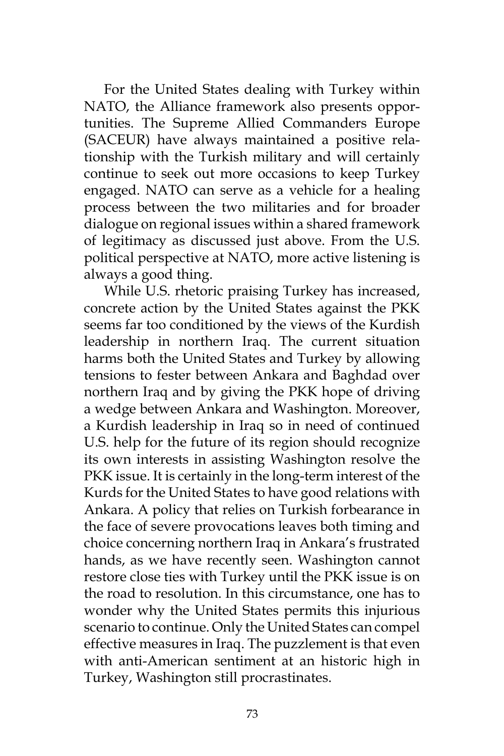For the United States dealing with Turkey within NATO, the Alliance framework also presents opportunities. The Supreme Allied Commanders Europe (SACEUR) have always maintained a positive relationship with the Turkish military and will certainly continue to seek out more occasions to keep Turkey engaged. NATO can serve as a vehicle for a healing process between the two militaries and for broader dialogue on regional issues within a shared framework of legitimacy as discussed just above. From the U.S. political perspective at NATO, more active listening is always a good thing.

While U.S. rhetoric praising Turkey has increased, concrete action by the United States against the PKK seems far too conditioned by the views of the Kurdish leadership in northern Iraq. The current situation harms both the United States and Turkey by allowing tensions to fester between Ankara and Baghdad over northern Iraq and by giving the PKK hope of driving a wedge between Ankara and Washington. Moreover, a Kurdish leadership in Iraq so in need of continued U.S. help for the future of its region should recognize its own interests in assisting Washington resolve the PKK issue. It is certainly in the long-term interest of the Kurds for the United States to have good relations with Ankara. A policy that relies on Turkish forbearance in the face of severe provocations leaves both timing and choice concerning northern Iraq in Ankara's frustrated hands, as we have recently seen. Washington cannot restore close ties with Turkey until the PKK issue is on the road to resolution. In this circumstance, one has to wonder why the United States permits this injurious scenario to continue. Only the United States can compel effective measures in Iraq. The puzzlement is that even with anti-American sentiment at an historic high in Turkey, Washington still procrastinates.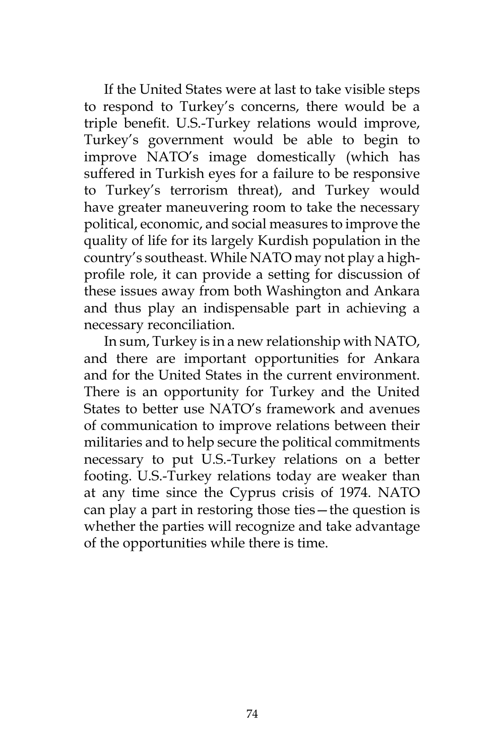If the United States were at last to take visible steps to respond to Turkey's concerns, there would be a triple benefit. U.S.-Turkey relations would improve, Turkey's government would be able to begin to improve NATO's image domestically (which has suffered in Turkish eyes for a failure to be responsive to Turkey's terrorism threat), and Turkey would have greater maneuvering room to take the necessary political, economic, and social measures to improve the quality of life for its largely Kurdish population in the country's southeast. While NATO may not play a highprofile role, it can provide a setting for discussion of these issues away from both Washington and Ankara and thus play an indispensable part in achieving a necessary reconciliation.

In sum, Turkey is in a new relationship with NATO, and there are important opportunities for Ankara and for the United States in the current environment. There is an opportunity for Turkey and the United States to better use NATO's framework and avenues of communication to improve relations between their militaries and to help secure the political commitments necessary to put U.S.-Turkey relations on a better footing. U.S.-Turkey relations today are weaker than at any time since the Cyprus crisis of 1974. NATO can play a part in restoring those ties—the question is whether the parties will recognize and take advantage of the opportunities while there is time.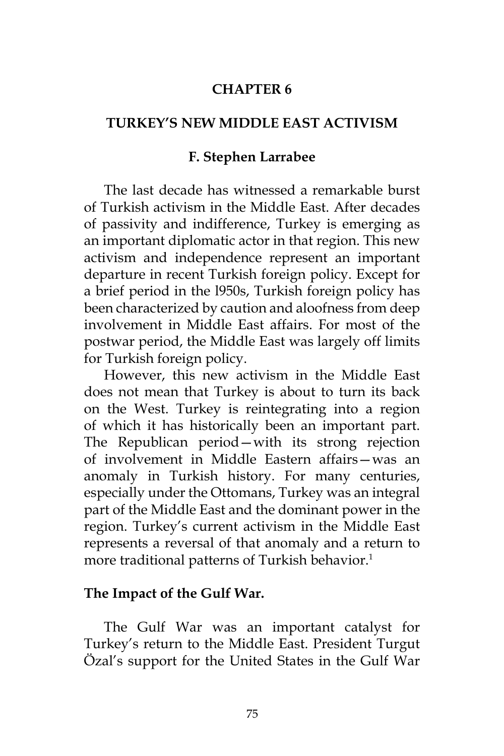### **CHAPTER 6**

### **TURKEY'S NEW MIDDLE EAST ACTIVISM**

### **F. Stephen Larrabee**

The last decade has witnessed a remarkable burst of Turkish activism in the Middle East. After decades of passivity and indifference, Turkey is emerging as an important diplomatic actor in that region. This new activism and independence represent an important departure in recent Turkish foreign policy. Except for a brief period in the l950s, Turkish foreign policy has been characterized by caution and aloofness from deep involvement in Middle East affairs. For most of the postwar period, the Middle East was largely off limits for Turkish foreign policy.

However, this new activism in the Middle East does not mean that Turkey is about to turn its back on the West. Turkey is reintegrating into a region of which it has historically been an important part. The Republican period—with its strong rejection of involvement in Middle Eastern affairs—was an anomaly in Turkish history. For many centuries, especially under the Ottomans, Turkey was an integral part of the Middle East and the dominant power in the region. Turkey's current activism in the Middle East represents a reversal of that anomaly and a return to more traditional patterns of Turkish behavior.<sup>1</sup>

### **The Impact of the Gulf War.**

The Gulf War was an important catalyst for Turkey's return to the Middle East. President Turgut Özal's support for the United States in the Gulf War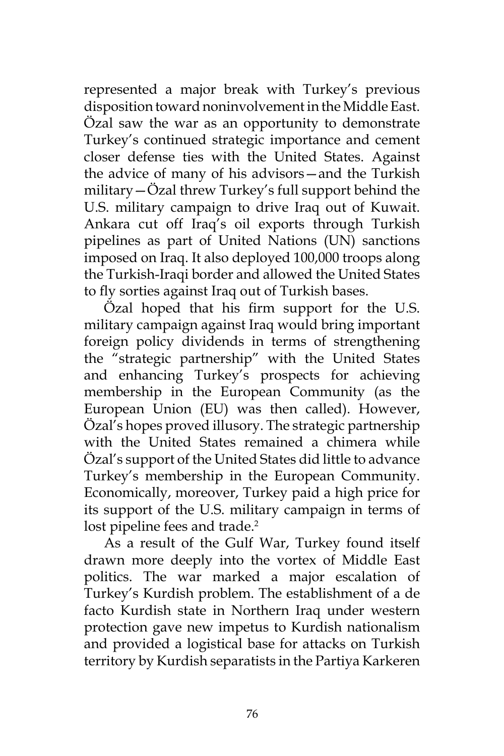represented a major break with Turkey's previous disposition toward noninvolvement in the Middle East. Özal saw the war as an opportunity to demonstrate Turkey's continued strategic importance and cement closer defense ties with the United States. Against the advice of many of his advisors—and the Turkish military—Özal threw Turkey's full support behind the U.S. military campaign to drive Iraq out of Kuwait. Ankara cut off Iraq's oil exports through Turkish pipelines as part of United Nations (UN) sanctions imposed on Iraq. It also deployed 100,000 troops along the Turkish-Iraqi border and allowed the United States to fly sorties against Iraq out of Turkish bases.

Özal hoped that his firm support for the U.S. military campaign against Iraq would bring important foreign policy dividends in terms of strengthening the "strategic partnership" with the United States and enhancing Turkey's prospects for achieving membership in the European Community (as the European Union (EU) was then called). However, Özal's hopes proved illusory. The strategic partnership with the United States remained a chimera while Özal's support of the United States did little to advance Turkey's membership in the European Community. Economically, moreover, Turkey paid a high price for its support of the U.S. military campaign in terms of lost pipeline fees and trade.<sup>2</sup>

As a result of the Gulf War, Turkey found itself drawn more deeply into the vortex of Middle East politics. The war marked a major escalation of Turkey's Kurdish problem. The establishment of a de facto Kurdish state in Northern Iraq under western protection gave new impetus to Kurdish nationalism and provided a logistical base for attacks on Turkish territory by Kurdish separatists in the Partiya Karkeren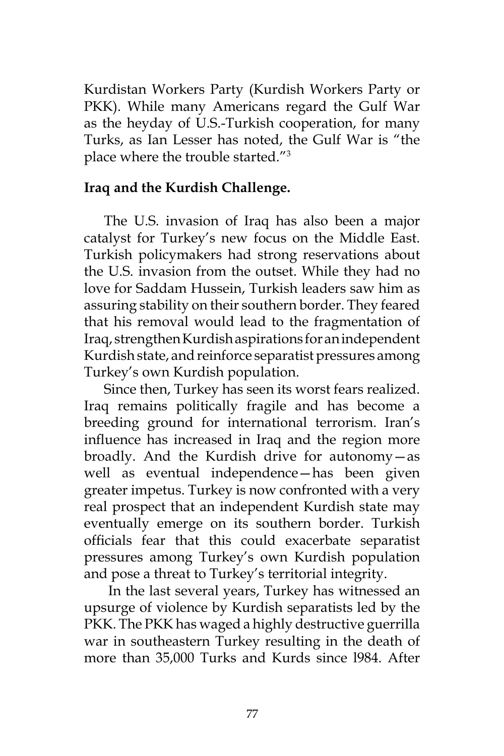Kurdistan Workers Party (Kurdish Workers Party or PKK). While many Americans regard the Gulf War as the heyday of U.S.-Turkish cooperation, for many Turks, as Ian Lesser has noted, the Gulf War is "the place where the trouble started."3

# **Iraq and the Kurdish Challenge.**

The U.S. invasion of Iraq has also been a major catalyst for Turkey's new focus on the Middle East. Turkish policymakers had strong reservations about the U.S. invasion from the outset. While they had no love for Saddam Hussein, Turkish leaders saw him as assuring stability on their southern border. They feared that his removal would lead to the fragmentation of Iraq, strengthen Kurdish aspirations for an independent Kurdish state, and reinforce separatist pressures among Turkey's own Kurdish population.

Since then, Turkey has seen its worst fears realized. Iraq remains politically fragile and has become a breeding ground for international terrorism. Iran's influence has increased in Iraq and the region more broadly. And the Kurdish drive for autonomy—as well as eventual independence—has been given greater impetus. Turkey is now confronted with a very real prospect that an independent Kurdish state may eventually emerge on its southern border. Turkish officials fear that this could exacerbate separatist pressures among Turkey's own Kurdish population and pose a threat to Turkey's territorial integrity.

 In the last several years, Turkey has witnessed an upsurge of violence by Kurdish separatists led by the PKK. The PKK has waged a highly destructive guerrilla war in southeastern Turkey resulting in the death of more than 35,000 Turks and Kurds since l984. After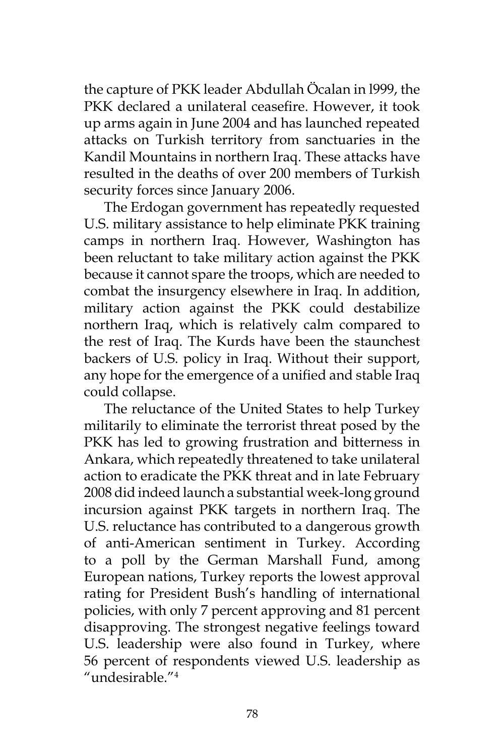the capture of PKK leader Abdullah Öcalan in l999, the PKK declared a unilateral ceasefire. However, it took up arms again in June 2004 and has launched repeated attacks on Turkish territory from sanctuaries in the Kandil Mountains in northern Iraq. These attacks have resulted in the deaths of over 200 members of Turkish security forces since January 2006.

The Erdogan government has repeatedly requested U.S. military assistance to help eliminate PKK training camps in northern Iraq. However, Washington has been reluctant to take military action against the PKK because it cannot spare the troops, which are needed to combat the insurgency elsewhere in Iraq. In addition, military action against the PKK could destabilize northern Iraq, which is relatively calm compared to the rest of Iraq. The Kurds have been the staunchest backers of U.S. policy in Iraq. Without their support, any hope for the emergence of a unified and stable Iraq could collapse.

The reluctance of the United States to help Turkey militarily to eliminate the terrorist threat posed by the PKK has led to growing frustration and bitterness in Ankara, which repeatedly threatened to take unilateral action to eradicate the PKK threat and in late February 2008 did indeed launch a substantial week-long ground incursion against PKK targets in northern Iraq. The U.S. reluctance has contributed to a dangerous growth of anti-American sentiment in Turkey. According to a poll by the German Marshall Fund, among European nations, Turkey reports the lowest approval rating for President Bush's handling of international policies, with only 7 percent approving and 81 percent disapproving. The strongest negative feelings toward U.S. leadership were also found in Turkey, where 56 percent of respondents viewed U.S. leadership as "undesirable."4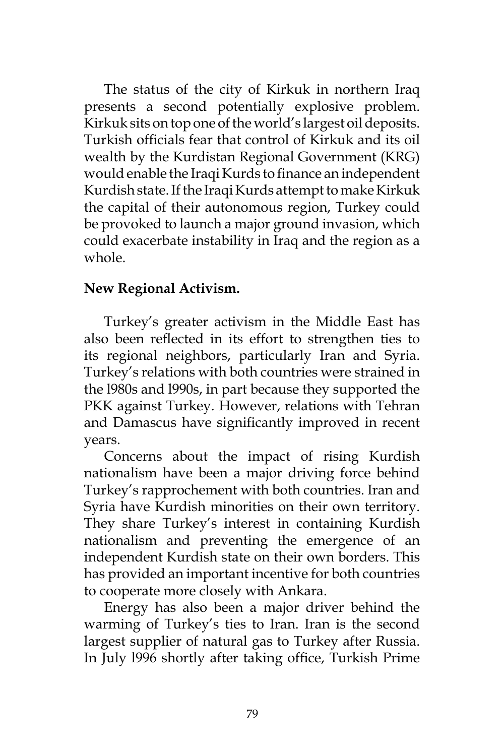The status of the city of Kirkuk in northern Iraq presents a second potentially explosive problem. Kirkuk sits on top one of the world's largest oil deposits. Turkish officials fear that control of Kirkuk and its oil wealth by the Kurdistan Regional Government (KRG) would enable the Iraqi Kurds to finance an independent Kurdish state. If the Iraqi Kurds attempt to make Kirkuk the capital of their autonomous region, Turkey could be provoked to launch a major ground invasion, which could exacerbate instability in Iraq and the region as a whole.

# **New Regional Activism.**

Turkey's greater activism in the Middle East has also been reflected in its effort to strengthen ties to its regional neighbors, particularly Iran and Syria. Turkey's relations with both countries were strained in the l980s and l990s, in part because they supported the PKK against Turkey. However, relations with Tehran and Damascus have significantly improved in recent years.

Concerns about the impact of rising Kurdish nationalism have been a major driving force behind Turkey's rapprochement with both countries. Iran and Syria have Kurdish minorities on their own territory. They share Turkey's interest in containing Kurdish nationalism and preventing the emergence of an independent Kurdish state on their own borders. This has provided an important incentive for both countries to cooperate more closely with Ankara.

Energy has also been a major driver behind the warming of Turkey's ties to Iran. Iran is the second largest supplier of natural gas to Turkey after Russia. In July l996 shortly after taking office, Turkish Prime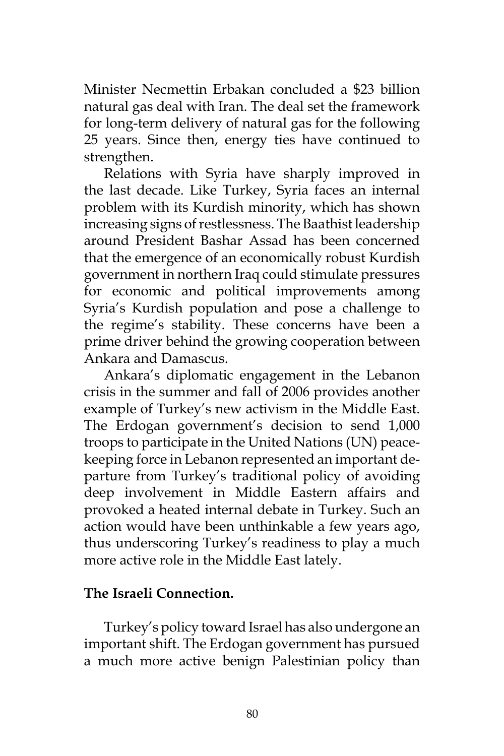Minister Necmettin Erbakan concluded a \$23 billion natural gas deal with Iran. The deal set the framework for long-term delivery of natural gas for the following 25 years. Since then, energy ties have continued to strengthen.

Relations with Syria have sharply improved in the last decade. Like Turkey, Syria faces an internal problem with its Kurdish minority, which has shown increasing signs of restlessness. The Baathist leadership around President Bashar Assad has been concerned that the emergence of an economically robust Kurdish government in northern Iraq could stimulate pressures for economic and political improvements among Syria's Kurdish population and pose a challenge to the regime's stability. These concerns have been a prime driver behind the growing cooperation between Ankara and Damascus.

Ankara's diplomatic engagement in the Lebanon crisis in the summer and fall of 2006 provides another example of Turkey's new activism in the Middle East. The Erdogan government's decision to send 1,000 troops to participate in the United Nations (UN) peacekeeping force in Lebanon represented an important departure from Turkey's traditional policy of avoiding deep involvement in Middle Eastern affairs and provoked a heated internal debate in Turkey. Such an action would have been unthinkable a few years ago, thus underscoring Turkey's readiness to play a much more active role in the Middle East lately.

## **The Israeli Connection.**

Turkey's policy toward Israel has also undergone an important shift. The Erdogan government has pursued a much more active benign Palestinian policy than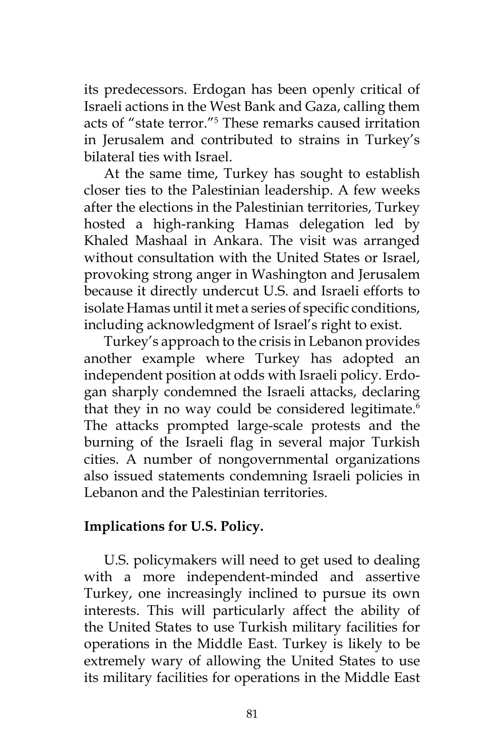its predecessors. Erdogan has been openly critical of Israeli actions in the West Bank and Gaza, calling them acts of "state terror."5 These remarks caused irritation in Jerusalem and contributed to strains in Turkey's bilateral ties with Israel.

At the same time, Turkey has sought to establish closer ties to the Palestinian leadership. A few weeks after the elections in the Palestinian territories, Turkey hosted a high-ranking Hamas delegation led by Khaled Mashaal in Ankara. The visit was arranged without consultation with the United States or Israel, provoking strong anger in Washington and Jerusalem because it directly undercut U.S. and Israeli efforts to isolate Hamas until it met a series of specific conditions, including acknowledgment of Israel's right to exist.

Turkey's approach to the crisis in Lebanon provides another example where Turkey has adopted an independent position at odds with Israeli policy. Erdogan sharply condemned the Israeli attacks, declaring that they in no way could be considered legitimate. $6$ The attacks prompted large-scale protests and the burning of the Israeli flag in several major Turkish cities. A number of nongovernmental organizations also issued statements condemning Israeli policies in Lebanon and the Palestinian territories.

## **Implications for U.S. Policy.**

U.S. policymakers will need to get used to dealing with a more independent-minded and assertive Turkey, one increasingly inclined to pursue its own interests. This will particularly affect the ability of the United States to use Turkish military facilities for operations in the Middle East. Turkey is likely to be extremely wary of allowing the United States to use its military facilities for operations in the Middle East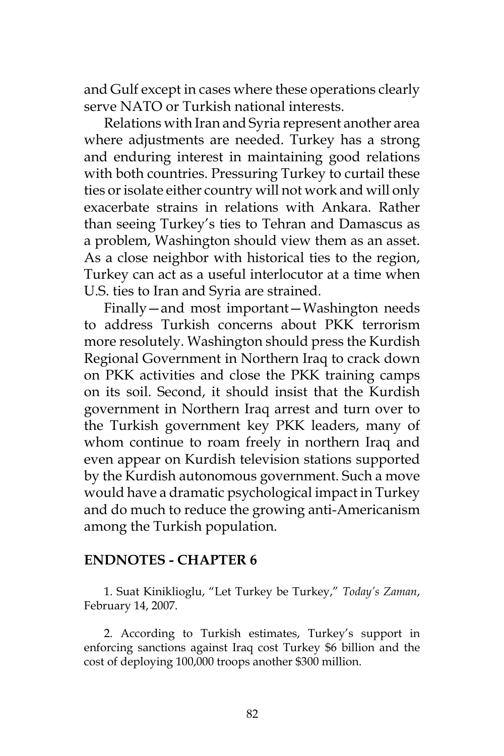and Gulf except in cases where these operations clearly serve NATO or Turkish national interests.

Relations with Iran and Syria represent another area where adjustments are needed. Turkey has a strong and enduring interest in maintaining good relations with both countries. Pressuring Turkey to curtail these ties or isolate either country will not work and will only exacerbate strains in relations with Ankara. Rather than seeing Turkey's ties to Tehran and Damascus as a problem, Washington should view them as an asset. As a close neighbor with historical ties to the region, Turkey can act as a useful interlocutor at a time when U.S. ties to Iran and Syria are strained.

Finally—and most important—Washington needs to address Turkish concerns about PKK terrorism more resolutely. Washington should press the Kurdish Regional Government in Northern Iraq to crack down on PKK activities and close the PKK training camps on its soil. Second, it should insist that the Kurdish government in Northern Iraq arrest and turn over to the Turkish government key PKK leaders, many of whom continue to roam freely in northern Iraq and even appear on Kurdish television stations supported by the Kurdish autonomous government. Such a move would have a dramatic psychological impact in Turkey and do much to reduce the growing anti-Americanism among the Turkish population.

### **ENDNOTES - CHAPTER 6**

1. Suat Kiniklioglu, "Let Turkey be Turkey," *Today's Zaman*, February 14, 2007.

2. According to Turkish estimates, Turkey's support in enforcing sanctions against Iraq cost Turkey \$6 billion and the cost of deploying 100,000 troops another \$300 million.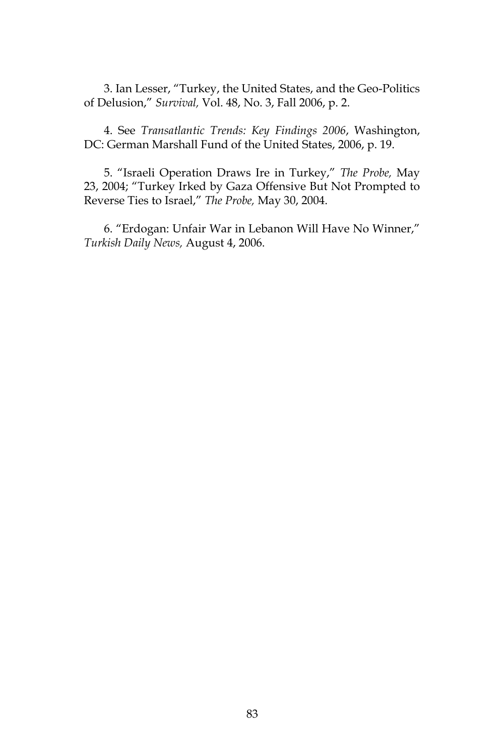3. Ian Lesser, "Turkey, the United States, and the Geo-Politics of Delusion," *Survival,* Vol. 48, No. 3, Fall 2006, p. 2.

4. See *Transatlantic Trends: Key Findings 2006*, Washington, DC: German Marshall Fund of the United States, 2006, p. 19.

5. "Israeli Operation Draws Ire in Turkey," *The Probe,* May 23, 2004; "Turkey Irked by Gaza Offensive But Not Prompted to Reverse Ties to Israel," *The Probe,* May 30, 2004.

6. "Erdogan: Unfair War in Lebanon Will Have No Winner," *Turkish Daily News,* August 4, 2006.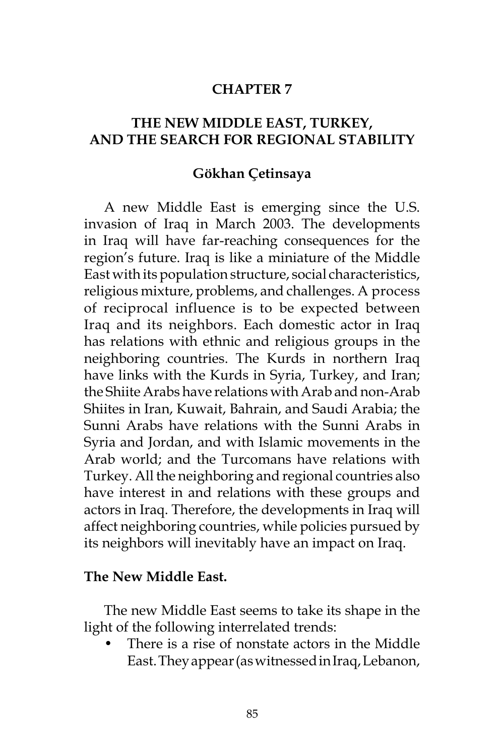### **CHAPTER 7**

# **THE NEW MIDDLE EAST, TURKEY, AND THE SEARCH FOR REGIONAL STABILITY**

#### **Gökhan Çetinsaya**

A new Middle East is emerging since the U.S. invasion of Iraq in March 2003. The developments in Iraq will have far-reaching consequences for the region's future. Iraq is like a miniature of the Middle East with its population structure, social characteristics, religious mixture, problems, and challenges. A process of reciprocal influence is to be expected between Iraq and its neighbors. Each domestic actor in Iraq has relations with ethnic and religious groups in the neighboring countries. The Kurds in northern Iraq have links with the Kurds in Syria, Turkey, and Iran; the Shiite Arabs have relations with Arab and non-Arab Shiites in Iran, Kuwait, Bahrain, and Saudi Arabia; the Sunni Arabs have relations with the Sunni Arabs in Syria and Jordan, and with Islamic movements in the Arab world; and the Turcomans have relations with Turkey. All the neighboring and regional countries also have interest in and relations with these groups and actors in Iraq. Therefore, the developments in Iraq will affect neighboring countries, while policies pursued by its neighbors will inevitably have an impact on Iraq.

#### **The New Middle East.**

The new Middle East seems to take its shape in the light of the following interrelated trends:

There is a rise of nonstate actors in the Middle East. They appear (as witnessed in Iraq, Lebanon,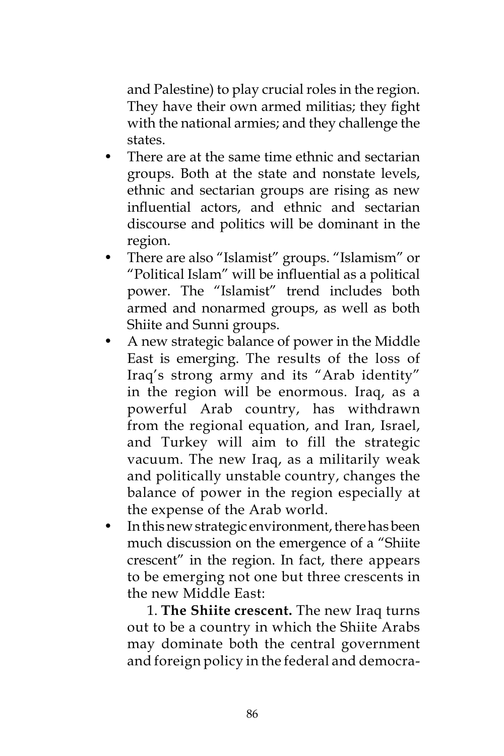and Palestine) to play crucial roles in the region. They have their own armed militias; they fight with the national armies; and they challenge the states.

- There are at the same time ethnic and sectarian groups. Both at the state and nonstate levels, ethnic and sectarian groups are rising as new influential actors, and ethnic and sectarian discourse and politics will be dominant in the region.
- There are also "Islamist" groups. "Islamism" or "Political Islam" will be influential as a political power. The "Islamist" trend includes both armed and nonarmed groups, as well as both Shiite and Sunni groups.
- A new strategic balance of power in the Middle East is emerging. The results of the loss of Iraq's strong army and its "Arab identity" in the region will be enormous. Iraq, as a powerful Arab country, has withdrawn from the regional equation, and Iran, Israel, and Turkey will aim to fill the strategic vacuum. The new Iraq, as a militarily weak and politically unstable country, changes the balance of power in the region especially at the expense of the Arab world.
- In this new strategic environment, there has been much discussion on the emergence of a "Shiite crescent" in the region. In fact, there appears to be emerging not one but three crescents in the new Middle East:

 1. **The Shiite crescent.** The new Iraq turns out to be a country in which the Shiite Arabs may dominate both the central government and foreign policy in the federal and democra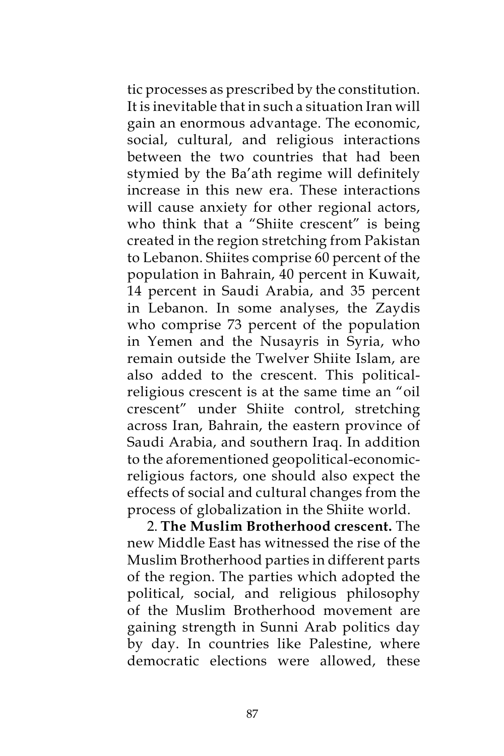tic processes as prescribed by the constitution. It is inevitable that in such a situation Iran will gain an enormous advantage. The economic, social, cultural, and religious interactions between the two countries that had been stymied by the Ba'ath regime will definitely increase in this new era. These interactions will cause anxiety for other regional actors, who think that a "Shiite crescent" is being created in the region stretching from Pakistan to Lebanon. Shiites comprise 60 percent of the population in Bahrain, 40 percent in Kuwait, 14 percent in Saudi Arabia, and 35 percent in Lebanon. In some analyses, the Zaydis who comprise 73 percent of the population in Yemen and the Nusayris in Syria, who remain outside the Twelver Shiite Islam, are also added to the crescent. This politicalreligious crescent is at the same time an "oil crescent" under Shiite control, stretching across Iran, Bahrain, the eastern province of Saudi Arabia, and southern Iraq. In addition to the aforementioned geopolitical-economicreligious factors, one should also expect the effects of social and cultural changes from the process of globalization in the Shiite world.

 2. **The Muslim Brotherhood crescent.** The new Middle East has witnessed the rise of the Muslim Brotherhood parties in different parts of the region. The parties which adopted the political, social, and religious philosophy of the Muslim Brotherhood movement are gaining strength in Sunni Arab politics day by day. In countries like Palestine, where democratic elections were allowed, these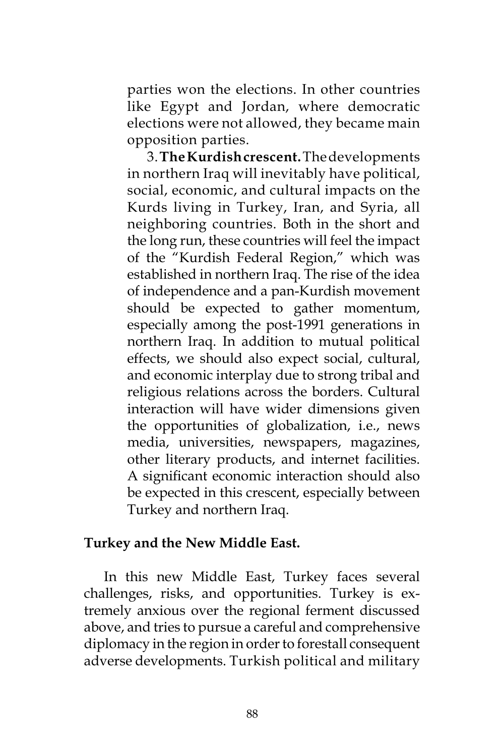parties won the elections. In other countries like Egypt and Jordan, where democratic elections were not allowed, they became main opposition parties.

 3. **The Kurdish crescent.** The developments in northern Iraq will inevitably have political, social, economic, and cultural impacts on the Kurds living in Turkey, Iran, and Syria, all neighboring countries. Both in the short and the long run, these countries will feel the impact of the "Kurdish Federal Region," which was established in northern Iraq. The rise of the idea of independence and a pan-Kurdish movement should be expected to gather momentum, especially among the post-1991 generations in northern Iraq. In addition to mutual political effects, we should also expect social, cultural, and economic interplay due to strong tribal and religious relations across the borders. Cultural interaction will have wider dimensions given the opportunities of globalization, i.e., news media, universities, newspapers, magazines, other literary products, and internet facilities. A significant economic interaction should also be expected in this crescent, especially between Turkey and northern Iraq.

### **Turkey and the New Middle East.**

In this new Middle East, Turkey faces several challenges, risks, and opportunities. Turkey is extremely anxious over the regional ferment discussed above, and tries to pursue a careful and comprehensive diplomacy in the region in order to forestall consequent adverse developments. Turkish political and military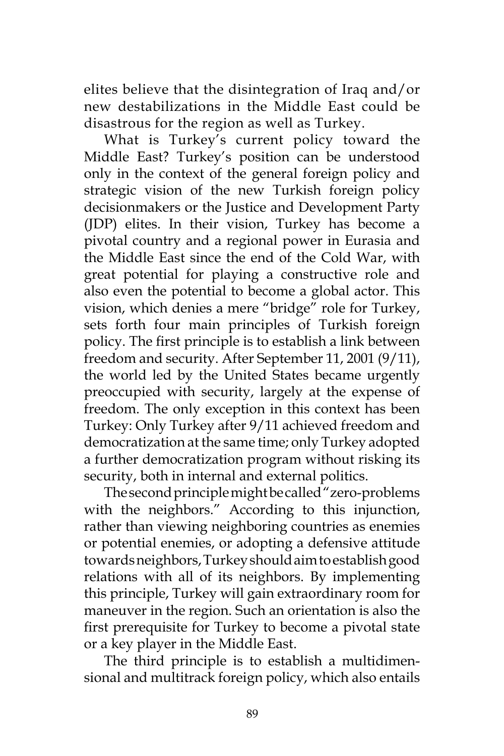elites believe that the disintegration of Iraq and/or new destabilizations in the Middle East could be disastrous for the region as well as Turkey.

What is Turkey's current policy toward the Middle East? Turkey's position can be understood only in the context of the general foreign policy and strategic vision of the new Turkish foreign policy decisionmakers or the Justice and Development Party (JDP) elites. In their vision, Turkey has become a pivotal country and a regional power in Eurasia and the Middle East since the end of the Cold War, with great potential for playing a constructive role and also even the potential to become a global actor. This vision, which denies a mere "bridge" role for Turkey, sets forth four main principles of Turkish foreign policy. The first principle is to establish a link between freedom and security. After September 11, 2001 (9/11), the world led by the United States became urgently preoccupied with security, largely at the expense of freedom. The only exception in this context has been Turkey: Only Turkey after 9/11 achieved freedom and democratization at the same time; only Turkey adopted a further democratization program without risking its security, both in internal and external politics.

The second principle might be called "zero-problems with the neighbors." According to this injunction, rather than viewing neighboring countries as enemies or potential enemies, or adopting a defensive attitude towards neighbors, Turkey should aim to establish good relations with all of its neighbors. By implementing this principle, Turkey will gain extraordinary room for maneuver in the region. Such an orientation is also the first prerequisite for Turkey to become a pivotal state or a key player in the Middle East.

The third principle is to establish a multidimensional and multitrack foreign policy, which also entails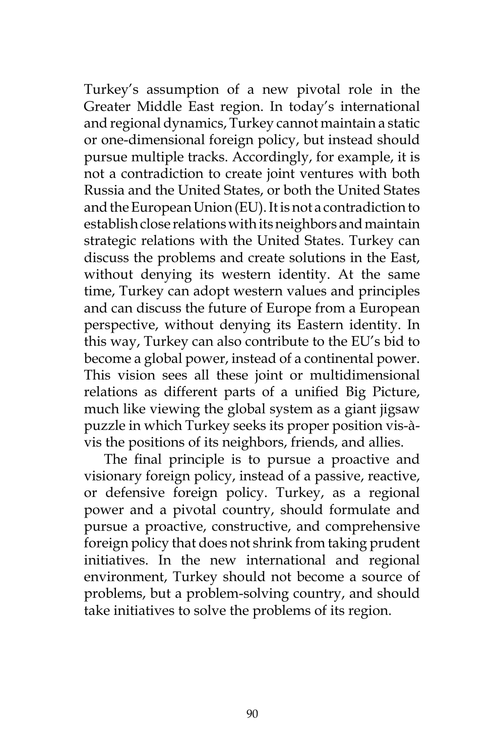Turkey's assumption of a new pivotal role in the Greater Middle East region. In today's international and regional dynamics, Turkey cannot maintain a static or one-dimensional foreign policy, but instead should pursue multiple tracks. Accordingly, for example, it is not a contradiction to create joint ventures with both Russia and the United States, or both the United States and the European Union (EU). It is not a contradiction to establish close relations with its neighbors and maintain strategic relations with the United States. Turkey can discuss the problems and create solutions in the East, without denying its western identity. At the same time, Turkey can adopt western values and principles and can discuss the future of Europe from a European perspective, without denying its Eastern identity. In this way, Turkey can also contribute to the EU's bid to become a global power, instead of a continental power. This vision sees all these joint or multidimensional relations as different parts of a unified Big Picture, much like viewing the global system as a giant jigsaw puzzle in which Turkey seeks its proper position vis-àvis the positions of its neighbors, friends, and allies.

The final principle is to pursue a proactive and visionary foreign policy, instead of a passive, reactive, or defensive foreign policy. Turkey, as a regional power and a pivotal country, should formulate and pursue a proactive, constructive, and comprehensive foreign policy that does not shrink from taking prudent initiatives. In the new international and regional environment, Turkey should not become a source of problems, but a problem-solving country, and should take initiatives to solve the problems of its region.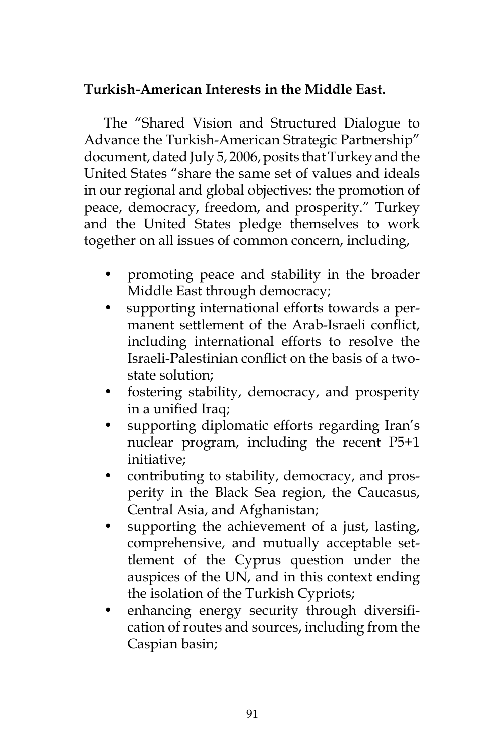# **Turkish-American Interests in the Middle East.**

The "Shared Vision and Structured Dialogue to Advance the Turkish-American Strategic Partnership" document, dated July 5, 2006, posits that Turkey and the United States "share the same set of values and ideals in our regional and global objectives: the promotion of peace, democracy, freedom, and prosperity." Turkey and the United States pledge themselves to work together on all issues of common concern, including,

- promoting peace and stability in the broader Middle East through democracy;
- supporting international efforts towards a permanent settlement of the Arab-Israeli conflict, including international efforts to resolve the Israeli-Palestinian conflict on the basis of a twostate solution;
- fostering stability, democracy, and prosperity in a unified Iraq;
- supporting diplomatic efforts regarding Iran's nuclear program, including the recent P5+1 initiative;
- contributing to stability, democracy, and prosperity in the Black Sea region, the Caucasus, Central Asia, and Afghanistan;
- supporting the achievement of a just, lasting, comprehensive, and mutually acceptable settlement of the Cyprus question under the auspices of the UN, and in this context ending the isolation of the Turkish Cypriots;
- enhancing energy security through diversification of routes and sources, including from the Caspian basin;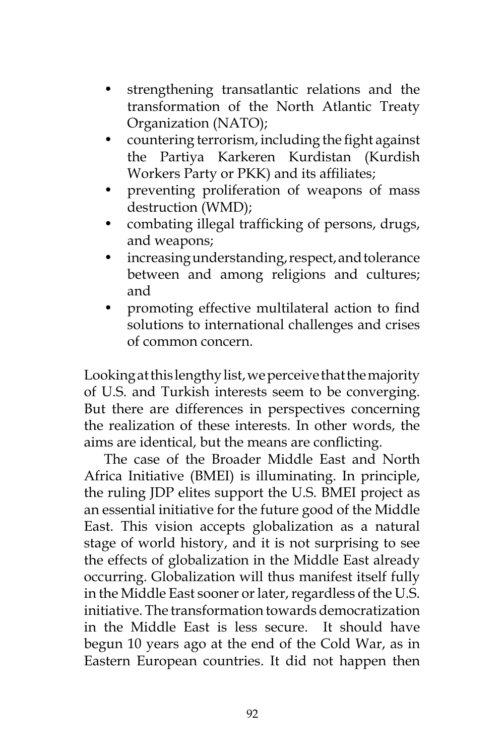- strengthening transatlantic relations and the transformation of the North Atlantic Treaty Organization (NATO);
- countering terrorism, including the fight against the Partiya Karkeren Kurdistan (Kurdish Workers Party or PKK) and its affiliates;
- preventing proliferation of weapons of mass destruction (WMD);
- combating illegal trafficking of persons, drugs, and weapons;
- increasing understanding, respect, and tolerance between and among religions and cultures; and
- promoting effective multilateral action to find solutions to international challenges and crises of common concern.

Looking at this lengthy list, we perceive that the majority of U.S. and Turkish interests seem to be converging. But there are differences in perspectives concerning the realization of these interests. In other words, the aims are identical, but the means are conflicting.

The case of the Broader Middle East and North Africa Initiative (BMEI) is illuminating. In principle, the ruling JDP elites support the U.S. BMEI project as an essential initiative for the future good of the Middle East. This vision accepts globalization as a natural stage of world history, and it is not surprising to see the effects of globalization in the Middle East already occurring. Globalization will thus manifest itself fully in the Middle East sooner or later, regardless of the U.S. initiative. The transformation towards democratization in the Middle East is less secure. It should have begun 10 years ago at the end of the Cold War, as in Eastern European countries. It did not happen then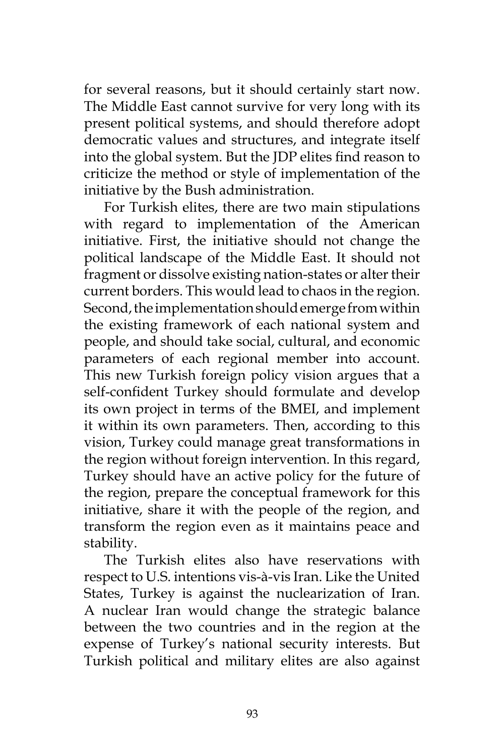for several reasons, but it should certainly start now. The Middle East cannot survive for very long with its present political systems, and should therefore adopt democratic values and structures, and integrate itself into the global system. But the JDP elites find reason to criticize the method or style of implementation of the initiative by the Bush administration.

For Turkish elites, there are two main stipulations with regard to implementation of the American initiative. First, the initiative should not change the political landscape of the Middle East. It should not fragment or dissolve existing nation-states or alter their current borders. This would lead to chaos in the region. Second, the implementation should emerge from within the existing framework of each national system and people, and should take social, cultural, and economic parameters of each regional member into account. This new Turkish foreign policy vision argues that a self-confident Turkey should formulate and develop its own project in terms of the BMEI, and implement it within its own parameters. Then, according to this vision, Turkey could manage great transformations in the region without foreign intervention. In this regard, Turkey should have an active policy for the future of the region, prepare the conceptual framework for this initiative, share it with the people of the region, and transform the region even as it maintains peace and stability.

The Turkish elites also have reservations with respect to U.S. intentions vis-à-vis Iran. Like the United States, Turkey is against the nuclearization of Iran. A nuclear Iran would change the strategic balance between the two countries and in the region at the expense of Turkey's national security interests. But Turkish political and military elites are also against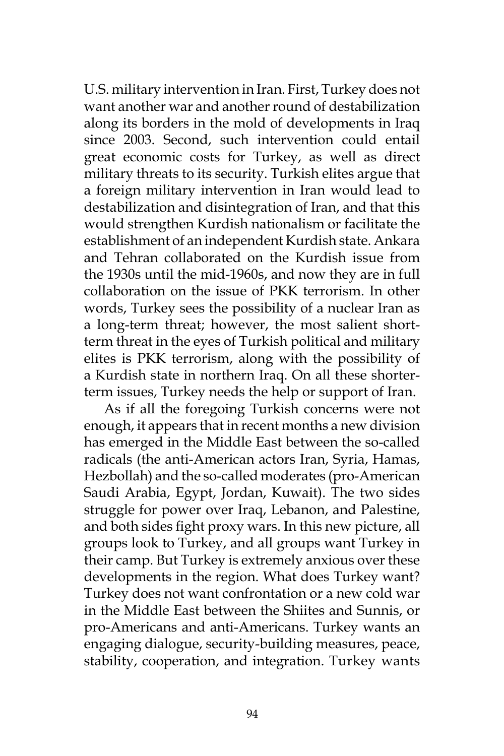U.S. military intervention in Iran. First, Turkey does not want another war and another round of destabilization along its borders in the mold of developments in Iraq since 2003. Second, such intervention could entail great economic costs for Turkey, as well as direct military threats to its security. Turkish elites argue that a foreign military intervention in Iran would lead to destabilization and disintegration of Iran, and that this would strengthen Kurdish nationalism or facilitate the establishment of an independent Kurdish state. Ankara and Tehran collaborated on the Kurdish issue from the 1930s until the mid-1960s, and now they are in full collaboration on the issue of PKK terrorism. In other words, Turkey sees the possibility of a nuclear Iran as a long-term threat; however, the most salient shortterm threat in the eyes of Turkish political and military elites is PKK terrorism, along with the possibility of a Kurdish state in northern Iraq. On all these shorterterm issues, Turkey needs the help or support of Iran.

As if all the foregoing Turkish concerns were not enough, it appears that in recent months a new division has emerged in the Middle East between the so-called radicals (the anti-American actors Iran, Syria, Hamas, Hezbollah) and the so-called moderates (pro-American Saudi Arabia, Egypt, Jordan, Kuwait). The two sides struggle for power over Iraq, Lebanon, and Palestine, and both sides fight proxy wars. In this new picture, all groups look to Turkey, and all groups want Turkey in their camp. But Turkey is extremely anxious over these developments in the region. What does Turkey want? Turkey does not want confrontation or a new cold war in the Middle East between the Shiites and Sunnis, or pro-Americans and anti-Americans. Turkey wants an engaging dialogue, security-building measures, peace, stability, cooperation, and integration. Turkey wants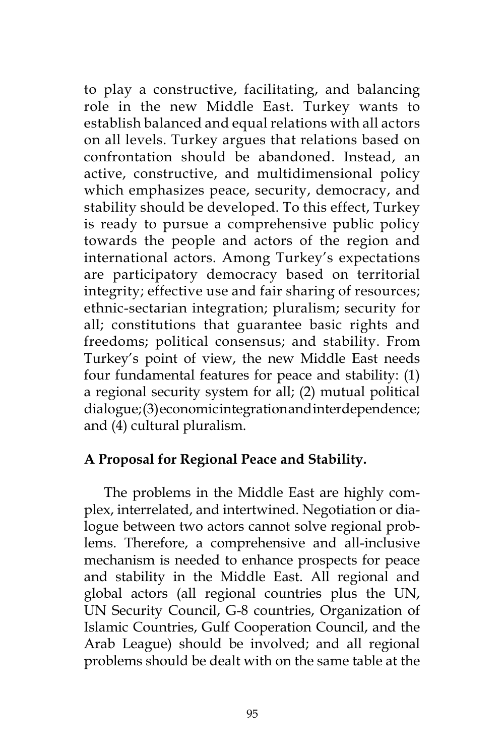to play a constructive, facilitating, and balancing role in the new Middle East. Turkey wants to establish balanced and equal relations with all actors on all levels. Turkey argues that relations based on confrontation should be abandoned. Instead, an active, constructive, and multidimensional policy which emphasizes peace, security, democracy, and stability should be developed. To this effect, Turkey is ready to pursue a comprehensive public policy towards the people and actors of the region and international actors. Among Turkey's expectations are participatory democracy based on territorial integrity; effective use and fair sharing of resources; ethnic-sectarian integration; pluralism; security for all; constitutions that guarantee basic rights and freedoms; political consensus; and stability. From Turkey's point of view, the new Middle East needs four fundamental features for peace and stability: (1) a regional security system for all; (2) mutual political dialogue; (3) economic integration and interdependence; and (4) cultural pluralism.

## **A Proposal for Regional Peace and Stability.**

The problems in the Middle East are highly complex, interrelated, and intertwined. Negotiation or dialogue between two actors cannot solve regional problems. Therefore, a comprehensive and all-inclusive mechanism is needed to enhance prospects for peace and stability in the Middle East. All regional and global actors (all regional countries plus the UN, UN Security Council, G-8 countries, Organization of Islamic Countries, Gulf Cooperation Council, and the Arab League) should be involved; and all regional problems should be dealt with on the same table at the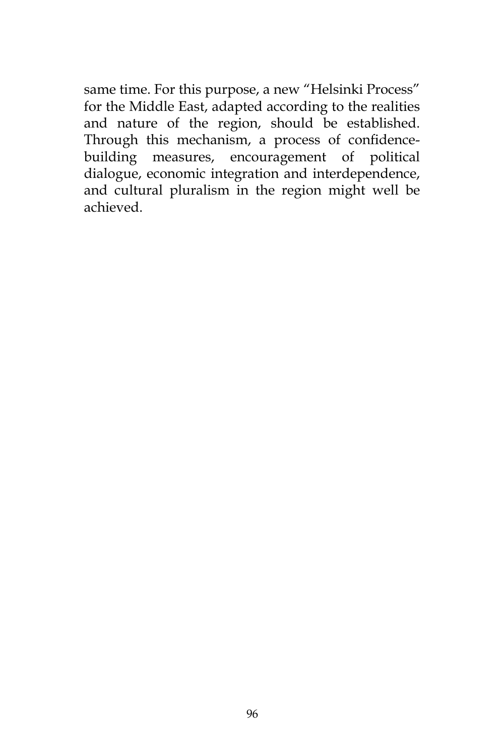same time. For this purpose, a new "Helsinki Process" for the Middle East, adapted according to the realities and nature of the region, should be established. Through this mechanism, a process of confidencebuilding measures, encouragement of political dialogue, economic integration and interdependence, and cultural pluralism in the region might well be achieved.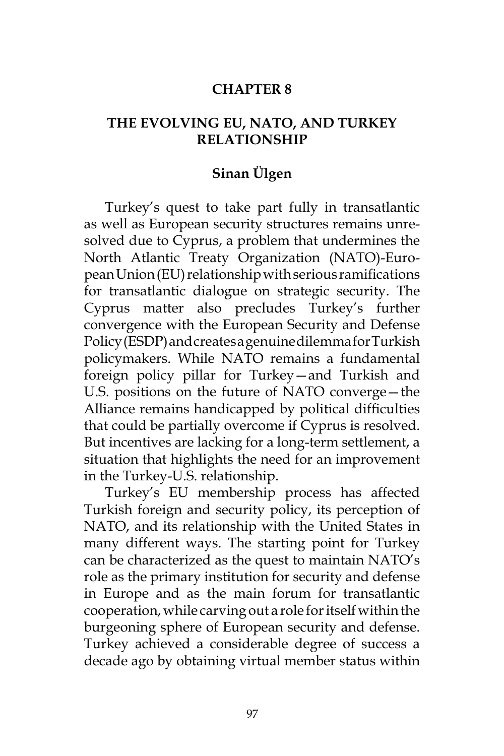### **CHAPTER 8**

## **THE EVOLVING EU, NATO, AND TURKEY RELATIONSHIP**

## **Sinan Ülgen**

Turkey's quest to take part fully in transatlantic as well as European security structures remains unresolved due to Cyprus, a problem that undermines the North Atlantic Treaty Organization (NATO)-European Union (EU) relationship with serious ramifications for transatlantic dialogue on strategic security. The Cyprus matter also precludes Turkey's further convergence with the European Security and Defense Policy (ESDP) and creates a genuine dilemma for Turkish policymakers. While NATO remains a fundamental foreign policy pillar for Turkey—and Turkish and U.S. positions on the future of NATO converge—the Alliance remains handicapped by political difficulties that could be partially overcome if Cyprus is resolved. But incentives are lacking for a long-term settlement, a situation that highlights the need for an improvement in the Turkey-U.S. relationship.

Turkey's EU membership process has affected Turkish foreign and security policy, its perception of NATO, and its relationship with the United States in many different ways. The starting point for Turkey can be characterized as the quest to maintain NATO's role as the primary institution for security and defense in Europe and as the main forum for transatlantic cooperation, while carving out a role for itself within the burgeoning sphere of European security and defense. Turkey achieved a considerable degree of success a decade ago by obtaining virtual member status within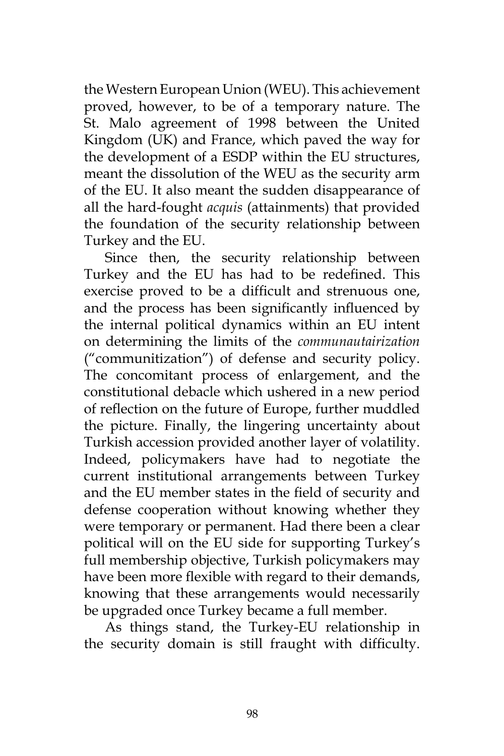the Western European Union (WEU). This achievement proved, however, to be of a temporary nature. The St. Malo agreement of 1998 between the United Kingdom (UK) and France, which paved the way for the development of a ESDP within the EU structures, meant the dissolution of the WEU as the security arm of the EU. It also meant the sudden disappearance of all the hard-fought *acquis* (attainments) that provided the foundation of the security relationship between Turkey and the EU.

Since then, the security relationship between Turkey and the EU has had to be redefined. This exercise proved to be a difficult and strenuous one, and the process has been significantly influenced by the internal political dynamics within an EU intent on determining the limits of the *communautairization* ("communitization") of defense and security policy. The concomitant process of enlargement, and the constitutional debacle which ushered in a new period of reflection on the future of Europe, further muddled the picture. Finally, the lingering uncertainty about Turkish accession provided another layer of volatility. Indeed, policymakers have had to negotiate the current institutional arrangements between Turkey and the EU member states in the field of security and defense cooperation without knowing whether they were temporary or permanent. Had there been a clear political will on the EU side for supporting Turkey's full membership objective, Turkish policymakers may have been more flexible with regard to their demands, knowing that these arrangements would necessarily be upgraded once Turkey became a full member.

As things stand, the Turkey-EU relationship in the security domain is still fraught with difficulty.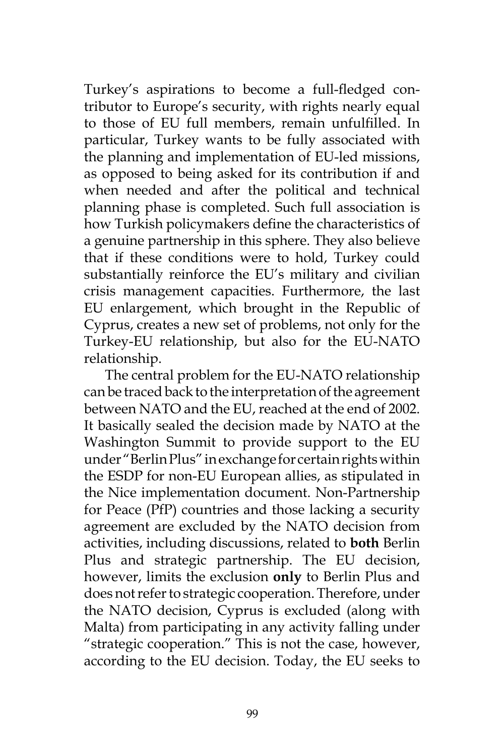Turkey's aspirations to become a full-fledged contributor to Europe's security, with rights nearly equal to those of EU full members, remain unfulfilled. In particular, Turkey wants to be fully associated with the planning and implementation of EU-led missions, as opposed to being asked for its contribution if and when needed and after the political and technical planning phase is completed. Such full association is how Turkish policymakers define the characteristics of a genuine partnership in this sphere. They also believe that if these conditions were to hold, Turkey could substantially reinforce the EU's military and civilian crisis management capacities. Furthermore, the last EU enlargement, which brought in the Republic of Cyprus, creates a new set of problems, not only for the Turkey-EU relationship, but also for the EU-NATO relationship.

The central problem for the EU-NATO relationship can be traced back to the interpretation of the agreement between NATO and the EU, reached at the end of 2002. It basically sealed the decision made by NATO at the Washington Summit to provide support to the EU under "Berlin Plus" in exchange for certain rights within the ESDP for non-EU European allies, as stipulated in the Nice implementation document. Non-Partnership for Peace (PfP) countries and those lacking a security agreement are excluded by the NATO decision from activities, including discussions, related to **both** Berlin Plus and strategic partnership. The EU decision, however, limits the exclusion **only** to Berlin Plus and does not refer to strategic cooperation. Therefore, under the NATO decision, Cyprus is excluded (along with Malta) from participating in any activity falling under "strategic cooperation." This is not the case, however, according to the EU decision. Today, the EU seeks to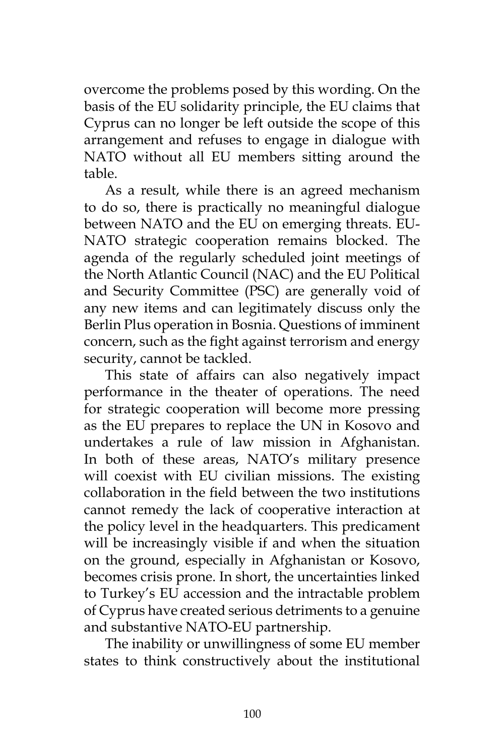overcome the problems posed by this wording. On the basis of the EU solidarity principle, the EU claims that Cyprus can no longer be left outside the scope of this arrangement and refuses to engage in dialogue with NATO without all EU members sitting around the table.

As a result, while there is an agreed mechanism to do so, there is practically no meaningful dialogue between NATO and the EU on emerging threats. EU-NATO strategic cooperation remains blocked. The agenda of the regularly scheduled joint meetings of the North Atlantic Council (NAC) and the EU Political and Security Committee (PSC) are generally void of any new items and can legitimately discuss only the Berlin Plus operation in Bosnia. Questions of imminent concern, such as the fight against terrorism and energy security, cannot be tackled.

This state of affairs can also negatively impact performance in the theater of operations. The need for strategic cooperation will become more pressing as the EU prepares to replace the UN in Kosovo and undertakes a rule of law mission in Afghanistan. In both of these areas, NATO's military presence will coexist with EU civilian missions. The existing collaboration in the field between the two institutions cannot remedy the lack of cooperative interaction at the policy level in the headquarters. This predicament will be increasingly visible if and when the situation on the ground, especially in Afghanistan or Kosovo, becomes crisis prone. In short, the uncertainties linked to Turkey's EU accession and the intractable problem of Cyprus have created serious detriments to a genuine and substantive NATO-EU partnership.

The inability or unwillingness of some EU member states to think constructively about the institutional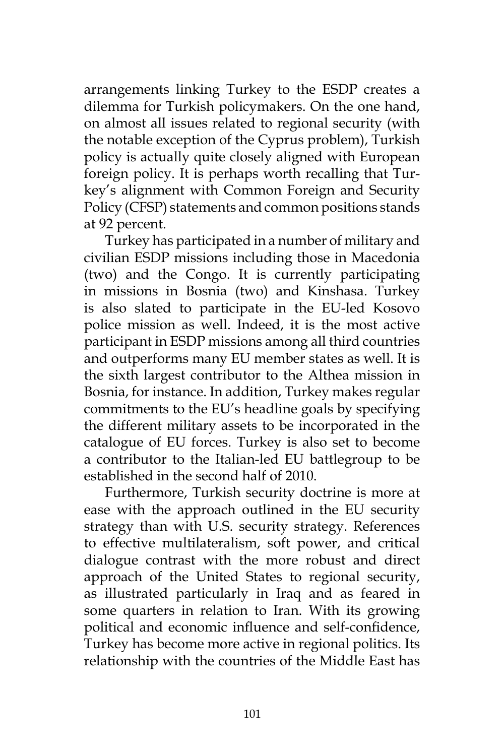arrangements linking Turkey to the ESDP creates a dilemma for Turkish policymakers. On the one hand, on almost all issues related to regional security (with the notable exception of the Cyprus problem), Turkish policy is actually quite closely aligned with European foreign policy. It is perhaps worth recalling that Turkey's alignment with Common Foreign and Security Policy (CFSP) statements and common positions stands at 92 percent.

Turkey has participated in a number of military and civilian ESDP missions including those in Macedonia (two) and the Congo. It is currently participating in missions in Bosnia (two) and Kinshasa. Turkey is also slated to participate in the EU-led Kosovo police mission as well. Indeed, it is the most active participant in ESDP missions among all third countries and outperforms many EU member states as well. It is the sixth largest contributor to the Althea mission in Bosnia, for instance. In addition, Turkey makes regular commitments to the EU's headline goals by specifying the different military assets to be incorporated in the catalogue of EU forces. Turkey is also set to become a contributor to the Italian-led EU battlegroup to be established in the second half of 2010.

Furthermore, Turkish security doctrine is more at ease with the approach outlined in the EU security strategy than with U.S. security strategy. References to effective multilateralism, soft power, and critical dialogue contrast with the more robust and direct approach of the United States to regional security, as illustrated particularly in Iraq and as feared in some quarters in relation to Iran. With its growing political and economic influence and self-confidence, Turkey has become more active in regional politics. Its relationship with the countries of the Middle East has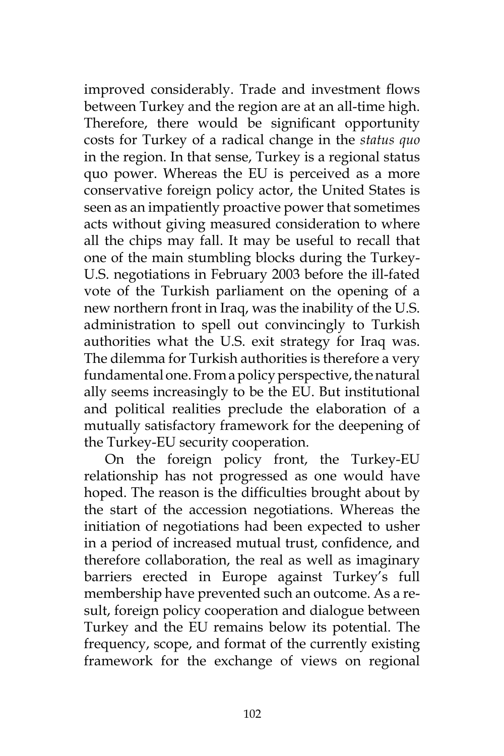improved considerably. Trade and investment flows between Turkey and the region are at an all-time high. Therefore, there would be significant opportunity costs for Turkey of a radical change in the *status quo* in the region. In that sense, Turkey is a regional status quo power. Whereas the EU is perceived as a more conservative foreign policy actor, the United States is seen as an impatiently proactive power that sometimes acts without giving measured consideration to where all the chips may fall. It may be useful to recall that one of the main stumbling blocks during the Turkey-U.S. negotiations in February 2003 before the ill-fated vote of the Turkish parliament on the opening of a new northern front in Iraq, was the inability of the U.S. administration to spell out convincingly to Turkish authorities what the U.S. exit strategy for Iraq was. The dilemma for Turkish authorities is therefore a very fundamental one. From a policy perspective, the natural ally seems increasingly to be the EU. But institutional and political realities preclude the elaboration of a mutually satisfactory framework for the deepening of the Turkey-EU security cooperation.

On the foreign policy front, the Turkey-EU relationship has not progressed as one would have hoped. The reason is the difficulties brought about by the start of the accession negotiations. Whereas the initiation of negotiations had been expected to usher in a period of increased mutual trust, confidence, and therefore collaboration, the real as well as imaginary barriers erected in Europe against Turkey's full membership have prevented such an outcome. As a result, foreign policy cooperation and dialogue between Turkey and the EU remains below its potential. The frequency, scope, and format of the currently existing framework for the exchange of views on regional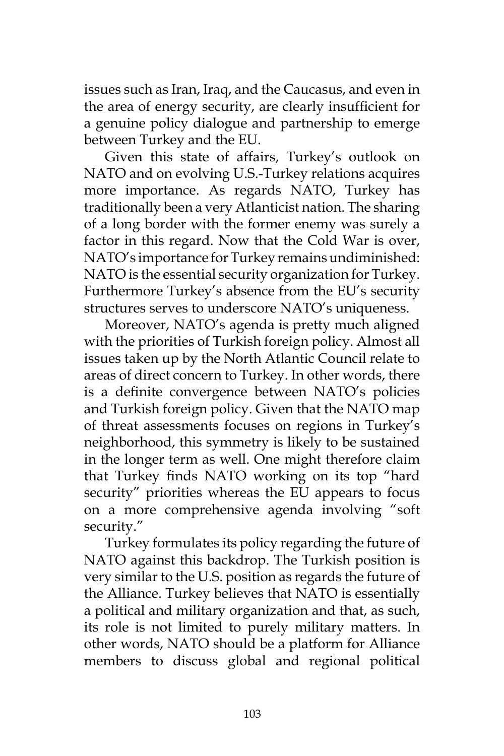issues such as Iran, Iraq, and the Caucasus, and even in the area of energy security, are clearly insufficient for a genuine policy dialogue and partnership to emerge between Turkey and the EU.

Given this state of affairs, Turkey's outlook on NATO and on evolving U.S.-Turkey relations acquires more importance. As regards NATO, Turkey has traditionally been a very Atlanticist nation. The sharing of a long border with the former enemy was surely a factor in this regard. Now that the Cold War is over, NATO's importance for Turkey remains undiminished: NATO is the essential security organization for Turkey. Furthermore Turkey's absence from the EU's security structures serves to underscore NATO's uniqueness.

Moreover, NATO's agenda is pretty much aligned with the priorities of Turkish foreign policy. Almost all issues taken up by the North Atlantic Council relate to areas of direct concern to Turkey. In other words, there is a definite convergence between NATO's policies and Turkish foreign policy. Given that the NATO map of threat assessments focuses on regions in Turkey's neighborhood, this symmetry is likely to be sustained in the longer term as well. One might therefore claim that Turkey finds NATO working on its top "hard security" priorities whereas the EU appears to focus on a more comprehensive agenda involving "soft security."

Turkey formulates its policy regarding the future of NATO against this backdrop. The Turkish position is very similar to the U.S. position as regards the future of the Alliance. Turkey believes that NATO is essentially a political and military organization and that, as such, its role is not limited to purely military matters. In other words, NATO should be a platform for Alliance members to discuss global and regional political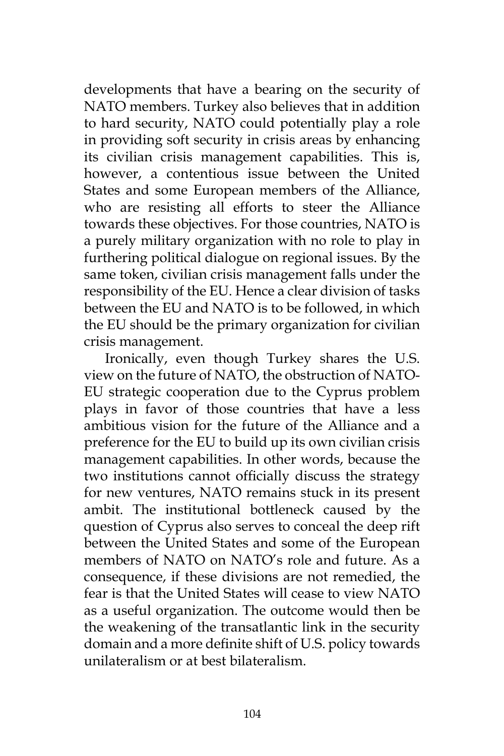developments that have a bearing on the security of NATO members. Turkey also believes that in addition to hard security, NATO could potentially play a role in providing soft security in crisis areas by enhancing its civilian crisis management capabilities. This is, however, a contentious issue between the United States and some European members of the Alliance, who are resisting all efforts to steer the Alliance towards these objectives. For those countries, NATO is a purely military organization with no role to play in furthering political dialogue on regional issues. By the same token, civilian crisis management falls under the responsibility of the EU. Hence a clear division of tasks between the EU and NATO is to be followed, in which the EU should be the primary organization for civilian crisis management.

Ironically, even though Turkey shares the U.S. view on the future of NATO, the obstruction of NATO-EU strategic cooperation due to the Cyprus problem plays in favor of those countries that have a less ambitious vision for the future of the Alliance and a preference for the EU to build up its own civilian crisis management capabilities. In other words, because the two institutions cannot officially discuss the strategy for new ventures, NATO remains stuck in its present ambit. The institutional bottleneck caused by the question of Cyprus also serves to conceal the deep rift between the United States and some of the European members of NATO on NATO's role and future. As a consequence, if these divisions are not remedied, the fear is that the United States will cease to view NATO as a useful organization. The outcome would then be the weakening of the transatlantic link in the security domain and a more definite shift of U.S. policy towards unilateralism or at best bilateralism.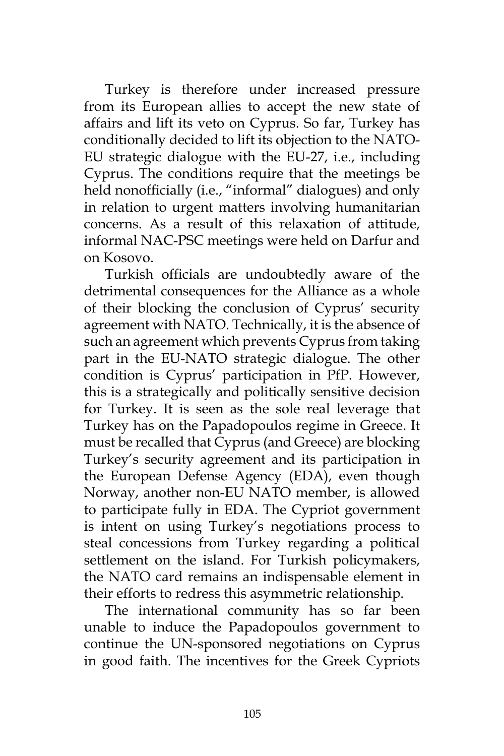Turkey is therefore under increased pressure from its European allies to accept the new state of affairs and lift its veto on Cyprus. So far, Turkey has conditionally decided to lift its objection to the NATO-EU strategic dialogue with the EU-27, i.e., including Cyprus. The conditions require that the meetings be held nonofficially (i.e., "informal" dialogues) and only in relation to urgent matters involving humanitarian concerns. As a result of this relaxation of attitude, informal NAC-PSC meetings were held on Darfur and on Kosovo.

Turkish officials are undoubtedly aware of the detrimental consequences for the Alliance as a whole of their blocking the conclusion of Cyprus' security agreement with NATO. Technically, it is the absence of such an agreement which prevents Cyprus from taking part in the EU-NATO strategic dialogue. The other condition is Cyprus' participation in PfP. However, this is a strategically and politically sensitive decision for Turkey. It is seen as the sole real leverage that Turkey has on the Papadopoulos regime in Greece. It must be recalled that Cyprus (and Greece) are blocking Turkey's security agreement and its participation in the European Defense Agency (EDA), even though Norway, another non-EU NATO member, is allowed to participate fully in EDA. The Cypriot government is intent on using Turkey's negotiations process to steal concessions from Turkey regarding a political settlement on the island. For Turkish policymakers, the NATO card remains an indispensable element in their efforts to redress this asymmetric relationship.

The international community has so far been unable to induce the Papadopoulos government to continue the UN-sponsored negotiations on Cyprus in good faith. The incentives for the Greek Cypriots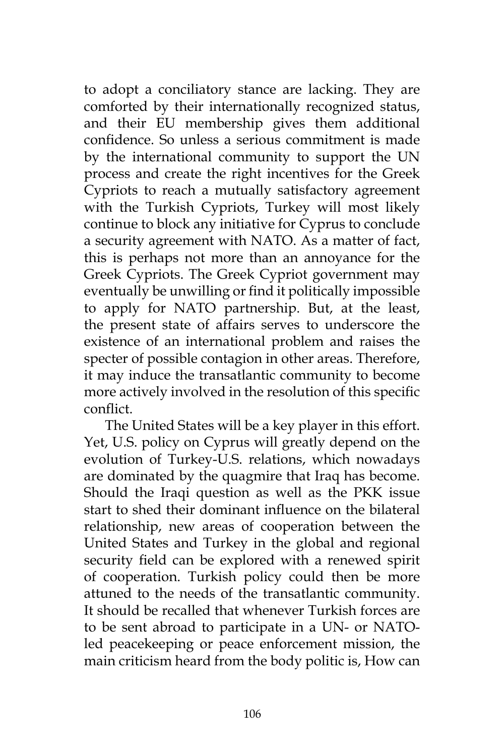to adopt a conciliatory stance are lacking. They are comforted by their internationally recognized status, and their EU membership gives them additional confidence. So unless a serious commitment is made by the international community to support the UN process and create the right incentives for the Greek Cypriots to reach a mutually satisfactory agreement with the Turkish Cypriots, Turkey will most likely continue to block any initiative for Cyprus to conclude a security agreement with NATO. As a matter of fact, this is perhaps not more than an annoyance for the Greek Cypriots. The Greek Cypriot government may eventually be unwilling or find it politically impossible to apply for NATO partnership. But, at the least, the present state of affairs serves to underscore the existence of an international problem and raises the specter of possible contagion in other areas. Therefore, it may induce the transatlantic community to become more actively involved in the resolution of this specific conflict.

The United States will be a key player in this effort. Yet, U.S. policy on Cyprus will greatly depend on the evolution of Turkey-U.S. relations, which nowadays are dominated by the quagmire that Iraq has become. Should the Iraqi question as well as the PKK issue start to shed their dominant influence on the bilateral relationship, new areas of cooperation between the United States and Turkey in the global and regional security field can be explored with a renewed spirit of cooperation. Turkish policy could then be more attuned to the needs of the transatlantic community. It should be recalled that whenever Turkish forces are to be sent abroad to participate in a UN- or NATOled peacekeeping or peace enforcement mission, the main criticism heard from the body politic is, How can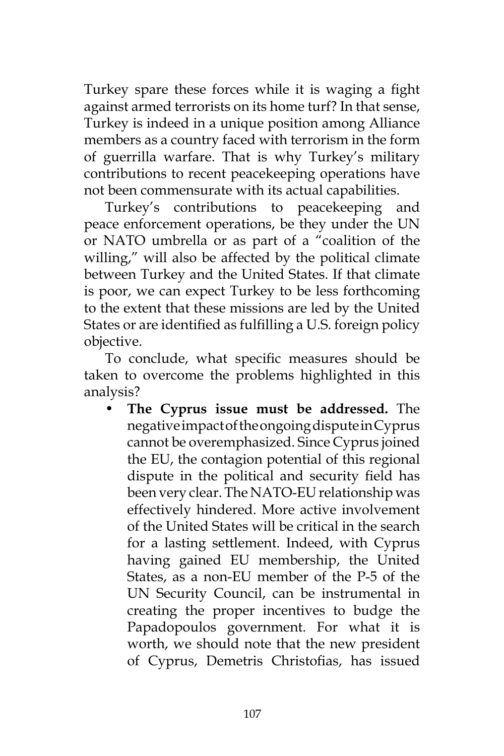Turkey spare these forces while it is waging a fight against armed terrorists on its home turf? In that sense, Turkey is indeed in a unique position among Alliance members as a country faced with terrorism in the form of guerrilla warfare. That is why Turkey's military contributions to recent peacekeeping operations have not been commensurate with its actual capabilities.

Turkey's contributions to peacekeeping and peace enforcement operations, be they under the UN or NATO umbrella or as part of a "coalition of the willing," will also be affected by the political climate between Turkey and the United States. If that climate is poor, we can expect Turkey to be less forthcoming to the extent that these missions are led by the United States or are identified as fulfilling a U.S. foreign policy objective.

To conclude, what specific measures should be taken to overcome the problems highlighted in this analysis?

• **The Cyprus issue must be addressed.** The negative impact of the ongoing dispute in Cyprus cannot be overemphasized. Since Cyprus joined the EU, the contagion potential of this regional dispute in the political and security field has been very clear. The NATO-EU relationship was effectively hindered. More active involvement of the United States will be critical in the search for a lasting settlement. Indeed, with Cyprus having gained EU membership, the United States, as a non-EU member of the P-5 of the UN Security Council, can be instrumental in creating the proper incentives to budge the Papadopoulos government. For what it is worth, we should note that the new president of Cyprus, Demetris Christofias, has issued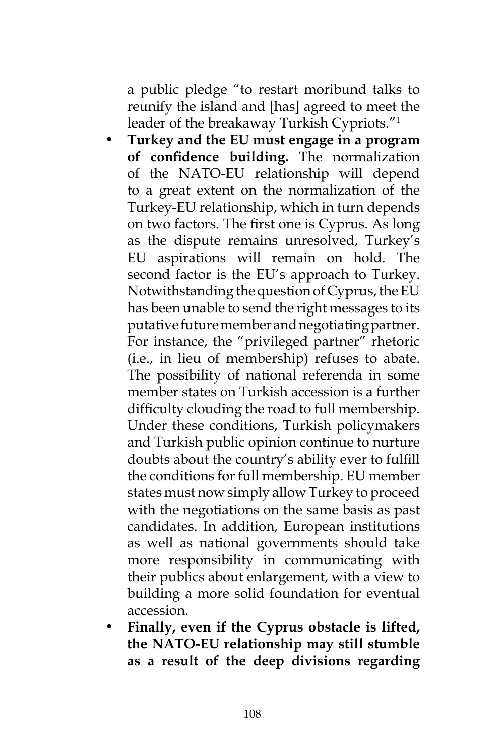a public pledge "to restart moribund talks to reunify the island and [has] agreed to meet the leader of the breakaway Turkish Cypriots."1

- **Turkey and the EU must engage in a program of confidence building.** The normalization of the NATO-EU relationship will depend to a great extent on the normalization of the Turkey-EU relationship, which in turn depends on two factors. The first one is Cyprus. As long as the dispute remains unresolved, Turkey's EU aspirations will remain on hold. The second factor is the EU's approach to Turkey. Notwithstanding the question of Cyprus, the EU has been unable to send the right messages to its putative future member and negotiating partner. For instance, the "privileged partner" rhetoric (i.e., in lieu of membership) refuses to abate. The possibility of national referenda in some member states on Turkish accession is a further difficulty clouding the road to full membership. Under these conditions, Turkish policymakers and Turkish public opinion continue to nurture doubts about the country's ability ever to fulfill the conditions for full membership. EU member states must now simply allow Turkey to proceed with the negotiations on the same basis as past candidates. In addition, European institutions as well as national governments should take more responsibility in communicating with their publics about enlargement, with a view to building a more solid foundation for eventual accession.
- **Finally, even if the Cyprus obstacle is lifted, the NATO-EU relationship may still stumble as a result of the deep divisions regarding**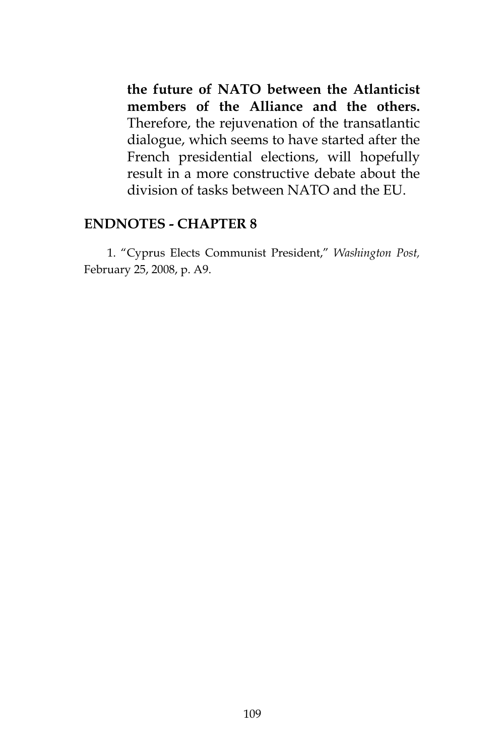**the future of NATO between the Atlanticist members of the Alliance and the others.** Therefore, the rejuvenation of the transatlantic dialogue, which seems to have started after the French presidential elections, will hopefully result in a more constructive debate about the division of tasks between NATO and the EU.

## **ENDNOTES - CHAPTER 8**

1. "Cyprus Elects Communist President," *Washington Post,* February 25, 2008, p. A9.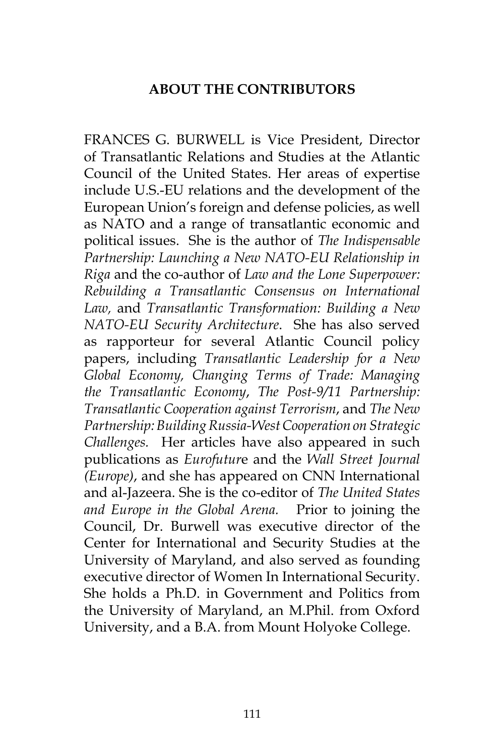## **ABOUT THE CONTRIBUTORS**

FRANCES G. BURWELL is Vice President, Director of Transatlantic Relations and Studies at the Atlantic Council of the United States. Her areas of expertise include U.S.-EU relations and the development of the European Union's foreign and defense policies, as well as NATO and a range of transatlantic economic and political issues. She is the author of *The Indispensable Partnership: Launching a New NATO-EU Relationship in Riga* and the co-author of *Law and the Lone Superpower: Rebuilding a Transatlantic Consensus on International Law,* and *Transatlantic Transformation: Building a New NATO-EU Security Architecture*. She has also served as rapporteur for several Atlantic Council policy papers, including *Transatlantic Leadership for a New Global Economy, Changing Terms of Trade: Managing the Transatlantic Economy*, *The Post-9/11 Partnership: Transatlantic Cooperation against Terrorism*, and *The New Partnership: Building Russia-West Cooperation on Strategic Challenges.* Her articles have also appeared in such publications as *Eurofutur*e and the *Wall Street Journal (Europe)*, and she has appeared on CNN International and al-Jazeera. She is the co-editor of *The United States and Europe in the Global Arena.* Prior to joining the Council, Dr. Burwell was executive director of the Center for International and Security Studies at the University of Maryland, and also served as founding executive director of Women In International Security. She holds a Ph.D. in Government and Politics from the University of Maryland, an M.Phil. from Oxford University, and a B.A. from Mount Holyoke College.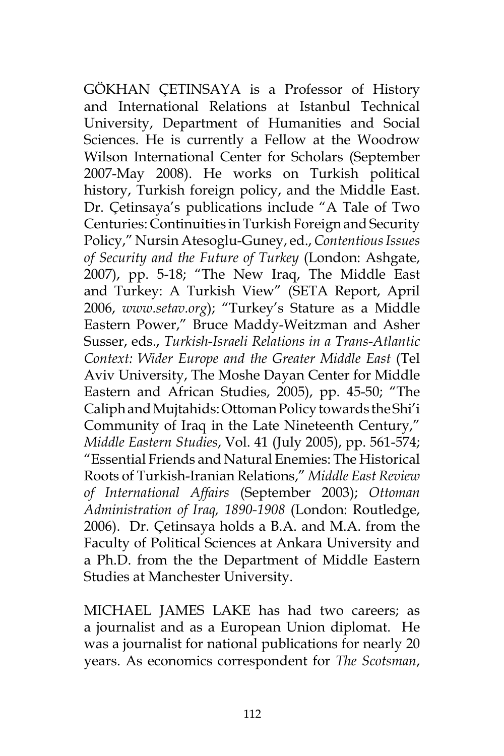GÖKHAN ÇETINSAYA is a Professor of History and International Relations at Istanbul Technical University, Department of Humanities and Social Sciences. He is currently a Fellow at the Woodrow Wilson International Center for Scholars (September 2007-May 2008). He works on Turkish political history, Turkish foreign policy, and the Middle East. Dr. Çetinsaya's publications include "A Tale of Two Centuries: Continuities in Turkish Foreign and Security Policy," Nursin Atesoglu-Guney, ed., *Contentious Issues of Security and the Future of Turkey* (London: Ashgate, 2007), pp. 5-18; "The New Iraq, The Middle East and Turkey: A Turkish View" (SETA Report, April 2006, *www.setav.org*); "Turkey's Stature as a Middle Eastern Power," Bruce Maddy-Weitzman and Asher Susser, eds., *Turkish-Israeli Relations in a Trans-Atlantic Context: Wider Europe and the Greater Middle East* (Tel Aviv University, The Moshe Dayan Center for Middle Eastern and African Studies, 2005), pp. 45-50; "The Caliph and Mujtahids: Ottoman Policy towards the Shi'i Community of Iraq in the Late Nineteenth Century," *Middle Eastern Studies*, Vol. 41 (July 2005), pp. 561-574; "Essential Friends and Natural Enemies: The Historical Roots of Turkish-Iranian Relations," *Middle East Review of International Affairs* (September 2003); *Ottoman Administration of Iraq, 1890-1908* (London: Routledge, 2006). Dr. Çetinsaya holds a B.A. and M.A. from the Faculty of Political Sciences at Ankara University and a Ph.D. from the the Department of Middle Eastern Studies at Manchester University.

MICHAEL JAMES LAKE has had two careers; as a journalist and as a European Union diplomat. He was a journalist for national publications for nearly 20 years. As economics correspondent for *The Scotsman*,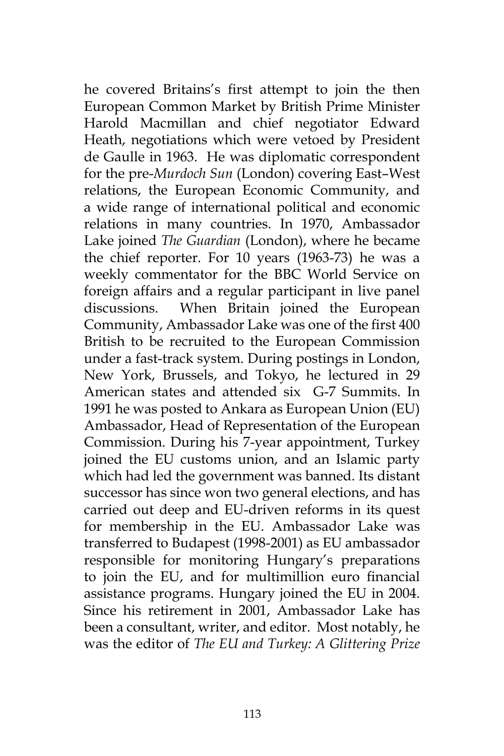he covered Britains's first attempt to join the then European Common Market by British Prime Minister Harold Macmillan and chief negotiator Edward Heath, negotiations which were vetoed by President de Gaulle in 1963. He was diplomatic correspondent for the pre-*Murdoch Sun* (London) covering East–West relations, the European Economic Community, and a wide range of international political and economic relations in many countries. In 1970, Ambassador Lake joined *The Guardian* (London), where he became the chief reporter. For 10 years (1963-73) he was a weekly commentator for the BBC World Service on foreign affairs and a regular participant in live panel discussions. When Britain joined the European Community, Ambassador Lake was one of the first 400 British to be recruited to the European Commission under a fast-track system. During postings in London, New York, Brussels, and Tokyo, he lectured in 29 American states and attended six G-7 Summits. In 1991 he was posted to Ankara as European Union (EU) Ambassador, Head of Representation of the European Commission. During his 7-year appointment, Turkey joined the EU customs union, and an Islamic party which had led the government was banned. Its distant successor has since won two general elections, and has carried out deep and EU-driven reforms in its quest for membership in the EU. Ambassador Lake was transferred to Budapest (1998-2001) as EU ambassador responsible for monitoring Hungary's preparations to join the EU, and for multimillion euro financial assistance programs. Hungary joined the EU in 2004. Since his retirement in 2001, Ambassador Lake has been a consultant, writer, and editor. Most notably, he was the editor of *The EU and Turkey: A Glittering Prize*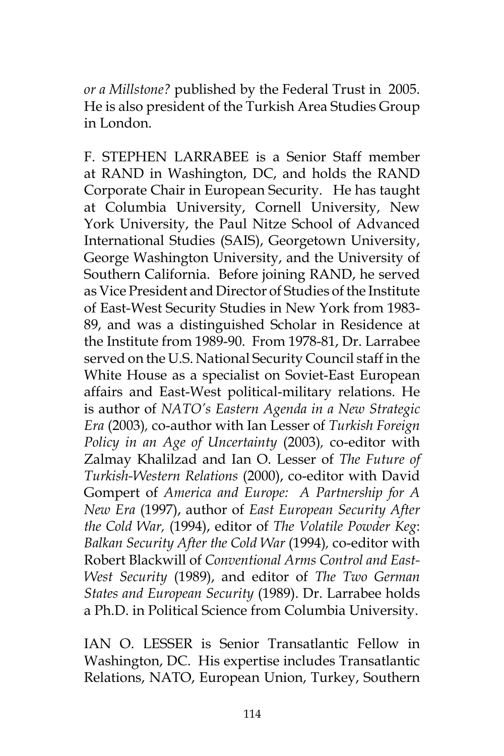*or a Millstone?* published by the Federal Trust in 2005. He is also president of the Turkish Area Studies Group in London.

F. STEPHEN LARRABEE is a Senior Staff member at RAND in Washington, DC, and holds the RAND Corporate Chair in European Security. He has taught at Columbia University, Cornell University, New York University, the Paul Nitze School of Advanced International Studies (SAIS), Georgetown University, George Washington University, and the University of Southern California. Before joining RAND, he served as Vice President and Director of Studies of the Institute of East-West Security Studies in New York from 1983- 89, and was a distinguished Scholar in Residence at the Institute from 1989-90. From 1978-81, Dr. Larrabee served on the U.S. National Security Council staff in the White House as a specialist on Soviet-East European affairs and East-West political-military relations. He is author of *NATO's Eastern Agenda in a New Strategic Era* (2003)*,* co-author with Ian Lesser of *Turkish Foreign Policy in an Age of Uncertainty* (2003)*,* co-editor with Zalmay Khalilzad and Ian O. Lesser of *The Future of Turkish-Western Relations* (2000), co-editor with David Gompert of *America and Europe: A Partnership for A New Era* (1997), author of *East European Security After the Cold War,* (1994), editor of *The Volatile Powder Keg*: *Balkan Security After the Cold War* (1994)*,* co-editor with Robert Blackwill of *Conventional Arms Control and East-West Security* (1989), and editor of *The Two German States and European Security* (1989). Dr. Larrabee holds a Ph.D. in Political Science from Columbia University.

IAN O. LESSER is Senior Transatlantic Fellow in Washington, DC. His expertise includes Transatlantic Relations, NATO, European Union, Turkey, Southern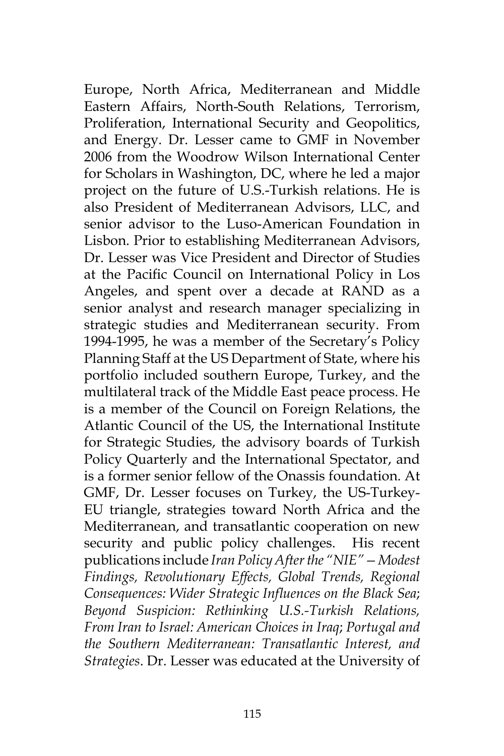Europe, North Africa, Mediterranean and Middle Eastern Affairs, North-South Relations, Terrorism, Proliferation, International Security and Geopolitics, and Energy. Dr. Lesser came to GMF in November 2006 from the Woodrow Wilson International Center for Scholars in Washington, DC, where he led a major project on the future of U.S.-Turkish relations. He is also President of Mediterranean Advisors, LLC, and senior advisor to the Luso-American Foundation in Lisbon. Prior to establishing Mediterranean Advisors, Dr. Lesser was Vice President and Director of Studies at the Pacific Council on International Policy in Los Angeles, and spent over a decade at RAND as a senior analyst and research manager specializing in strategic studies and Mediterranean security. From 1994-1995, he was a member of the Secretary's Policy Planning Staff at the US Department of State, where his portfolio included southern Europe, Turkey, and the multilateral track of the Middle East peace process. He is a member of the Council on Foreign Relations, the Atlantic Council of the US, the International Institute for Strategic Studies, the advisory boards of Turkish Policy Quarterly and the International Spectator, and is a former senior fellow of the Onassis foundation. At GMF, Dr. Lesser focuses on Turkey, the US-Turkey-EU triangle, strategies toward North Africa and the Mediterranean, and transatlantic cooperation on new security and public policy challenges. His recent publications include *Iran Policy After the "NIE"—Modest Findings, Revolutionary Effects, Global Trends, Regional Consequences: Wider Strategic Influences on the Black Sea*; *Beyond Suspicion: Rethinking U.S.-Turkish Relations, From Iran to Israel: American Choices in Iraq*; *Portugal and the Southern Mediterranean: Transatlantic Interest, and Strategies*. Dr. Lesser was educated at the University of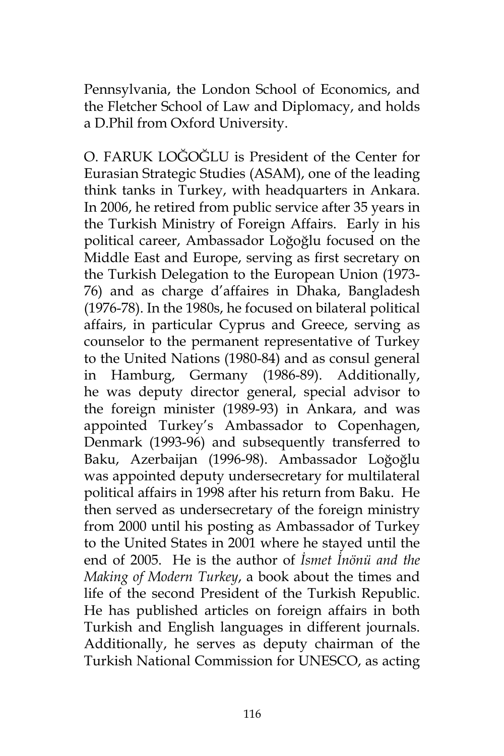Pennsylvania, the London School of Economics, and the Fletcher School of Law and Diplomacy, and holds a D.Phil from Oxford University.

O. FARUK LOĞOĞLU is President of the Center for Eurasian Strategic Studies (ASAM), one of the leading think tanks in Turkey, with headquarters in Ankara. In 2006, he retired from public service after 35 years in the Turkish Ministry of Foreign Affairs. Early in his political career, Ambassador Loğoğlu focused on the Middle East and Europe, serving as first secretary on the Turkish Delegation to the European Union (1973- 76) and as charge d'affaires in Dhaka, Bangladesh (1976-78). In the 1980s, he focused on bilateral political affairs, in particular Cyprus and Greece, serving as counselor to the permanent representative of Turkey to the United Nations (1980-84) and as consul general in Hamburg, Germany (1986-89). Additionally, he was deputy director general, special advisor to the foreign minister (1989-93) in Ankara, and was appointed Turkey's Ambassador to Copenhagen, Denmark (1993-96) and subsequently transferred to Baku, Azerbaijan (1996-98). Ambassador Loğoğlu was appointed deputy undersecretary for multilateral political affairs in 1998 after his return from Baku. He then served as undersecretary of the foreign ministry from 2000 until his posting as Ambassador of Turkey to the United States in 2001 where he stayed until the end of 2005. He is the author of *İsmet İnönü and the Making of Modern Turkey*, a book about the times and life of the second President of the Turkish Republic. He has published articles on foreign affairs in both Turkish and English languages in different journals. Additionally, he serves as deputy chairman of the Turkish National Commission for UNESCO, as acting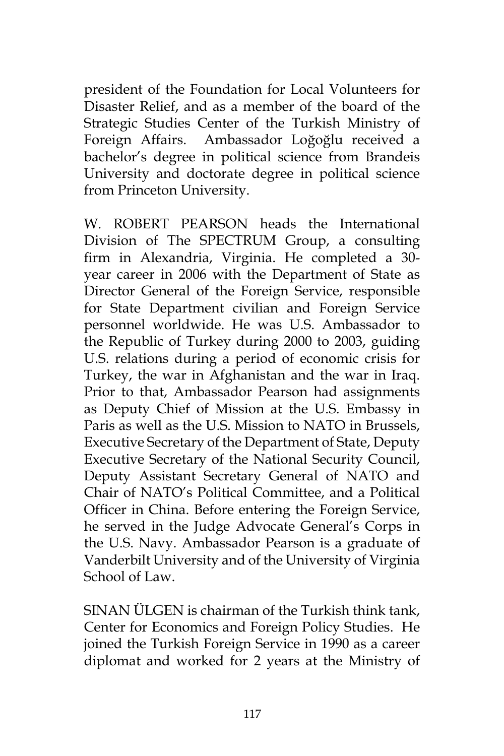president of the Foundation for Local Volunteers for Disaster Relief, and as a member of the board of the Strategic Studies Center of the Turkish Ministry of Foreign Affairs. Ambassador Loğoğlu received a bachelor's degree in political science from Brandeis University and doctorate degree in political science from Princeton University.

W. ROBERT PEARSON heads the International Division of The SPECTRUM Group, a consulting firm in Alexandria, Virginia. He completed a 30 year career in 2006 with the Department of State as Director General of the Foreign Service, responsible for State Department civilian and Foreign Service personnel worldwide. He was U.S. Ambassador to the Republic of Turkey during 2000 to 2003, guiding U.S. relations during a period of economic crisis for Turkey, the war in Afghanistan and the war in Iraq. Prior to that, Ambassador Pearson had assignments as Deputy Chief of Mission at the U.S. Embassy in Paris as well as the U.S. Mission to NATO in Brussels, Executive Secretary of the Department of State, Deputy Executive Secretary of the National Security Council, Deputy Assistant Secretary General of NATO and Chair of NATO's Political Committee, and a Political Officer in China. Before entering the Foreign Service, he served in the Judge Advocate General's Corps in the U.S. Navy. Ambassador Pearson is a graduate of Vanderbilt University and of the University of Virginia School of Law.

SINAN ÜLGEN is chairman of the Turkish think tank, Center for Economics and Foreign Policy Studies. He joined the Turkish Foreign Service in 1990 as a career diplomat and worked for 2 years at the Ministry of